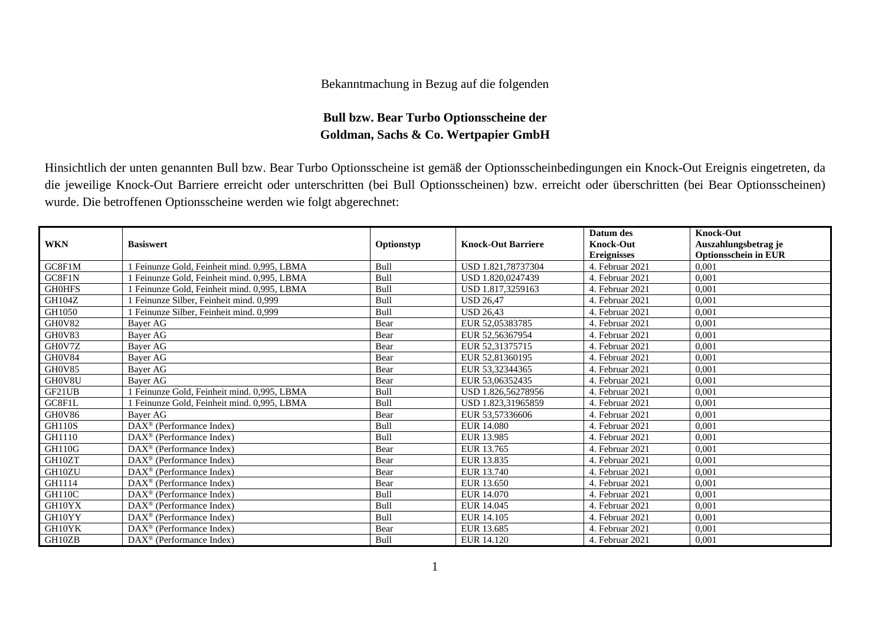## Bekanntmachung in Bezug auf die folgenden

## **Bull bzw. Bear Turbo Optionsscheine der Goldman, Sachs & Co. Wertpapier GmbH**

Hinsichtlich der unten genannten Bull bzw. Bear Turbo Optionsscheine ist gemäß der Optionsscheinbedingungen ein Knock-Out Ereignis eingetreten, da die jeweilige Knock-Out Barriere erreicht oder unterschritten (bei Bull Optionsscheinen) bzw. erreicht oder überschritten (bei Bear Optionsscheinen) wurde. Die betroffenen Optionsscheine werden wie folgt abgerechnet:

|               |                                                   |             |                           | Datum des          | <b>Knock-Out</b>            |
|---------------|---------------------------------------------------|-------------|---------------------------|--------------------|-----------------------------|
| <b>WKN</b>    | <b>Basiswert</b>                                  | Optionstyp  | <b>Knock-Out Barriere</b> | <b>Knock-Out</b>   | Auszahlungsbetrag je        |
|               |                                                   |             |                           | <b>Ereignisses</b> | <b>Optionsschein in EUR</b> |
| GC8F1M        | Feinunze Gold, Feinheit mind. 0.995, LBMA         | <b>Bull</b> | USD 1.821,78737304        | 4. Februar 2021    | 0,001                       |
| GC8F1N        | Feinunze Gold, Feinheit mind, 0.995, LBMA         | Bull        | USD 1.820,0247439         | 4. Februar 2021    | 0,001                       |
| <b>GH0HFS</b> | Feinunze Gold, Feinheit mind. 0,995, LBMA         | Bull        | USD 1.817,3259163         | 4. Februar 2021    | 0,001                       |
| GH104Z        | Feinunze Silber, Feinheit mind. 0.999             | Bull        | <b>USD 26.47</b>          | 4. Februar 2021    | 0,001                       |
| GH1050        | Feinunze Silber, Feinheit mind. 0,999             | <b>Bull</b> | <b>USD 26.43</b>          | 4. Februar 2021    | 0,001                       |
| GH0V82        | Bayer AG                                          | Bear        | EUR 52,05383785           | 4. Februar 2021    | 0,001                       |
| GH0V83        | Baver AG                                          | Bear        | EUR 52,56367954           | 4. Februar 2021    | 0.001                       |
| GH0V7Z        | Bayer AG                                          | Bear        | EUR 52.31375715           | 4. Februar 2021    | 0,001                       |
| GH0V84        | Bayer AG                                          | Bear        | EUR 52,81360195           | 4. Februar 2021    | 0,001                       |
| GH0V85        | Bayer AG                                          | Bear        | EUR 53,32344365           | 4. Februar 2021    | 0,001                       |
| GH0V8U        | Bayer AG                                          | Bear        | EUR 53,06352435           | 4. Februar 2021    | 0,001                       |
| GF21UB        | Feinunze Gold, Feinheit mind. 0,995, LBMA         | Bull        | USD 1.826,56278956        | 4. Februar 2021    | 0,001                       |
| GC8F1L        | Feinunze Gold, Feinheit mind. 0,995, LBMA         | Bull        | USD 1.823,31965859        | 4. Februar 2021    | 0,001                       |
| GH0V86        | Bayer AG                                          | Bear        | EUR 53,57336606           | 4. Februar 2021    | 0,001                       |
| <b>GH110S</b> | $DAX^{\circledast}$ (Performance Index)           | Bull        | <b>EUR 14.080</b>         | 4. Februar 2021    | 0,001                       |
| GH1110        | $DAX^{\circledast}$ (Performance Index)           | Bull        | EUR 13.985                | 4. Februar 2021    | 0,001                       |
| <b>GH110G</b> | $DAX^{\circledR}$ (Performance Index)             | Bear        | EUR 13.765                | 4. Februar 2021    | 0,001                       |
| GH10ZT        | $DAX^{\circledcirc}$ (Performance Index)          | Bear        | EUR 13.835                | 4. Februar 2021    | 0.001                       |
| GH10ZU        | $\text{DAX}^{\textcircled{}}$ (Performance Index) | Bear        | EUR 13.740                | 4. Februar 2021    | 0,001                       |
| GH1114        | $DAX^{\circledcirc}$ (Performance Index)          | Bear        | EUR 13.650                | 4. Februar 2021    | 0,001                       |
| <b>GH110C</b> | $DAX^{\circledcirc}$ (Performance Index)          | Bull        | EUR 14.070                | 4. Februar 2021    | 0,001                       |
| GH10YX        | $DAX^{\circledast}$ (Performance Index)           | Bull        | EUR 14.045                | 4. Februar 2021    | 0.001                       |
| GH10YY        | DAX <sup>®</sup> (Performance Index)              | Bull        | EUR 14.105                | 4. Februar 2021    | 0,001                       |
| GH10YK        | $DAX^{\circledcirc}$ (Performance Index)          | Bear        | EUR 13.685                | 4. Februar 2021    | 0,001                       |
| GH10ZB        | $DAX^{\circledast}$ (Performance Index)           | Bull        | EUR 14.120                | 4. Februar 2021    | 0,001                       |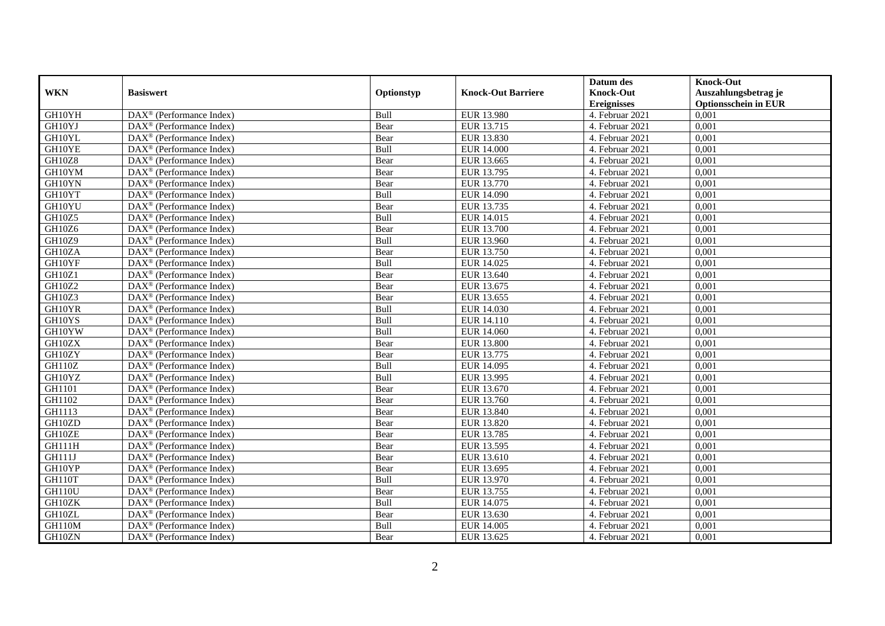|               |                                                         |             |                           | Datum des          | <b>Knock-Out</b>            |
|---------------|---------------------------------------------------------|-------------|---------------------------|--------------------|-----------------------------|
| <b>WKN</b>    | <b>Basiswert</b>                                        | Optionstyp  | <b>Knock-Out Barriere</b> | <b>Knock-Out</b>   | Auszahlungsbetrag je        |
|               |                                                         |             |                           | <b>Ereignisses</b> | <b>Optionsschein in EUR</b> |
| GH10YH        | DAX <sup>®</sup> (Performance Index)                    | Bull        | EUR 13.980                | 4. Februar 2021    | 0,001                       |
| GH10YJ        | $\text{DAX}^{\circledast}$ (Performance Index)          | Bear        | EUR 13.715                | 4. Februar 2021    | 0,001                       |
| GH10YL        | $DAX^{\circledR}$ (Performance Index)                   | Bear        | EUR 13.830                | 4. Februar 2021    | 0,001                       |
| GH10YE        | DAX <sup>®</sup> (Performance Index)                    | Bull        | <b>EUR 14.000</b>         | 4. Februar 2021    | 0,001                       |
| <b>GH10Z8</b> | DAX <sup>®</sup> (Performance Index)                    | Bear        | EUR 13.665                | 4. Februar 2021    | 0,001                       |
| GH10YM        | $\text{DAX}^{\textcircled{D}}$ (Performance Index)      | Bear        | EUR 13.795                | 4. Februar 2021    | 0,001                       |
| GH10YN        | $\overline{\text{DAX}}^{\textcirc}$ (Performance Index) | Bear        | EUR 13.770                | 4. Februar 2021    | 0,001                       |
| GH10YT        | DAX <sup>®</sup> (Performance Index)                    | Bull        | EUR 14.090                | 4. Februar 2021    | 0,001                       |
| GH10YU        | $\text{DAX}^{\circledast}$ (Performance Index)          | Bear        | EUR 13.735                | 4. Februar 2021    | 0,001                       |
| GH10Z5        | DAX <sup>®</sup> (Performance Index)                    | Bull        | EUR 14.015                | 4. Februar 2021    | 0,001                       |
| GH10Z6        | $\overline{\text{DAX}^{\otimes}}$ (Performance Index)   | Bear        | <b>EUR 13.700</b>         | 4. Februar 2021    | 0,001                       |
| GH10Z9        | DAX <sup>®</sup> (Performance Index)                    | Bull        | EUR 13.960                | 4. Februar 2021    | 0,001                       |
| GH10ZA        | $\text{DAX}^{\textcircled{n}}$ (Performance Index)      | Bear        | EUR 13.750                | 4. Februar 2021    | 0,001                       |
| GH10YF        | $DAX^{\circledR}$ (Performance Index)                   | <b>Bull</b> | EUR 14.025                | 4. Februar 2021    | 0.001                       |
| GH10Z1        | $\overline{\text{DAX}^{\otimes}}$ (Performance Index)   | Bear        | EUR 13.640                | 4. Februar 2021    | 0,001                       |
| GH10Z2        | DAX <sup>®</sup> (Performance Index)                    | Bear        | EUR 13.675                | 4. Februar 2021    | 0,001                       |
| GH10Z3        | DAX <sup>®</sup> (Performance Index)                    | Bear        | EUR 13.655                | 4. Februar 2021    | 0,001                       |
| GH10YR        | DAX <sup>®</sup> (Performance Index)                    | Bull        | EUR 14.030                | 4. Februar 2021    | 0,001                       |
| GH10YS        | DAX <sup>®</sup> (Performance Index)                    | Bull        | EUR 14.110                | 4. Februar 2021    | 0,001                       |
| GH10YW        | $\text{DAX}^{\otimes}$ (Performance Index)              | Bull        | EUR 14.060                | 4. Februar 2021    | 0,001                       |
| GH10ZX        | DAX <sup>®</sup> (Performance Index)                    | Bear        | <b>EUR 13.800</b>         | 4. Februar 2021    | 0,001                       |
| GH10ZY        | $DAX^{\circledR}$ (Performance Index)                   | Bear        | EUR 13.775                | 4. Februar 2021    | 0,001                       |
| <b>GH110Z</b> | $\overline{\text{DAX}}^{\textcirc}$ (Performance Index) | Bull        | EUR 14.095                | 4. Februar 2021    | 0,001                       |
| GH10YZ        | $\text{DAX}^{\textcircled{p}}$ (Performance Index)      | Bull        | EUR 13.995                | 4. Februar 2021    | 0,001                       |
| GH1101        | $DAX^{\circledR}$ (Performance Index)                   | Bear        | EUR 13.670                | 4. Februar 2021    | 0,001                       |
| GH1102        | $\text{DAX}^{\circledast}$ (Performance Index)          | Bear        | EUR 13.760                | 4. Februar 2021    | 0,001                       |
| GH1113        | DAX <sup>®</sup> (Performance Index)                    | Bear        | EUR 13.840                | 4. Februar 2021    | 0,001                       |
| GH10ZD        | DAX <sup>®</sup> (Performance Index)                    | Bear        | EUR 13.820                | 4. Februar 2021    | 0,001                       |
| GH10ZE        | $\text{DAX}^{\otimes}$ (Performance Index)              | Bear        | EUR 13.785                | 4. Februar 2021    | 0,001                       |
| <b>GH111H</b> | $\text{DAX}^{\textcircled{n}}$ (Performance Index)      | Bear        | EUR 13.595                | 4. Februar 2021    | 0,001                       |
| <b>GH111J</b> | DAX <sup>®</sup> (Performance Index)                    | Bear        | EUR 13.610                | 4. Februar 2021    | 0,001                       |
| GH10YP        | DAX <sup>®</sup> (Performance Index)                    | Bear        | EUR 13.695                | 4. Februar 2021    | 0,001                       |
| GH110T        | $\overline{\text{DAX}}^{\textcirc}$ (Performance Index) | Bull        | EUR 13.970                | 4. Februar 2021    | 0,001                       |
| <b>GH110U</b> | $\overline{\text{DAX}}^{\textcirc}$ (Performance Index) | Bear        | EUR 13.755                | 4. Februar 2021    | 0,001                       |
| GH10ZK        | $\text{DAX}^{\otimes}$ (Performance Index)              | Bull        | EUR 14.075                | 4. Februar 2021    | 0,001                       |
| GH10ZL        | $\text{DAX}^{\textcircled{n}}$ (Performance Index)      | Bear        | EUR 13.630                | 4. Februar 2021    | 0,001                       |
| GH110M        | $\text{DAX}^{\otimes}$ (Performance Index)              | Bull        | EUR 14.005                | 4. Februar 2021    | 0,001                       |
| GH10ZN        | $\overline{\text{DAX}}^{\textcirc}$ (Performance Index) | Bear        | EUR 13.625                | 4. Februar 2021    | 0,001                       |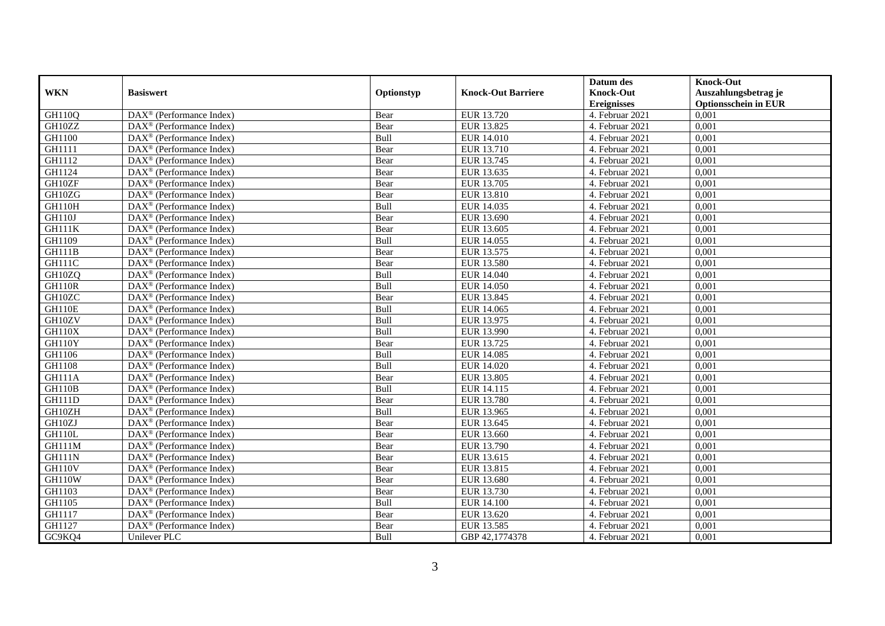|               |                                                              |             |                           | Datum des          | <b>Knock-Out</b>            |
|---------------|--------------------------------------------------------------|-------------|---------------------------|--------------------|-----------------------------|
| <b>WKN</b>    | <b>Basiswert</b>                                             | Optionstyp  | <b>Knock-Out Barriere</b> | <b>Knock-Out</b>   | Auszahlungsbetrag je        |
|               |                                                              |             |                           | <b>Ereignisses</b> | <b>Optionsschein in EUR</b> |
| GH110Q        | $\overline{\text{DAX}}^{\textcircled{}}$ (Performance Index) | Bear        | EUR 13.720                | 4. Februar 2021    | 0,001                       |
| GH10ZZ        | $DAX^{\circledR}$ (Performance Index)                        | Bear        | EUR 13.825                | 4. Februar 2021    | 0,001                       |
| GH1100        | DAX <sup>®</sup> (Performance Index)                         | Bull        | <b>EUR 14.010</b>         | 4. Februar 2021    | 0,001                       |
| GH1111        | $\text{DAX}^{\otimes}$ (Performance Index)                   | Bear        | EUR 13.710                | 4. Februar 2021    | 0,001                       |
| GH1112        | DAX <sup>®</sup> (Performance Index)                         | Bear        | EUR 13.745                | 4. Februar 2021    | 0,001                       |
| GH1124        | $\text{DAX}^{\textcircled{n}}$ (Performance Index)           | Bear        | EUR 13.635                | 4. Februar 2021    | 0,001                       |
| GH10ZF        | $\text{DAX}^{\textcircled{n}}$ (Performance Index)           | Bear        | EUR 13.705                | 4. Februar 2021    | 0,001                       |
| GH10ZG        | $DAX^{\otimes}$ (Performance Index)                          | Bear        | EUR 13.810                | 4. Februar 2021    | 0,001                       |
| <b>GH110H</b> | $\text{DAX}^{\textcircled{p}}$ (Performance Index)           | Bull        | EUR 14.035                | 4. Februar 2021    | 0,001                       |
| <b>GH110J</b> | $DAX^{\otimes}$ (Performance Index)                          | Bear        | EUR 13.690                | 4. Februar 2021    | 0,001                       |
| GH111K        | DAX <sup>®</sup> (Performance Index)                         | Bear        | EUR 13.605                | 4. Februar 2021    | 0,001                       |
| GH1109        | $\overline{\text{DAX}^{\otimes}}$ (Performance Index)        | Bull        | EUR 14.055                | 4. Februar 2021    | 0,001                       |
| GH111B        | $\text{DAX}^{\textcircled{n}}$ (Performance Index)           | Bear        | EUR 13.575                | 4. Februar 2021    | 0,001                       |
| <b>GH111C</b> | DAX <sup>®</sup> (Performance Index)                         | Bear        | <b>EUR 13.580</b>         | 4. Februar 2021    | 0,001                       |
| GH10ZQ        | DAX <sup>®</sup> (Performance Index)                         | Bull        | EUR 14.040                | 4. Februar 2021    | 0,001                       |
| <b>GH110R</b> | DAX <sup>®</sup> (Performance Index)                         | Bull        | <b>EUR 14.050</b>         | 4. Februar 2021    | 0,001                       |
| GH10ZC        | DAX <sup>®</sup> (Performance Index)                         | Bear        | EUR 13.845                | 4. Februar 2021    | 0,001                       |
| <b>GH110E</b> | $\overline{\text{DAX}}^{\textcirc}$ (Performance Index)      | <b>Bull</b> | EUR 14.065                | 4. Februar 2021    | 0,001                       |
| GH10ZV        | DAX <sup>®</sup> (Performance Index)                         | Bull        | EUR 13.975                | 4. Februar 2021    | 0,001                       |
| GH110X        | DAX <sup>®</sup> (Performance Index)                         | Bull        | EUR 13.990                | 4. Februar 2021    | 0,001                       |
| GH110Y        | DAX <sup>®</sup> (Performance Index)                         | Bear        | EUR 13.725                | 4. Februar 2021    | 0,001                       |
| GH1106        | $\overline{\text{DAX}^{\otimes}}$ (Performance Index)        | Bull        | EUR 14.085                | 4. Februar 2021    | 0,001                       |
| GH1108        | $\text{DAX}^{\circledast}$ (Performance Index)               | Bull        | EUR 14.020                | 4. Februar 2021    | 0,001                       |
| <b>GH111A</b> | DAX <sup>®</sup> (Performance Index)                         | Bear        | <b>EUR 13.805</b>         | 4. Februar 2021    | 0,001                       |
| <b>GH110B</b> | DAX <sup>®</sup> (Performance Index)                         | Bull        | EUR 14.115                | 4. Februar 2021    | 0,001                       |
| <b>GH111D</b> | $\text{DAX}^{\otimes}$ (Performance Index)                   | Bear        | EUR 13.780                | 4. Februar 2021    | 0,001                       |
| GH10ZH        | $\text{DAX}^{\circledast}$ (Performance Index)               | Bull        | EUR 13.965                | 4. Februar 2021    | 0,001                       |
| GH10ZJ        | $DAX^{\circledR}$ (Performance Index)                        | Bear        | EUR 13.645                | 4. Februar 2021    | 0,001                       |
| GH110L        | $\text{DAX}^{\textcircled{p}}$ (Performance Index)           | Bear        | EUR 13.660                | 4. Februar 2021    | 0,001                       |
| GH111M        | $DAX^{\circledcirc}$ (Performance Index)                     | Bear        | EUR 13.790                | 4. Februar 2021    | 0,001                       |
| <b>GH111N</b> | DAX <sup>®</sup> (Performance Index)                         | Bear        | EUR 13.615                | 4. Februar 2021    | 0,001                       |
| <b>GH110V</b> | DAX <sup>®</sup> (Performance Index)                         | Bear        | EUR 13.815                | 4. Februar 2021    | 0,001                       |
| <b>GH110W</b> | $\overline{\text{DAX}^{\otimes}}$ (Performance Index)        | Bear        | EUR 13.680                | 4. Februar 2021    | 0,001                       |
| GH1103        | DAX <sup>®</sup> (Performance Index)                         | Bear        | EUR 13.730                | 4. Februar 2021    | 0,001                       |
| GH1105        | $\text{DAX}^{\textcircled{n}}$ (Performance Index)           | Bull        | <b>EUR 14.100</b>         | 4. Februar 2021    | 0,001                       |
| GH1117        | $\text{DAX}^{\textcircled{n}}$ (Performance Index)           | Bear        | EUR 13.620                | 4. Februar 2021    | 0,001                       |
| GH1127        | DAX <sup>®</sup> (Performance Index)                         | Bear        | EUR 13.585                | 4. Februar 2021    | 0,001                       |
| GC9KQ4        | Unilever PLC                                                 | Bull        | GBP 42,1774378            | 4. Februar 2021    | 0,001                       |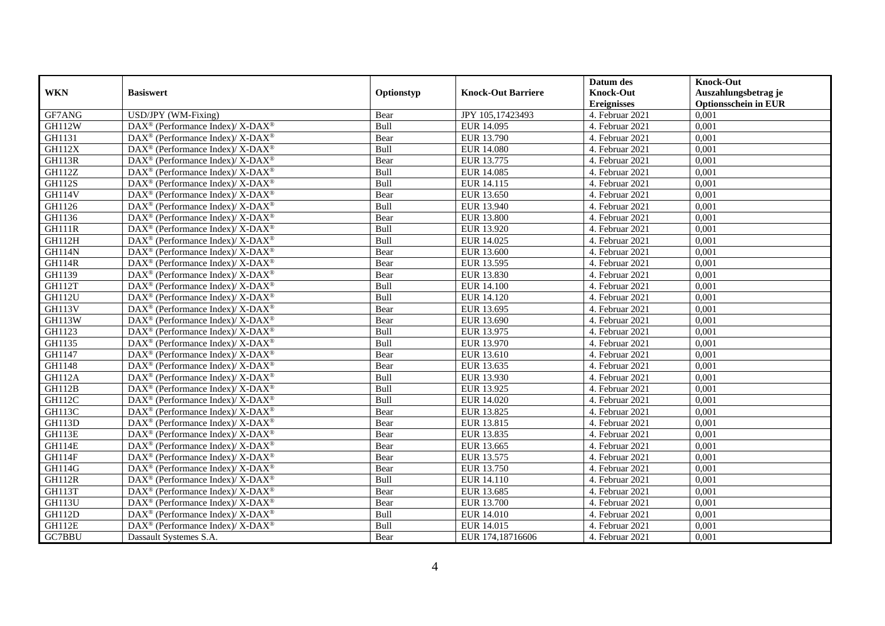|               |                                                                          |            |                           | Datum des          | <b>Knock-Out</b>            |
|---------------|--------------------------------------------------------------------------|------------|---------------------------|--------------------|-----------------------------|
| <b>WKN</b>    | <b>Basiswert</b>                                                         | Optionstyp | <b>Knock-Out Barriere</b> | <b>Knock-Out</b>   | Auszahlungsbetrag je        |
|               |                                                                          |            |                           | <b>Ereignisses</b> | <b>Optionsschein in EUR</b> |
| GF7ANG        | USD/JPY (WM-Fixing)                                                      | Bear       | JPY 105,17423493          | 4. Februar 2021    | 0,001                       |
| <b>GH112W</b> | DAX <sup>®</sup> (Performance Index)/ X-DAX <sup>®</sup>                 | Bull       | EUR 14.095                | 4. Februar 2021    | 0,001                       |
| GH1131        | $\text{DAX}^{\circledast}$ (Performance Index)/ X-DAX <sup>®</sup>       | Bear       | EUR 13.790                | 4. Februar 2021    | 0,001                       |
| <b>GH112X</b> | DAX <sup>®</sup> (Performance Index)/X-DAX <sup>®</sup>                  | Bull       | <b>EUR 14.080</b>         | 4. Februar 2021    | 0,001                       |
| GH113R        | DAX <sup>®</sup> (Performance Index)/ X-DAX <sup>®</sup>                 | Bear       | EUR 13.775                | 4. Februar 2021    | 0,001                       |
| <b>GH112Z</b> | DAX <sup>®</sup> (Performance Index)/ X-DAX <sup>®</sup>                 | Bull       | EUR 14.085                | 4. Februar 2021    | 0,001                       |
| <b>GH112S</b> | DAX <sup>®</sup> (Performance Index)/ X-DAX <sup>®</sup>                 | Bull       | EUR 14.115                | 4. Februar 2021    | 0,001                       |
| <b>GH114V</b> | $\text{DAX}^{\otimes}$ (Performance Index)/X-DAX <sup>®</sup>            | Bear       | EUR 13.650                | 4. Februar 2021    | 0,001                       |
| GH1126        | $\text{DAX}^{\circledast}$ (Performance Index)/ X-DAX <sup>®</sup>       | Bull       | EUR 13.940                | 4. Februar 2021    | 0,001                       |
| GH1136        | DAX <sup>®</sup> (Performance Index)/X-DAX <sup>®</sup>                  | Bear       | <b>EUR 13.800</b>         | 4. Februar 2021    | 0,001                       |
| GH111R        | $\text{DAX}^{\circledast}$ (Performance Index)/ X-DAX <sup>®</sup>       | Bull       | EUR 13.920                | 4. Februar 2021    | 0,001                       |
| <b>GH112H</b> | DAX <sup>®</sup> (Performance Index)/ X-DAX <sup>®</sup>                 | Bull       | EUR 14.025                | 4. Februar 2021    | 0,001                       |
| GH114N        | $\text{DAX}^{\circledast}$ (Performance Index)/ X-DAX <sup>®</sup>       | Bear       | EUR 13.600                | 4. Februar 2021    | 0,001                       |
| <b>GH114R</b> | DAX <sup>®</sup> (Performance Index)/ X-DAX <sup>®</sup>                 | Bear       | EUR 13.595                | 4. Februar 2021    | 0,001                       |
| GH1139        | DAX <sup>®</sup> (Performance Index)/ X-DAX <sup>®</sup>                 | Bear       | EUR 13.830                | 4. Februar 2021    | 0,001                       |
| <b>GH112T</b> | DAX <sup>®</sup> (Performance Index)/ X-DAX <sup>®</sup>                 | Bull       | <b>EUR 14.100</b>         | 4. Februar 2021    | 0,001                       |
| GH112U        | DAX <sup>®</sup> (Performance Index)/ X-DAX <sup>®</sup>                 | Bull       | EUR 14.120                | 4. Februar 2021    | 0,001                       |
| <b>GH113V</b> | $\text{DAX}^{\circledast}$ (Performance Index)/ X-DAX <sup>®</sup>       | Bear       | EUR 13.695                | 4. Februar 2021    | 0,001                       |
| <b>GH113W</b> | $\text{DAX}^{\circledR}$ (Performance Index)/ X-DAX <sup>®</sup>         | Bear       | EUR 13.690                | 4. Februar 2021    | 0,001                       |
| GH1123        | $\text{DAX}^{\circledast}$ (Performance Index)/ X-DAX <sup>®</sup>       | Bull       | EUR 13.975                | 4. Februar 2021    | 0,001                       |
| GH1135        | $\text{DAX}^{\circledR}$ (Performance Index)/ X-DAX <sup>®</sup>         | Bull       | EUR 13.970                | 4. Februar 2021    | 0,001                       |
| GH1147        | $\text{DAX}^{\circledast}$ (Performance Index)/ X-DAX <sup>®</sup>       | Bear       | EUR 13.610                | 4. Februar 2021    | 0,001                       |
| GH1148        | DAX <sup>®</sup> (Performance Index)/ X-DAX <sup>®</sup>                 | Bear       | EUR 13.635                | 4. Februar 2021    | 0,001                       |
| <b>GH112A</b> | $\text{DAX}^{\circledR}$ (Performance Index)/ X-DAX <sup>®</sup>         | Bull       | EUR 13.930                | 4. Februar 2021    | 0,001                       |
| GH112B        | $\text{DAX}^{\circledast}$ (Performance Index)/ X-DAX <sup>®</sup>       | Bull       | EUR 13.925                | 4. Februar 2021    | 0.001                       |
| GH112C        | $\text{DAX}^{\circledast}$ (Performance Index)/ X-DAX <sup>®</sup>       | Bull       | EUR 14.020                | 4. Februar 2021    | 0,001                       |
| <b>GH113C</b> | DAX <sup>®</sup> (Performance Index)/ X-DAX <sup>®</sup>                 | Bear       | EUR 13.825                | 4. Februar 2021    | 0,001                       |
| <b>GH113D</b> | $\text{DAX}^{\circledR}$ (Performance Index)/ X-DAX <sup>®</sup>         | Bear       | EUR 13.815                | 4. Februar 2021    | 0,001                       |
| GH113E        | $\text{DAX}^{\circledR}$ (Performance Index)/ X-DAX <sup>®</sup>         | Bear       | EUR 13.835                | 4. Februar 2021    | 0,001                       |
| GH114E        | $\text{DAX}^{\otimes}$ (Performance Index)/X-DAX <sup>®</sup>            | Bear       | EUR 13.665                | 4. Februar 2021    | 0,001                       |
| GH114F        | $\text{DAX}^{\circledast}$ (Performance Index)/ X-DAX <sup>®</sup>       | Bear       | EUR 13.575                | 4. Februar 2021    | 0,001                       |
| GH114G        | $\overline{\text{DAX}^{\otimes}}$ (Performance Index)/X-DAX <sup>®</sup> | Bear       | EUR 13.750                | 4. Februar 2021    | 0,001                       |
| GH112R        | $\text{DAX}^{\circledast}$ (Performance Index)/ X-DAX <sup>®</sup>       | Bull       | EUR 14.110                | 4. Februar 2021    | 0,001                       |
| GH113T        | DAX <sup>®</sup> (Performance Index)/ X-DAX <sup>®</sup>                 | Bear       | EUR 13.685                | 4. Februar 2021    | 0,001                       |
| <b>GH113U</b> | DAX <sup>®</sup> (Performance Index)/ X-DAX <sup>®</sup>                 | Bear       | EUR 13.700                | 4. Februar 2021    | 0,001                       |
| <b>GH112D</b> | $\text{DAX}^{\otimes}$ (Performance Index)/X-DAX <sup>®</sup>            | Bull       | <b>EUR 14.010</b>         | 4. Februar 2021    | 0,001                       |
| <b>GH112E</b> | DAX <sup>®</sup> (Performance Index)/ X-DAX <sup>®</sup>                 | Bull       | EUR 14.015                | 4. Februar 2021    | 0,001                       |
| GC7BBU        | Dassault Systemes S.A.                                                   | Bear       | EUR 174,18716606          | 4. Februar 2021    | 0,001                       |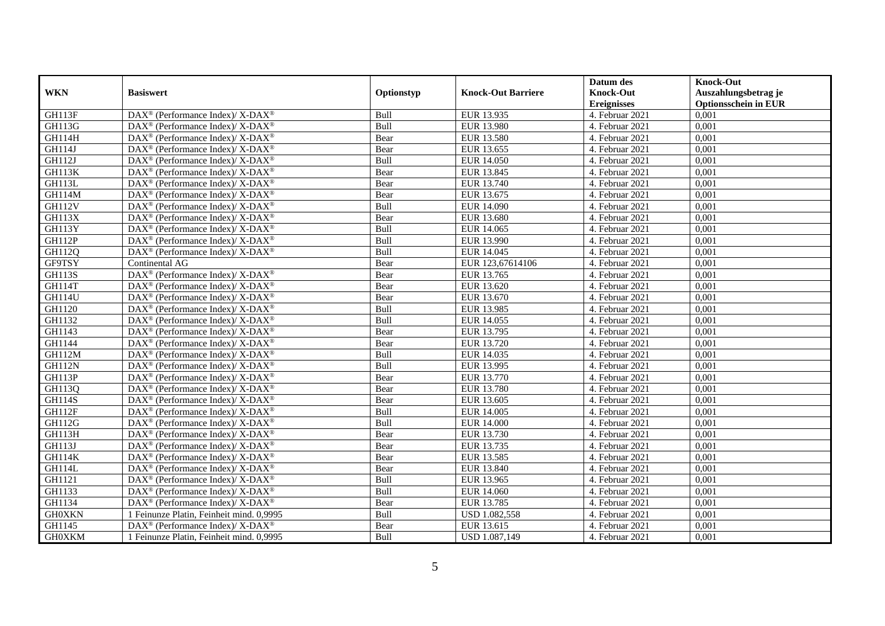|               |                                                                   |            |                           | Datum des          | <b>Knock-Out</b>            |
|---------------|-------------------------------------------------------------------|------------|---------------------------|--------------------|-----------------------------|
| <b>WKN</b>    | <b>Basiswert</b>                                                  | Optionstyp | <b>Knock-Out Barriere</b> | <b>Knock-Out</b>   | Auszahlungsbetrag je        |
|               |                                                                   |            |                           | <b>Ereignisses</b> | <b>Optionsschein in EUR</b> |
| GH113F        | DAX <sup>®</sup> (Performance Index)/X-DAX <sup>®</sup>           | Bull       | EUR 13.935                | 4. Februar 2021    | 0,001                       |
| <b>GH113G</b> | $DAX^{\circledast}$ (Performance Index)/ X-DAX <sup>®</sup>       | Bull       | <b>EUR 13.980</b>         | 4. Februar 2021    | 0,001                       |
| <b>GH114H</b> | $DAX^{\circledast}$ (Performance Index)/ X-DAX <sup>®</sup>       | Bear       | EUR 13.580                | 4. Februar 2021    | 0,001                       |
| <b>GH114J</b> | $DAX^{\circledast}$ (Performance Index)/ X-DAX <sup>®</sup>       | Bear       | EUR 13.655                | 4. Februar 2021    | 0,001                       |
| GH112J        | $\text{DAX}^{\circledast}$ (Performance Index)/X-DAX <sup>®</sup> | Bull       | <b>EUR 14.050</b>         | 4. Februar 2021    | 0,001                       |
| GH113K        | DAX <sup>®</sup> (Performance Index)/ X-DAX <sup>®</sup>          | Bear       | EUR 13.845                | 4. Februar 2021    | 0,001                       |
| GH113L        | DAX <sup>®</sup> (Performance Index)/ X-DAX <sup>®</sup>          | Bear       | EUR 13.740                | 4. Februar 2021    | 0,001                       |
| <b>GH114M</b> | $DAX^{\circledast}$ (Performance Index)/ X-DAX <sup>®</sup>       | Bear       | EUR 13.675                | 4. Februar 2021    | 0,001                       |
| <b>GH112V</b> | $\text{DAX}^{\circledR}$ (Performance Index)/ X-DAX <sup>®</sup>  | Bull       | EUR 14.090                | 4. Februar 2021    | 0,001                       |
| <b>GH113X</b> | DAX <sup>®</sup> (Performance Index)/ X-DAX <sup>®</sup>          | Bear       | EUR 13.680                | 4. Februar 2021    | 0,001                       |
| <b>GH113Y</b> | $DAX^{\circledast}$ (Performance Index)/ X-DAX <sup>®</sup>       | Bull       | EUR 14.065                | 4. Februar 2021    | 0,001                       |
| <b>GH112P</b> | DAX <sup>®</sup> (Performance Index)/ X-DAX <sup>®</sup>          | Bull       | EUR 13.990                | 4. Februar 2021    | 0,001                       |
| GH112Q        | DAX <sup>®</sup> (Performance Index)/X-DAX <sup>®</sup>           | Bull       | EUR 14.045                | 4. Februar 2021    | 0,001                       |
| GF9TSY        | Continental AG                                                    | Bear       | EUR 123,67614106          | 4. Februar 2021    | 0,001                       |
| <b>GH113S</b> | DAX <sup>®</sup> (Performance Index)/ X-DAX <sup>®</sup>          | Bear       | EUR 13.765                | 4. Februar 2021    | 0,001                       |
| <b>GH114T</b> | DAX <sup>®</sup> (Performance Index)/X-DAX <sup>®</sup>           | Bear       | EUR 13.620                | 4. Februar 2021    | 0,001                       |
| <b>GH114U</b> | DAX <sup>®</sup> (Performance Index)/ X-DAX <sup>®</sup>          | Bear       | EUR 13.670                | 4. Februar 2021    | 0,001                       |
| GH1120        | $DAX^{\circledast}$ (Performance Index)/ X-DAX <sup>®</sup>       | Bull       | EUR 13.985                | 4. Februar 2021    | 0,001                       |
| GH1132        | $DAX^{\circledast}$ (Performance Index)/ X-DAX <sup>®</sup>       | Bull       | EUR 14.055                | 4. Februar 2021    | 0,001                       |
| GH1143        | $DAX^{\circledast}$ (Performance Index)/ X-DAX <sup>®</sup>       | Bear       | EUR 13.795                | 4. Februar 2021    | 0,001                       |
| GH1144        | DAX <sup>®</sup> (Performance Index)/X-DAX <sup>®</sup>           | Bear       | EUR 13.720                | 4. Februar 2021    | 0,001                       |
| <b>GH112M</b> | $\text{DAX}^{\circledast}$ (Performance Index)/X-DAX <sup>®</sup> | Bull       | EUR 14.035                | 4. Februar 2021    | 0,001                       |
| <b>GH112N</b> | DAX <sup>®</sup> (Performance Index)/ X-DAX <sup>®</sup>          | Bull       | EUR 13.995                | 4. Februar 2021    | 0,001                       |
| <b>GH113P</b> | $DAX^{\circledast}$ (Performance Index)/ X-DAX <sup>®</sup>       | Bear       | EUR 13.770                | 4. Februar 2021    | 0,001                       |
| GH113Q        | DAX <sup>®</sup> (Performance Index)/ X-DAX <sup>®</sup>          | Bear       | <b>EUR 13.780</b>         | 4. Februar 2021    | 0.001                       |
| <b>GH114S</b> | $DAX^{\circledast}$ (Performance Index)/ X-DAX <sup>®</sup>       | Bear       | EUR 13.605                | 4. Februar 2021    | 0,001                       |
| GH112F        | DAX <sup>®</sup> (Performance Index)/X-DAX <sup>®</sup>           | Bull       | <b>EUR 14.005</b>         | 4. Februar 2021    | 0,001                       |
| <b>GH112G</b> | DAX <sup>®</sup> (Performance Index)/ X-DAX <sup>®</sup>          | Bull       | <b>EUR 14.000</b>         | 4. Februar 2021    | 0,001                       |
| <b>GH113H</b> | DAX <sup>®</sup> (Performance Index)/ X-DAX <sup>®</sup>          | Bear       | EUR 13.730                | 4. Februar 2021    | 0,001                       |
| <b>GH113J</b> | $\text{DAX}^{\circledast}$ (Performance Index)/X-DAX <sup>®</sup> | Bear       | EUR 13.735                | 4. Februar 2021    | 0,001                       |
| <b>GH114K</b> | $DAX^{\circledast}$ (Performance Index)/ X-DAX <sup>®</sup>       | Bear       | EUR 13.585                | 4. Februar 2021    | 0,001                       |
| GH114L        | DAX <sup>®</sup> (Performance Index)/ X-DAX <sup>®</sup>          | Bear       | EUR 13.840                | 4. Februar 2021    | 0,001                       |
| GH1121        | $DAX^{\circledast}$ (Performance Index)/ X-DAX <sup>®</sup>       | Bull       | EUR 13.965                | 4. Februar 2021    | 0,001                       |
| GH1133        | DAX <sup>®</sup> (Performance Index)/ X-DAX <sup>®</sup>          | Bull       | EUR 14.060                | 4. Februar 2021    | 0,001                       |
| GH1134        | DAX <sup>®</sup> (Performance Index)/ X-DAX <sup>®</sup>          | Bear       | EUR 13.785                | 4. Februar 2021    | 0,001                       |
| <b>GH0XKN</b> | 1 Feinunze Platin, Feinheit mind. 0,9995                          | Bull       | USD 1.082,558             | 4. Februar 2021    | 0,001                       |
| GH1145        | DAX <sup>®</sup> (Performance Index)/ X-DAX <sup>®</sup>          | Bear       | EUR 13.615                | 4. Februar 2021    | 0,001                       |
| <b>GH0XKM</b> | 1 Feinunze Platin, Feinheit mind. 0,9995                          | Bull       | USD 1.087,149             | 4. Februar 2021    | 0,001                       |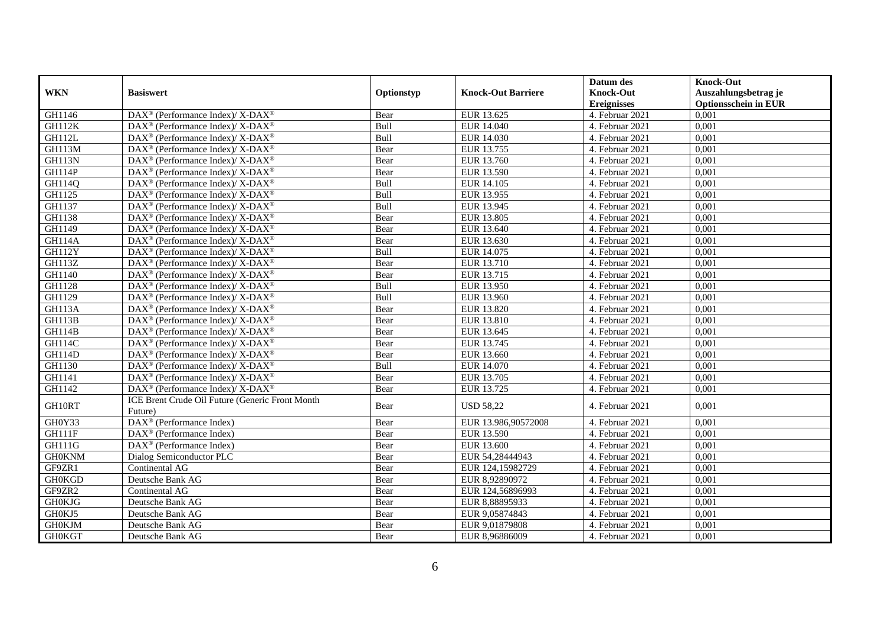|               |                                                                    |            |                           | Datum des          | <b>Knock-Out</b>            |
|---------------|--------------------------------------------------------------------|------------|---------------------------|--------------------|-----------------------------|
| <b>WKN</b>    | <b>Basiswert</b>                                                   | Optionstyp | <b>Knock-Out Barriere</b> | <b>Knock-Out</b>   | Auszahlungsbetrag je        |
|               |                                                                    |            |                           | <b>Ereignisses</b> | <b>Optionsschein in EUR</b> |
| GH1146        | DAX <sup>®</sup> (Performance Index)/X-DAX <sup>®</sup>            | Bear       | EUR 13.625                | 4. Februar 2021    | 0,001                       |
| <b>GH112K</b> | $\text{DAX}^{\circledast}$ (Performance Index)/ X-DAX <sup>®</sup> | Bull       | EUR 14.040                | 4. Februar 2021    | 0,001                       |
| GH112L        | $DAX^{\circledcirc}$ (Performance Index)/ X-DAX <sup>®</sup>       | Bull       | EUR 14.030                | 4. Februar 2021    | 0,001                       |
| GH113M        | $\text{DAX}^{\circledast}$ (Performance Index)/ X-DAX <sup>®</sup> | Bear       | EUR 13.755                | 4. Februar 2021    | 0,001                       |
| <b>GH113N</b> | DAX <sup>®</sup> (Performance Index)/ X-DAX <sup>®</sup>           | Bear       | EUR 13.760                | 4. Februar 2021    | 0,001                       |
| GH114P        | DAX <sup>®</sup> (Performance Index)/ X-DAX <sup>®</sup>           | Bear       | EUR 13.590                | 4. Februar 2021    | 0,001                       |
| GH114Q        | DAX <sup>®</sup> (Performance Index)/ X-DAX <sup>®</sup>           | Bull       | EUR 14.105                | 4. Februar 2021    | 0,001                       |
| GH1125        | DAX <sup>®</sup> (Performance Index)/ X-DAX <sup>®</sup>           | Bull       | EUR 13.955                | 4. Februar 2021    | 0,001                       |
| GH1137        | DAX <sup>®</sup> (Performance Index)/ X-DAX <sup>®</sup>           | Bull       | EUR 13.945                | 4. Februar 2021    | 0,001                       |
| GH1138        | DAX <sup>®</sup> (Performance Index)/X-DAX <sup>®</sup>            | Bear       | <b>EUR 13.805</b>         | 4. Februar 2021    | 0,001                       |
| GH1149        | $\text{DAX}^{\circledast}$ (Performance Index)/ X-DAX <sup>®</sup> | Bear       | EUR 13.640                | 4. Februar 2021    | 0,001                       |
| <b>GH114A</b> | $\text{DAX}^{\circledast}$ (Performance Index)/ X-DAX <sup>®</sup> | Bear       | EUR 13.630                | 4. Februar 2021    | 0,001                       |
| <b>GH112Y</b> | $DAX^{\circledcirc}$ (Performance Index)/X-DAX <sup>®</sup>        | Bull       | EUR 14.075                | 4. Februar 2021    | 0,001                       |
| <b>GH113Z</b> | DAX <sup>®</sup> (Performance Index)/ X-DAX <sup>®</sup>           | Bear       | EUR 13.710                | 4. Februar 2021    | 0,001                       |
| GH1140        | $\text{DAX}^{\circledast}$ (Performance Index)/ X-DAX <sup>®</sup> | Bear       | EUR 13.715                | 4. Februar 2021    | 0,001                       |
| GH1128        | DAX <sup>®</sup> (Performance Index)/ X-DAX <sup>®</sup>           | Bull       | EUR 13.950                | 4. Februar 2021    | 0,001                       |
| GH1129        | DAX <sup>®</sup> (Performance Index)/ X-DAX <sup>®</sup>           | Bull       | EUR 13.960                | 4. Februar 2021    | 0,001                       |
| <b>GH113A</b> | $\text{DAX}^{\circledast}$ (Performance Index)/ X-DAX <sup>®</sup> | Bear       | EUR 13.820                | 4. Februar 2021    | 0,001                       |
| GH113B        | DAX <sup>®</sup> (Performance Index)/ X-DAX <sup>®</sup>           | Bear       | EUR 13.810                | 4. Februar 2021    | 0,001                       |
| GH114B        | $\text{DAX}^{\circledast}$ (Performance Index)/ X-DAX <sup>®</sup> | Bear       | EUR 13.645                | 4. Februar 2021    | 0,001                       |
| GH114C        | $\text{DAX}^{\circledast}$ (Performance Index)/ X-DAX <sup>®</sup> | Bear       | EUR 13.745                | 4. Februar 2021    | 0,001                       |
| GH114D        | DAX <sup>®</sup> (Performance Index)/ X-DAX <sup>®</sup>           | Bear       | EUR 13.660                | 4. Februar 2021    | 0,001                       |
| GH1130        | $DAX^{\circledcirc}$ (Performance Index)/X-DAX <sup>®</sup>        | Bull       | EUR 14.070                | 4. Februar 2021    | 0,001                       |
| GH1141        | $DAX^{\circledcirc}$ (Performance Index)/ X-DAX <sup>®</sup>       | Bear       | EUR 13.705                | 4. Februar 2021    | 0,001                       |
| GH1142        | DAX <sup>®</sup> (Performance Index)/ X-DAX <sup>®</sup>           | Bear       | EUR 13.725                | 4. Februar 2021    | 0,001                       |
| GH10RT        | ICE Brent Crude Oil Future (Generic Front Month<br>Future)         | Bear       | <b>USD 58,22</b>          | 4. Februar 2021    | 0,001                       |
| GH0Y33        | DAX <sup>®</sup> (Performance Index)                               | Bear       | EUR 13.986,90572008       | 4. Februar 2021    | 0.001                       |
| GH111F        | DAX <sup>®</sup> (Performance Index)                               | Bear       | EUR 13.590                | 4. Februar 2021    | 0,001                       |
| <b>GH111G</b> | $\text{DAX}^{\textcircled{n}}$ (Performance Index)                 | Bear       | EUR 13.600                | 4. Februar 2021    | 0,001                       |
| <b>GH0KNM</b> | Dialog Semiconductor PLC                                           | Bear       | EUR 54,28444943           | 4. Februar 2021    | 0,001                       |
| GF9ZR1        | Continental AG                                                     | Bear       | EUR 124,15982729          | 4. Februar 2021    | 0,001                       |
| <b>GH0KGD</b> | Deutsche Bank AG                                                   | Bear       | EUR 8,92890972            | 4. Februar 2021    | 0,001                       |
| GF9ZR2        | Continental AG                                                     | Bear       | EUR 124,56896993          | 4. Februar 2021    | 0,001                       |
| <b>GH0KJG</b> | Deutsche Bank AG                                                   | Bear       | EUR 8,88895933            | 4. Februar 2021    | 0,001                       |
| GH0KJ5        | Deutsche Bank AG                                                   | Bear       | EUR 9,05874843            | 4. Februar 2021    | 0,001                       |
| <b>GH0KJM</b> | Deutsche Bank AG                                                   | Bear       | EUR 9,01879808            | 4. Februar 2021    | 0,001                       |
| <b>GH0KGT</b> | Deutsche Bank AG                                                   | Bear       | EUR 8,96886009            | 4. Februar 2021    | 0,001                       |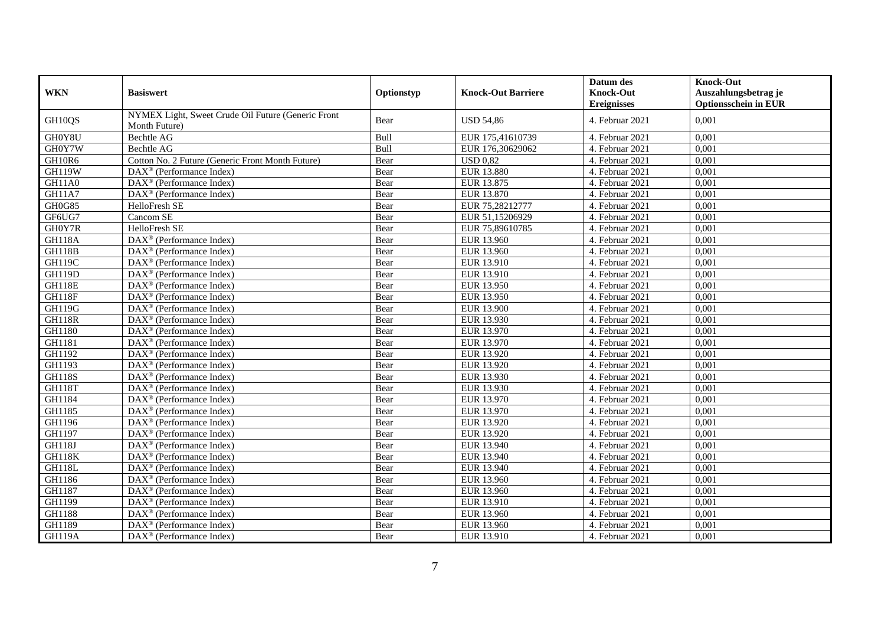|               |                                                                     |            |                           | Datum des          | <b>Knock-Out</b>            |
|---------------|---------------------------------------------------------------------|------------|---------------------------|--------------------|-----------------------------|
| <b>WKN</b>    | <b>Basiswert</b>                                                    | Optionstyp | <b>Knock-Out Barriere</b> | <b>Knock-Out</b>   | Auszahlungsbetrag je        |
|               |                                                                     |            |                           | <b>Ereignisses</b> | <b>Optionsschein in EUR</b> |
| GH10QS        | NYMEX Light, Sweet Crude Oil Future (Generic Front<br>Month Future) | Bear       | <b>USD 54,86</b>          | 4. Februar 2021    | 0,001                       |
| GH0Y8U        | Bechtle AG                                                          | Bull       | EUR 175,41610739          | 4. Februar 2021    | 0,001                       |
| GH0Y7W        | Bechtle AG                                                          | Bull       | EUR 176,30629062          | 4. Februar 2021    | 0,001                       |
| GH10R6        | Cotton No. 2 Future (Generic Front Month Future)                    | Bear       | <b>USD 0,82</b>           | 4. Februar 2021    | 0,001                       |
| <b>GH119W</b> | DAX <sup>®</sup> (Performance Index)                                | Bear       | <b>EUR 13.880</b>         | 4. Februar 2021    | 0,001                       |
| <b>GH11A0</b> | DAX <sup>®</sup> (Performance Index)                                | Bear       | EUR 13.875                | 4. Februar 2021    | 0,001                       |
| <b>GH11A7</b> | $DAX^{\circledast}$ (Performance Index)                             | Bear       | EUR 13.870                | 4. Februar 2021    | 0,001                       |
| GH0G85        | HelloFresh SE                                                       | Bear       | EUR 75,28212777           | 4. Februar 2021    | 0,001                       |
| GF6UG7        | Cancom SE                                                           | Bear       | EUR 51,15206929           | 4. Februar 2021    | 0,001                       |
| GH0Y7R        | <b>HelloFresh SE</b>                                                | Bear       | EUR 75,89610785           | 4. Februar 2021    | 0,001                       |
| <b>GH118A</b> | DAX <sup>®</sup> (Performance Index)                                | Bear       | EUR 13.960                | 4. Februar 2021    | 0,001                       |
| <b>GH118B</b> | $DAX^{\circledast}$ (Performance Index)                             | Bear       | EUR 13.960                | 4. Februar 2021    | 0,001                       |
| GH119C        | $DAX^{\circledast}$ (Performance Index)                             | Bear       | EUR 13.910                | 4. Februar 2021    | 0,001                       |
| <b>GH119D</b> | $DAX^{\circledR}$ (Performance Index)                               | Bear       | EUR 13.910                | 4. Februar 2021    | 0.001                       |
| <b>GH118E</b> | $\overline{\text{DAX}}^{\textcirc}$ (Performance Index)             | Bear       | EUR 13.950                | 4. Februar 2021    | 0,001                       |
| <b>GH118F</b> | $\overline{\text{DAX}^{\otimes}}$ (Performance Index)               | Bear       | EUR 13.950                | 4. Februar 2021    | 0,001                       |
| <b>GH119G</b> | $\overline{\text{DAX}^{\otimes}}$ (Performance Index)               | Bear       | <b>EUR 13.900</b>         | 4. Februar 2021    | 0,001                       |
| <b>GH118R</b> | DAX <sup>®</sup> (Performance Index)                                | Bear       | EUR 13.930                | 4. Februar 2021    | 0,001                       |
| GH1180        | DAX <sup>®</sup> (Performance Index)                                | Bear       | EUR 13.970                | 4. Februar 2021    | 0,001                       |
| GH1181        | $DAX^{\circledR}$ (Performance Index)                               | Bear       | EUR 13.970                | 4. Februar 2021    | 0,001                       |
| GH1192        | $DAX^{\circledast}$ (Performance Index)                             | Bear       | EUR 13.920                | 4. Februar 2021    | 0,001                       |
| GH1193        | $\overline{\text{DAX}^{\otimes}}$ (Performance Index)               | Bear       | EUR 13.920                | 4. Februar 2021    | 0,001                       |
| <b>GH118S</b> | DAX <sup>®</sup> (Performance Index)                                | Bear       | EUR 13.930                | 4. Februar 2021    | 0,001                       |
| <b>GH118T</b> | $\overline{\text{DAX}^{\otimes}}$ (Performance Index)               | Bear       | EUR 13.930                | 4. Februar 2021    | 0,001                       |
| GH1184        | $DAX^{\circledast}$ (Performance Index)                             | Bear       | EUR 13.970                | 4. Februar 2021    | 0,001                       |
| GH1185        | $DAX^{\circledR}$ (Performance Index)                               | Bear       | EUR 13.970                | 4. Februar 2021    | 0,001                       |
| GH1196        | DAX <sup>®</sup> (Performance Index)                                | Bear       | EUR 13.920                | 4. Februar 2021    | 0,001                       |
| GH1197        | $DAX^{\circledast}$ (Performance Index)                             | Bear       | EUR 13.920                | 4. Februar 2021    | 0,001                       |
| <b>GH118J</b> | $DAX^{\circledast}$ (Performance Index)                             | Bear       | EUR 13.940                | 4. Februar 2021    | 0,001                       |
| <b>GH118K</b> | $DAX^{\circledast}$ (Performance Index)                             | Bear       | EUR 13.940                | 4. Februar 2021    | 0,001                       |
| GH118L        | $DAX^{\circledast}$ (Performance Index)                             | Bear       | EUR 13.940                | 4. Februar 2021    | 0,001                       |
| GH1186        | $DAX^{\circledR}$ (Performance Index)                               | Bear       | EUR 13.960                | 4. Februar 2021    | 0,001                       |
| GH1187        | $\overline{\text{DAX}}^{\textcirc}$ (Performance Index)             | Bear       | EUR 13.960                | 4. Februar 2021    | 0,001                       |
| GH1199        | DAX <sup>®</sup> (Performance Index)                                | Bear       | EUR 13.910                | 4. Februar 2021    | 0,001                       |
| GH1188        | DAX <sup>®</sup> (Performance Index)                                | Bear       | EUR 13.960                | 4. Februar 2021    | 0,001                       |
| GH1189        | DAX <sup>®</sup> (Performance Index)                                | Bear       | EUR 13.960                | 4. Februar 2021    | 0,001                       |
| <b>GH119A</b> | $DAX^{\circledast}$ (Performance Index)                             | Bear       | EUR 13.910                | 4. Februar 2021    | 0,001                       |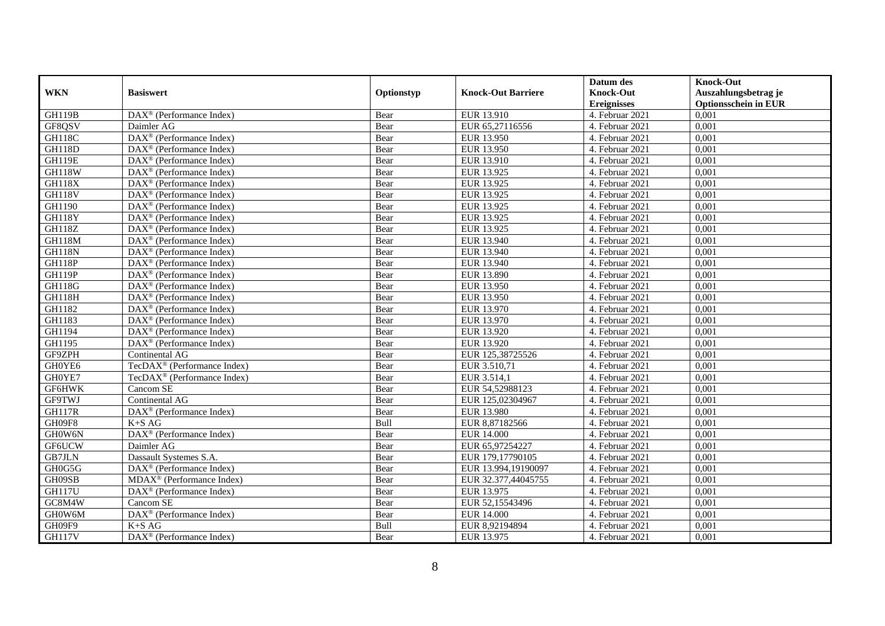|               |                                                              |            |                           | Datum des          | <b>Knock-Out</b>            |
|---------------|--------------------------------------------------------------|------------|---------------------------|--------------------|-----------------------------|
| <b>WKN</b>    | <b>Basiswert</b>                                             | Optionstyp | <b>Knock-Out Barriere</b> | <b>Knock-Out</b>   | Auszahlungsbetrag je        |
|               |                                                              |            |                           | <b>Ereignisses</b> | <b>Optionsschein in EUR</b> |
| <b>GH119B</b> | $\overline{\text{DAX}}^{\textcircled{}}$ (Performance Index) | Bear       | EUR 13.910                | 4. Februar 2021    | 0,001                       |
| GF8QSV        | Daimler AG                                                   | Bear       | EUR 65,27116556           | 4. Februar 2021    | 0,001                       |
| <b>GH118C</b> | $\overline{\text{DAX}^{\otimes}}$ (Performance Index)        | Bear       | EUR 13.950                | 4. Februar 2021    | 0,001                       |
| <b>GH118D</b> | DAX <sup>®</sup> (Performance Index)                         | Bear       | EUR 13.950                | 4. Februar 2021    | 0,001                       |
| <b>GH119E</b> | DAX <sup>®</sup> (Performance Index)                         | Bear       | EUR 13.910                | 4. Februar 2021    | 0,001                       |
| <b>GH118W</b> | $\text{DAX}^{\textcircled{D}}$ (Performance Index)           | Bear       | EUR 13.925                | 4. Februar 2021    | 0,001                       |
| GH118X        | $DAX^{\otimes}$ (Performance Index)                          | Bear       | EUR 13.925                | 4. Februar 2021    | 0,001                       |
| <b>GH118V</b> | DAX <sup>®</sup> (Performance Index)                         | Bear       | EUR 13.925                | 4. Februar 2021    | 0,001                       |
| GH1190        | $\text{DAX}^{\circledast}$ (Performance Index)               | Bear       | EUR 13.925                | 4. Februar 2021    | 0,001                       |
| GH118Y        | $\text{DAX}^{\textcircled{}}$ (Performance Index)            | Bear       | EUR 13.925                | 4. Februar 2021    | 0,001                       |
| <b>GH118Z</b> | $\overline{\text{DAX}^{\otimes}}$ (Performance Index)        | Bear       | EUR 13.925                | 4. Februar 2021    | 0,001                       |
| <b>GH118M</b> | DAX <sup>®</sup> (Performance Index)                         | Bear       | EUR 13.940                | 4. Februar 2021    | 0,001                       |
| <b>GH118N</b> | $\text{DAX}^{\textcircled{n}}$ (Performance Index)           | Bear       | EUR 13.940                | 4. Februar 2021    | 0,001                       |
| <b>GH118P</b> | DAX <sup>®</sup> (Performance Index)                         | Bear       | EUR 13.940                | 4. Februar 2021    | 0.001                       |
| GH119P        | $DAX^{\otimes}$ (Performance Index)                          | Bear       | <b>EUR 13.890</b>         | 4. Februar 2021    | 0,001                       |
| <b>GH118G</b> | DAX <sup>®</sup> (Performance Index)                         | Bear       | EUR 13.950                | 4. Februar 2021    | 0,001                       |
| GH118H        | $\text{DAX}^{\textcircled{D}}$ (Performance Index)           | Bear       | EUR 13.950                | 4. Februar 2021    | 0,001                       |
| GH1182        | DAX <sup>®</sup> (Performance Index)                         | Bear       | EUR 13.970                | 4. Februar 2021    | 0,001                       |
| GH1183        | $\text{DAX}^{\textcircled{n}}$ (Performance Index)           | Bear       | EUR 13.970                | 4. Februar 2021    | 0,001                       |
| GH1194        | $\text{DAX}^{\otimes}$ (Performance Index)                   | Bear       | EUR 13.920                | 4. Februar 2021    | 0,001                       |
| GH1195        | $\overline{\text{DAX}}^{\textcircled{}}$ (Performance Index) | Bear       | EUR 13.920                | 4. Februar 2021    | 0,001                       |
| GF9ZPH        | Continental AG                                               | Bear       | EUR 125,38725526          | 4. Februar 2021    | 0,001                       |
| GH0YE6        | TecDAX <sup>®</sup> (Performance Index)                      | Bear       | EUR 3.510,71              | 4. Februar 2021    | 0,001                       |
| GH0YE7        | TecDAX <sup>®</sup> (Performance Index)                      | Bear       | EUR 3.514,1               | 4. Februar 2021    | 0,001                       |
| GF6HWK        | Cancom SE                                                    | Bear       | EUR 54,52988123           | 4. Februar 2021    | 0,001                       |
| <b>GF9TWJ</b> | Continental AG                                               | Bear       | EUR 125,02304967          | 4. Februar 2021    | 0,001                       |
| <b>GH117R</b> | DAX <sup>®</sup> (Performance Index)                         | Bear       | <b>EUR 13.980</b>         | 4. Februar 2021    | 0,001                       |
| GH09F8        | $K+SAG$                                                      | Bull       | EUR 8,87182566            | 4. Februar 2021    | 0,001                       |
| GH0W6N        | DAX <sup>®</sup> (Performance Index)                         | Bear       | <b>EUR 14.000</b>         | 4. Februar 2021    | 0,001                       |
| GF6UCW        | Daimler AG                                                   | Bear       | EUR 65,97254227           | 4. Februar 2021    | 0,001                       |
| <b>GB7JLN</b> | Dassault Systemes S.A.                                       | Bear       | EUR 179,17790105          | 4. Februar 2021    | 0,001                       |
| GH0G5G        | DAX <sup>®</sup> (Performance Index)                         | Bear       | EUR 13.994,19190097       | 4. Februar 2021    | 0,001                       |
| GH09SB        | $MDAX^{\circledR}$ (Performance Index)                       | Bear       | EUR 32.377,44045755       | 4. Februar 2021    | 0,001                       |
| <b>GH117U</b> | DAX <sup>®</sup> (Performance Index)                         | Bear       | EUR 13.975                | 4. Februar 2021    | 0,001                       |
| GC8M4W        | Cancom SE                                                    | Bear       | EUR 52,15543496           | 4. Februar 2021    | 0,001                       |
| GH0W6M        | $\text{DAX}^{\circledast}$ (Performance Index)               | Bear       | <b>EUR 14.000</b>         | 4. Februar 2021    | 0,001                       |
| GH09F9        | $K+SAG$                                                      | Bull       | EUR 8,92194894            | 4. Februar 2021    | 0,001                       |
| <b>GH117V</b> | $\text{DAX}^{\textcircled{n}}$ (Performance Index)           | Bear       | EUR 13.975                | 4. Februar 2021    | 0,001                       |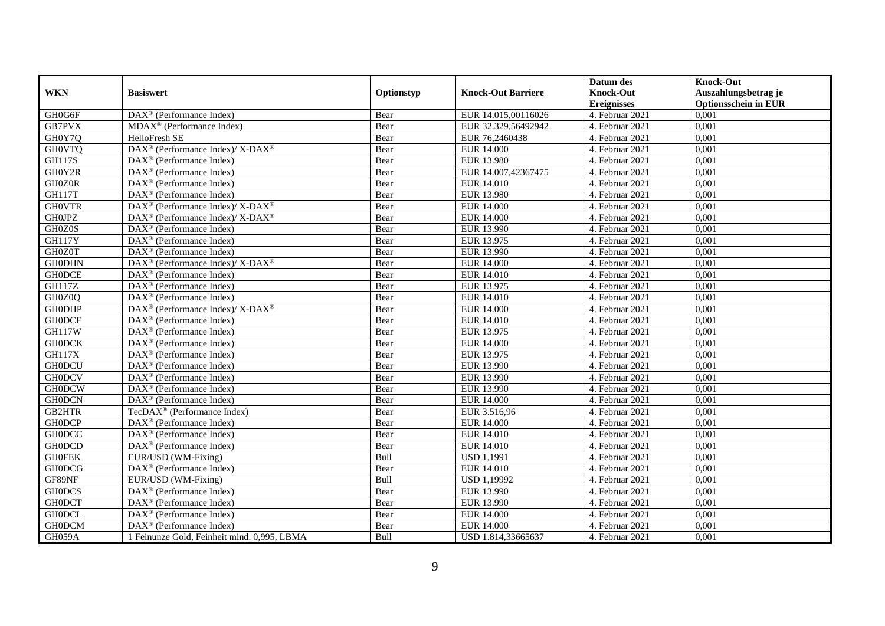|                                 |                                                             |            |                           | Datum des          | <b>Knock-Out</b>            |
|---------------------------------|-------------------------------------------------------------|------------|---------------------------|--------------------|-----------------------------|
| <b>WKN</b>                      | <b>Basiswert</b>                                            | Optionstyp | <b>Knock-Out Barriere</b> | <b>Knock-Out</b>   | Auszahlungsbetrag je        |
|                                 |                                                             |            |                           | <b>Ereignisses</b> | <b>Optionsschein in EUR</b> |
| GH0G6F                          | DAX <sup>®</sup> (Performance Index)                        | Bear       | EUR 14.015,00116026       | 4. Februar 2021    | 0,001                       |
| GB7PVX                          | $\overline{\text{MDAX}^{\circledast}}$ (Performance Index)  | Bear       | EUR 32.329,56492942       | 4. Februar 2021    | 0,001                       |
| GH0Y7Q                          | HelloFresh SE                                               | Bear       | EUR 76,2460438            | 4. Februar 2021    | 0,001                       |
| <b>GH0VTQ</b>                   | $DAX^{\circledast}$ (Performance Index)/X-DAX <sup>®</sup>  | Bear       | <b>EUR 14.000</b>         | 4. Februar 2021    | 0,001                       |
| <b>GH117S</b>                   | DAX <sup>®</sup> (Performance Index)                        | Bear       | <b>EUR 13.980</b>         | 4. Februar 2021    | 0,001                       |
| GH0Y2R                          | $\text{DAX}^{\textcircled{p}}$ (Performance Index)          | Bear       | EUR 14.007,42367475       | 4. Februar 2021    | 0,001                       |
| GH0Z0R                          | $DAX^{\otimes}$ (Performance Index)                         | Bear       | EUR 14.010                | 4. Februar 2021    | 0,001                       |
| <b>GH117T</b>                   | $\text{DAX}^{\circledast}$ (Performance Index)              | Bear       | EUR 13.980                | 4. Februar 2021    | 0,001                       |
| <b>GHOVTR</b>                   | DAX <sup>®</sup> (Performance Index)/ X-DAX <sup>®</sup>    | Bear       | <b>EUR 14.000</b>         | 4. Februar 2021    | 0,001                       |
| <b>GH0JPZ</b>                   | $DAX^{\circledast}$ (Performance Index)/X-DAX <sup>®</sup>  | Bear       | <b>EUR 14.000</b>         | 4. Februar 2021    | 0,001                       |
| GH <sub>0</sub> Z <sub>0S</sub> | $\overline{\text{DAX}}^{\textcirc}$ (Performance Index)     | Bear       | EUR 13.990                | 4. Februar 2021    | 0,001                       |
| <b>GH117Y</b>                   | DAX <sup>®</sup> (Performance Index)                        | Bear       | EUR 13.975                | 4. Februar 2021    | 0,001                       |
| GH0Z0T                          | $\overline{\text{DAX}^{\otimes}}$ (Performance Index)       | Bear       | EUR 13.990                | 4. Februar 2021    | 0,001                       |
| <b>GH0DHN</b>                   | DAX <sup>®</sup> (Performance Index)/ X-DAX <sup>®</sup>    | Bear       | <b>EUR 14.000</b>         | 4. Februar 2021    | 0,001                       |
| <b>GH0DCE</b>                   | $\text{DAX}^{\otimes}$ (Performance Index)                  | Bear       | EUR 14.010                | 4. Februar 2021    | 0,001                       |
| <b>GH117Z</b>                   | DAX <sup>®</sup> (Performance Index)                        | Bear       | EUR 13.975                | 4. Februar 2021    | 0,001                       |
| GH0Z0Q                          | DAX <sup>®</sup> (Performance Index)                        | Bear       | <b>EUR 14.010</b>         | 4. Februar 2021    | 0,001                       |
| <b>GH0DHP</b>                   | $DAX^{\circledcirc}$ (Performance Index)/X-DAX <sup>®</sup> | Bear       | EUR 14.000                | 4. Februar 2021    | 0,001                       |
| <b>GH0DCF</b>                   | DAX <sup>®</sup> (Performance Index)                        | Bear       | <b>EUR 14.010</b>         | 4. Februar 2021    | 0,001                       |
| <b>GH117W</b>                   | DAX <sup>®</sup> (Performance Index)                        | Bear       | EUR 13.975                | 4. Februar 2021    | 0,001                       |
| <b>GH0DCK</b>                   | DAX <sup>®</sup> (Performance Index)                        | Bear       | <b>EUR 14.000</b>         | 4. Februar 2021    | 0,001                       |
| <b>GH117X</b>                   | $\overline{\text{DAX}^{\otimes}}$ (Performance Index)       | Bear       | EUR 13.975                | 4. Februar 2021    | 0,001                       |
| <b>GH0DCU</b>                   | DAX <sup>®</sup> (Performance Index)                        | Bear       | EUR 13.990                | 4. Februar 2021    | 0,001                       |
| <b>GH0DCV</b>                   | DAX <sup>®</sup> (Performance Index)                        | Bear       | EUR 13.990                | 4. Februar 2021    | 0,001                       |
| <b>GH0DCW</b>                   | DAX <sup>®</sup> (Performance Index)                        | Bear       | EUR 13.990                | 4. Februar 2021    | 0.001                       |
| <b>GH0DCN</b>                   | DAX <sup>®</sup> (Performance Index)                        | Bear       | <b>EUR 14.000</b>         | 4. Februar 2021    | 0,001                       |
| <b>GB2HTR</b>                   | TecDAX <sup>®</sup> (Performance Index)                     | Bear       | EUR 3.516,96              | 4. Februar 2021    | 0,001                       |
| <b>GH0DCP</b>                   | $\text{DAX}^{\textcircled{p}}$ (Performance Index)          | Bear       | <b>EUR 14.000</b>         | 4. Februar 2021    | 0,001                       |
| <b>GH0DCC</b>                   | $\overline{\text{DAX}^{\otimes}}$ (Performance Index)       | Bear       | <b>EUR 14.010</b>         | 4. Februar 2021    | 0,001                       |
| <b>GH0DCD</b>                   | $\text{DAX}^{\otimes}$ (Performance Index)                  | Bear       | EUR 14.010                | 4. Februar 2021    | 0,001                       |
| <b>GHOFEK</b>                   | EUR/USD (WM-Fixing)                                         | Bull       | <b>USD 1,1991</b>         | 4. Februar 2021    | 0,001                       |
| <b>GH0DCG</b>                   | DAX <sup>®</sup> (Performance Index)                        | Bear       | EUR 14.010                | 4. Februar 2021    | 0,001                       |
| GF89NF                          | EUR/USD (WM-Fixing)                                         | Bull       | <b>USD 1,19992</b>        | 4. Februar 2021    | 0,001                       |
| <b>GH0DCS</b>                   | DAX <sup>®</sup> (Performance Index)                        | Bear       | EUR 13.990                | 4. Februar 2021    | 0,001                       |
| <b>GH0DCT</b>                   | DAX <sup>®</sup> (Performance Index)                        | Bear       | EUR 13.990                | 4. Februar 2021    | 0,001                       |
| <b>GH0DCL</b>                   | DAX <sup>®</sup> (Performance Index)                        | Bear       | <b>EUR 14.000</b>         | 4. Februar 2021    | 0,001                       |
| <b>GH0DCM</b>                   | $DAX^{\circledast}$ (Performance Index)                     | Bear       | <b>EUR 14.000</b>         | 4. Februar 2021    | 0,001                       |
| GH059A                          | 1 Feinunze Gold, Feinheit mind. 0,995, LBMA                 | Bull       | USD 1.814,33665637        | 4. Februar 2021    | 0,001                       |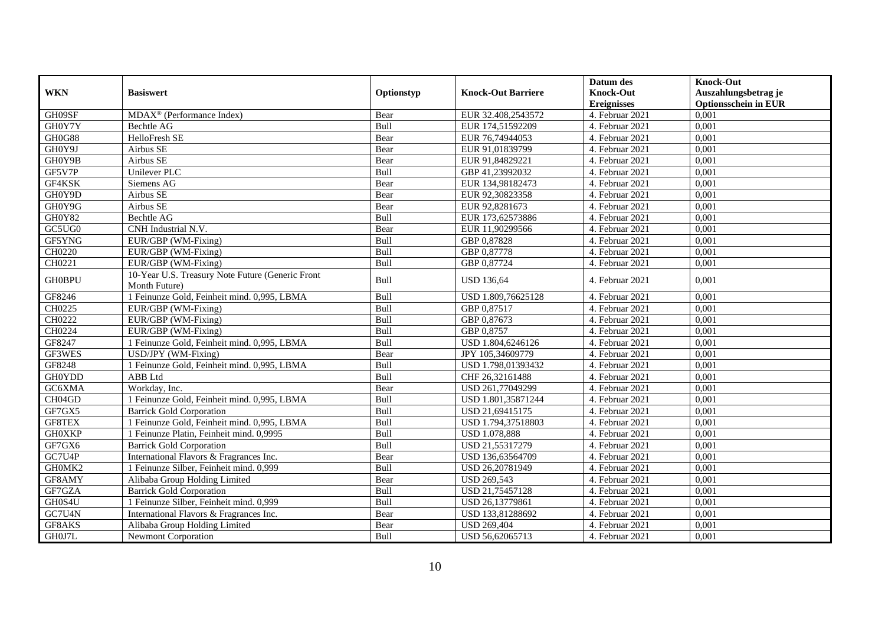|               |                                                                   |            |                           | Datum des                              | <b>Knock-Out</b>                                    |
|---------------|-------------------------------------------------------------------|------------|---------------------------|----------------------------------------|-----------------------------------------------------|
| <b>WKN</b>    | <b>Basiswert</b>                                                  | Optionstyp | <b>Knock-Out Barriere</b> | <b>Knock-Out</b><br><b>Ereignisses</b> | Auszahlungsbetrag je<br><b>Optionsschein in EUR</b> |
| GH09SF        | $MDAX^{\circledcirc}$ (Performance Index)                         | Bear       | EUR 32.408,2543572        | 4. Februar 2021                        | 0,001                                               |
| GH0Y7Y        | Bechtle AG                                                        | Bull       | EUR 174,51592209          | 4. Februar 2021                        | 0,001                                               |
| <b>GH0G88</b> | HelloFresh SE                                                     | Bear       | EUR 76,74944053           | 4. Februar 2021                        | 0,001                                               |
| GH0Y9J        | Airbus SE                                                         | Bear       | EUR 91,01839799           | 4. Februar 2021                        | 0,001                                               |
| GH0Y9B        | Airbus SE                                                         | Bear       | EUR 91,84829221           | 4. Februar 2021                        | 0,001                                               |
| GF5V7P        | Unilever PLC                                                      | Bull       | GBP 41,23992032           | 4. Februar 2021                        | 0,001                                               |
| GF4KSK        | Siemens AG                                                        | Bear       | EUR 134,98182473          | 4. Februar 2021                        | 0,001                                               |
| GH0Y9D        | Airbus SE                                                         | Bear       | EUR 92,30823358           | 4. Februar 2021                        | 0,001                                               |
| GH0Y9G        | Airbus SE                                                         | Bear       | EUR 92,8281673            | 4. Februar 2021                        | 0.001                                               |
| GH0Y82        | Bechtle AG                                                        | Bull       | EUR 173,62573886          | 4. Februar 2021                        | 0,001                                               |
| GC5UG0        | CNH Industrial N.V.                                               | Bear       | EUR 11,90299566           | 4. Februar 2021                        | 0,001                                               |
| GF5YNG        | EUR/GBP (WM-Fixing)                                               | Bull       | GBP 0,87828               | 4. Februar 2021                        | 0,001                                               |
| CH0220        | EUR/GBP (WM-Fixing)                                               | Bull       | GBP 0,87778               | 4. Februar 2021                        | 0,001                                               |
| CH0221        | EUR/GBP (WM-Fixing)                                               | Bull       | GBP 0,87724               | 4. Februar 2021                        | 0,001                                               |
| <b>GH0BPU</b> | 10-Year U.S. Treasury Note Future (Generic Front<br>Month Future) | Bull       | <b>USD 136,64</b>         | 4. Februar 2021                        | 0,001                                               |
| GF8246        | 1 Feinunze Gold, Feinheit mind. 0,995, LBMA                       | Bull       | USD 1.809,76625128        | 4. Februar 2021                        | 0,001                                               |
| CH0225        | EUR/GBP (WM-Fixing)                                               | Bull       | GBP 0,87517               | 4. Februar 2021                        | 0,001                                               |
| CH0222        | EUR/GBP (WM-Fixing)                                               | Bull       | GBP 0,87673               | 4. Februar 2021                        | 0,001                                               |
| CH0224        | EUR/GBP (WM-Fixing)                                               | Bull       | GBP 0,8757                | 4. Februar 2021                        | 0,001                                               |
| GF8247        | 1 Feinunze Gold, Feinheit mind. 0,995, LBMA                       | Bull       | USD 1.804,6246126         | 4. Februar 2021                        | 0,001                                               |
| GF3WES        | USD/JPY (WM-Fixing)                                               | Bear       | JPY 105,34609779          | 4. Februar 2021                        | 0,001                                               |
| GF8248        | 1 Feinunze Gold, Feinheit mind. 0,995, LBMA                       | Bull       | USD 1.798,01393432        | 4. Februar 2021                        | 0,001                                               |
| <b>GH0YDD</b> | ABB Ltd                                                           | Bull       | CHF 26,32161488           | 4. Februar 2021                        | 0,001                                               |
| GC6XMA        | Workday, Inc.                                                     | Bear       | USD 261,77049299          | 4. Februar 2021                        | 0,001                                               |
| CH04GD        | 1 Feinunze Gold, Feinheit mind. 0,995, LBMA                       | Bull       | USD 1.801,35871244        | 4. Februar 2021                        | 0,001                                               |
| GF7GX5        | <b>Barrick Gold Corporation</b>                                   | Bull       | USD 21,69415175           | 4. Februar 2021                        | 0,001                                               |
| GF8TEX        | 1 Feinunze Gold, Feinheit mind. 0,995, LBMA                       | Bull       | USD 1.794,37518803        | 4. Februar 2021                        | 0,001                                               |
| <b>GH0XKP</b> | 1 Feinunze Platin, Feinheit mind. 0,9995                          | Bull       | <b>USD 1.078,888</b>      | 4. Februar 2021                        | 0,001                                               |
| GF7GX6        | <b>Barrick Gold Corporation</b>                                   | Bull       | USD 21,55317279           | 4. Februar 2021                        | 0,001                                               |
| GC7U4P        | International Flavors & Fragrances Inc.                           | Bear       | USD 136,63564709          | 4. Februar 2021                        | 0,001                                               |
| GH0MK2        | 1 Feinunze Silber, Feinheit mind. 0,999                           | Bull       | USD 26,20781949           | 4. Februar 2021                        | 0,001                                               |
| GF8AMY        | Alibaba Group Holding Limited                                     | Bear       | <b>USD 269,543</b>        | 4. Februar 2021                        | 0,001                                               |
| GF7GZA        | <b>Barrick Gold Corporation</b>                                   | Bull       | USD 21,75457128           | 4. Februar 2021                        | 0,001                                               |
| GH0S4U        | 1 Feinunze Silber, Feinheit mind. 0,999                           | Bull       | USD 26,13779861           | 4. Februar 2021                        | 0,001                                               |
| GC7U4N        | International Flavors & Fragrances Inc.                           | Bear       | USD 133,81288692          | 4. Februar 2021                        | 0,001                                               |
| GF8AKS        | Alibaba Group Holding Limited                                     | Bear       | <b>USD 269,404</b>        | 4. Februar 2021                        | 0,001                                               |
| GH0J7L        | <b>Newmont Corporation</b>                                        | Bull       | USD 56,62065713           | 4. Februar 2021                        | 0,001                                               |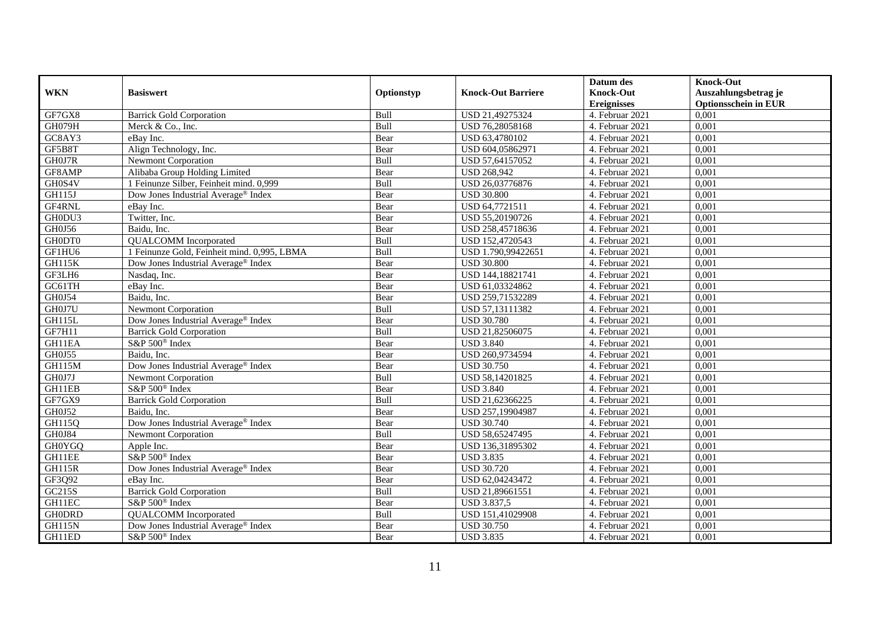|               |                                                 |            |                           | Datum des          | <b>Knock-Out</b>            |
|---------------|-------------------------------------------------|------------|---------------------------|--------------------|-----------------------------|
| <b>WKN</b>    | <b>Basiswert</b>                                | Optionstyp | <b>Knock-Out Barriere</b> | <b>Knock-Out</b>   | Auszahlungsbetrag je        |
|               |                                                 |            |                           | <b>Ereignisses</b> | <b>Optionsschein in EUR</b> |
| GF7GX8        | <b>Barrick Gold Corporation</b>                 | Bull       | USD 21,49275324           | 4. Februar 2021    | 0,001                       |
| GH079H        | Merck & Co., Inc.                               | Bull       | USD 76,28058168           | 4. Februar 2021    | 0,001                       |
| GC8AY3        | eBay Inc.                                       | Bear       | USD 63,4780102            | 4. Februar 2021    | 0,001                       |
| GF5B8T        | Align Technology, Inc.                          | Bear       | USD 604,05862971          | 4. Februar 2021    | 0,001                       |
| GH0J7R        | <b>Newmont Corporation</b>                      | Bull       | USD 57,64157052           | 4. Februar 2021    | 0,001                       |
| GF8AMP        | Alibaba Group Holding Limited                   | Bear       | <b>USD 268,942</b>        | 4. Februar 2021    | 0,001                       |
| GH0S4V        | 1 Feinunze Silber, Feinheit mind. 0,999         | Bull       | USD 26,03776876           | 4. Februar 2021    | 0,001                       |
| <b>GH115J</b> | Dow Jones Industrial Average® Index             | Bear       | <b>USD 30.800</b>         | 4. Februar 2021    | 0,001                       |
| GF4RNL        | eBay Inc.                                       | Bear       | USD 64,7721511            | 4. Februar 2021    | 0,001                       |
| GH0DU3        | Twitter, Inc.                                   | Bear       | USD 55,20190726           | 4. Februar 2021    | 0,001                       |
| GH0J56        | Baidu, Inc.                                     | Bear       | USD 258,45718636          | 4. Februar 2021    | 0,001                       |
| GH0DT0        | <b>QUALCOMM</b> Incorporated                    | Bull       | USD 152,4720543           | 4. Februar 2021    | 0,001                       |
| GF1HU6        | 1 Feinunze Gold, Feinheit mind. 0,995, LBMA     | Bull       | USD 1.790,99422651        | 4. Februar 2021    | 0,001                       |
| <b>GH115K</b> | Dow Jones Industrial Average <sup>®</sup> Index | Bear       | <b>USD 30.800</b>         | 4. Februar 2021    | 0,001                       |
| GF3LH6        | Nasdaq, Inc.                                    | Bear       | USD 144,18821741          | 4. Februar 2021    | 0,001                       |
| GC61TH        | eBay Inc.                                       | Bear       | USD 61,03324862           | 4. Februar 2021    | 0,001                       |
| GH0J54        | Baidu, Inc.                                     | Bear       | USD 259,71532289          | 4. Februar 2021    | 0,001                       |
| GH0J7U        | <b>Newmont Corporation</b>                      | Bull       | USD 57.13111382           | 4. Februar 2021    | 0,001                       |
| <b>GH115L</b> | Dow Jones Industrial Average® Index             | Bear       | <b>USD 30.780</b>         | 4. Februar 2021    | 0,001                       |
| GF7H11        | <b>Barrick Gold Corporation</b>                 | Bull       | USD 21,82506075           | 4. Februar 2021    | 0,001                       |
| GH11EA        | S&P 500 <sup>®</sup> Index                      | Bear       | <b>USD</b> 3.840          | 4. Februar 2021    | 0,001                       |
| <b>GH0J55</b> | Baidu, Inc.                                     | Bear       | USD 260,9734594           | 4. Februar 2021    | 0,001                       |
| <b>GH115M</b> | Dow Jones Industrial Average <sup>®</sup> Index | Bear       | <b>USD 30.750</b>         | 4. Februar 2021    | 0,001                       |
| GH0J7J        | <b>Newmont Corporation</b>                      | Bull       | USD 58,14201825           | 4. Februar 2021    | 0,001                       |
| GH11EB        | S&P 500 <sup>®</sup> Index                      | Bear       | <b>USD 3.840</b>          | 4. Februar 2021    | 0,001                       |
| GF7GX9        | <b>Barrick Gold Corporation</b>                 | Bull       | USD 21,62366225           | 4. Februar 2021    | 0,001                       |
| GH0J52        | Baidu, Inc.                                     | Bear       | USD 257,19904987          | 4. Februar 2021    | 0,001                       |
| GH115Q        | Dow Jones Industrial Average® Index             | Bear       | <b>USD 30.740</b>         | 4. Februar 2021    | 0,001                       |
| GH0J84        | <b>Newmont Corporation</b>                      | Bull       | USD 58,65247495           | 4. Februar 2021    | 0,001                       |
| <b>GH0YGQ</b> | Apple Inc.                                      | Bear       | USD 136,31895302          | 4. Februar 2021    | 0,001                       |
| GH11EE        | S&P 500 <sup>®</sup> Index                      | Bear       | <b>USD 3.835</b>          | 4. Februar 2021    | 0,001                       |
| <b>GH115R</b> | Dow Jones Industrial Average® Index             | Bear       | <b>USD 30.720</b>         | 4. Februar 2021    | 0,001                       |
| GF3Q92        | eBay Inc.                                       | Bear       | USD 62,04243472           | 4. Februar 2021    | 0,001                       |
| GC215S        | <b>Barrick Gold Corporation</b>                 | Bull       | USD 21,89661551           | 4. Februar 2021    | 0,001                       |
| GH11EC        | S&P 500 <sup>®</sup> Index                      | Bear       | USD 3.837,5               | 4. Februar 2021    | 0,001                       |
| <b>GH0DRD</b> | <b>QUALCOMM</b> Incorporated                    | Bull       | USD 151,41029908          | 4. Februar 2021    | 0,001                       |
| <b>GH115N</b> | Dow Jones Industrial Average <sup>®</sup> Index | Bear       | <b>USD 30.750</b>         | 4. Februar 2021    | 0,001                       |
| GH11ED        | S&P 500 <sup>®</sup> Index                      | Bear       | <b>USD 3.835</b>          | 4. Februar 2021    | 0,001                       |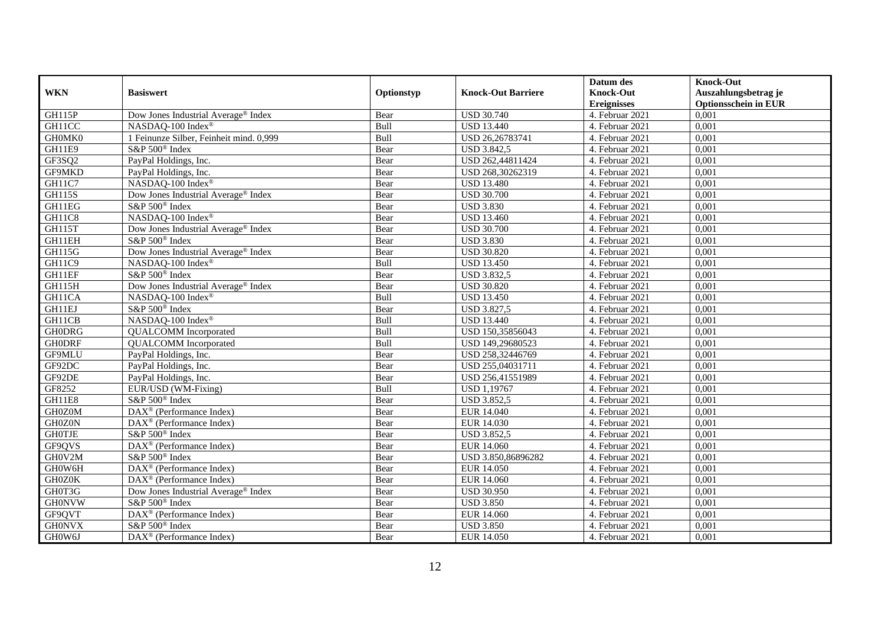|               |                                                       |            |                           | Datum des          | <b>Knock-Out</b>            |
|---------------|-------------------------------------------------------|------------|---------------------------|--------------------|-----------------------------|
| <b>WKN</b>    | <b>Basiswert</b>                                      | Optionstyp | <b>Knock-Out Barriere</b> | <b>Knock-Out</b>   | Auszahlungsbetrag je        |
|               |                                                       |            |                           | <b>Ereignisses</b> | <b>Optionsschein in EUR</b> |
| <b>GH115P</b> | Dow Jones Industrial Average® Index                   | Bear       | <b>USD 30.740</b>         | 4. Februar 2021    | 0,001                       |
| GH11CC        | NASDAQ-100 Index®                                     | Bull       | <b>USD 13.440</b>         | 4. Februar 2021    | 0,001                       |
| GH0MK0        | 1 Feinunze Silber, Feinheit mind. 0,999               | Bull       | USD 26,26783741           | 4. Februar 2021    | 0,001                       |
| GH11E9        | S&P 500 <sup>®</sup> Index                            | Bear       | <b>USD 3.842,5</b>        | 4. Februar 2021    | 0,001                       |
| GF3SQ2        | PayPal Holdings, Inc.                                 | Bear       | USD 262,44811424          | 4. Februar 2021    | 0,001                       |
| GF9MKD        | PayPal Holdings, Inc.                                 | Bear       | USD 268,30262319          | 4. Februar 2021    | 0,001                       |
| GH11C7        | NASDAQ-100 Index®                                     | Bear       | <b>USD 13.480</b>         | 4. Februar 2021    | 0,001                       |
| <b>GH115S</b> | Dow Jones Industrial Average® Index                   | Bear       | <b>USD 30.700</b>         | 4. Februar 2021    | 0,001                       |
| GH11EG        | S&P 500 <sup>®</sup> Index                            | Bear       | <b>USD 3.830</b>          | 4. Februar 2021    | 0,001                       |
| GH11C8        | NASDAQ-100 Index®                                     | Bear       | <b>USD 13.460</b>         | 4. Februar 2021    | 0,001                       |
| <b>GH115T</b> | Dow Jones Industrial Average® Index                   | Bear       | <b>USD 30.700</b>         | 4. Februar 2021    | 0,001                       |
| GH11EH        | S&P 500 <sup>®</sup> Index                            | Bear       | <b>USD 3.830</b>          | 4. Februar 2021    | 0,001                       |
| GH115G        | Dow Jones Industrial Average® Index                   | Bear       | <b>USD 30.820</b>         | 4. Februar 2021    | 0,001                       |
| GH11C9        | NASDAO-100 Index®                                     | Bull       | <b>USD 13.450</b>         | 4. Februar 2021    | 0.001                       |
| GH11EF        | S&P 500 <sup>®</sup> Index                            | Bear       | <b>USD 3.832,5</b>        | 4. Februar 2021    | 0,001                       |
| GH115H        | Dow Jones Industrial Average <sup>®</sup> Index       | Bear       | <b>USD 30.820</b>         | 4. Februar 2021    | 0,001                       |
| GH11CA        | NASDAQ-100 Index®                                     | Bull       | <b>USD 13.450</b>         | 4. Februar 2021    | 0,001                       |
| GH11EJ        | S&P 500 <sup>®</sup> Index                            | Bear       | <b>USD 3.827,5</b>        | 4. Februar 2021    | 0,001                       |
| GH11CB        | NASDAQ-100 Index®                                     | Bull       | <b>USD 13.440</b>         | 4. Februar 2021    | 0,001                       |
| <b>GH0DRG</b> | <b>QUALCOMM</b> Incorporated                          | Bull       | USD 150,35856043          | 4. Februar 2021    | 0,001                       |
| <b>GHODRF</b> | <b>QUALCOMM</b> Incorporated                          | Bull       | USD 149,29680523          | 4. Februar 2021    | 0,001                       |
| GF9MLU        | PayPal Holdings, Inc.                                 | Bear       | USD 258,32446769          | 4. Februar 2021    | 0,001                       |
| GF92DC        | PayPal Holdings, Inc.                                 | Bear       | USD 255,04031711          | 4. Februar 2021    | 0,001                       |
| GF92DE        | PayPal Holdings, Inc.                                 | Bear       | USD 256,41551989          | 4. Februar 2021    | 0,001                       |
| GF8252        | EUR/USD (WM-Fixing)                                   | Bull       | <b>USD 1,19767</b>        | 4. Februar 2021    | 0,001                       |
| GH11E8        | S&P 500 <sup>®</sup> Index                            | Bear       | <b>USD 3.852,5</b>        | 4. Februar 2021    | 0,001                       |
| GH0Z0M        | DAX <sup>®</sup> (Performance Index)                  | Bear       | <b>EUR 14.040</b>         | 4. Februar 2021    | 0,001                       |
| GH0Z0N        | $\overline{\text{DAX}^{\otimes}}$ (Performance Index) | Bear       | EUR 14.030                | 4. Februar 2021    | 0,001                       |
| <b>GHOTJE</b> | S&P 500 <sup>®</sup> Index                            | Bear       | <b>USD 3.852,5</b>        | 4. Februar 2021    | 0,001                       |
| GF9QVS        | $\overline{\text{DAX}^{\otimes}}$ (Performance Index) | Bear       | <b>EUR 14.060</b>         | 4. Februar 2021    | 0,001                       |
| GH0V2M        | S&P 500 <sup>®</sup> Index                            | Bear       | USD 3.850,86896282        | 4. Februar 2021    | 0,001                       |
| GH0W6H        | DAX <sup>®</sup> (Performance Index)                  | Bear       | <b>EUR 14.050</b>         | 4. Februar 2021    | 0,001                       |
| GH0Z0K        | $DAX^{\circledR}$ (Performance Index)                 | Bear       | <b>EUR 14.060</b>         | 4. Februar 2021    | 0,001                       |
| GH0T3G        | Dow Jones Industrial Average® Index                   | Bear       | <b>USD 30.950</b>         | 4. Februar 2021    | 0,001                       |
| <b>GH0NVW</b> | S&P 500 <sup>®</sup> Index                            | Bear       | <b>USD 3.850</b>          | 4. Februar 2021    | 0,001                       |
| GF9QVT        | $\text{DAX}^{\textcircled{}}$ (Performance Index)     | Bear       | <b>EUR 14.060</b>         | 4. Februar 2021    | 0,001                       |
| <b>GH0NVX</b> | S&P 500 <sup>®</sup> Index                            | Bear       | <b>USD 3.850</b>          | 4. Februar 2021    | 0,001                       |
| GH0W6J        | $\overline{\text{DAX}^{\otimes}}$ (Performance Index) | Bear       | <b>EUR 14.050</b>         | 4. Februar 2021    | 0,001                       |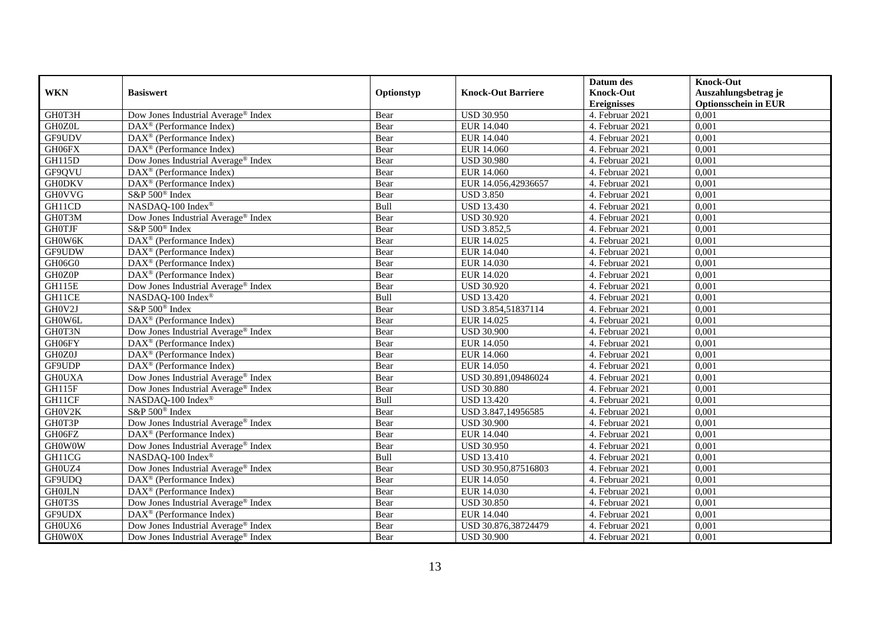|               |                                                       |            |                           | Datum des          | <b>Knock-Out</b>            |
|---------------|-------------------------------------------------------|------------|---------------------------|--------------------|-----------------------------|
| <b>WKN</b>    | <b>Basiswert</b>                                      | Optionstyp | <b>Knock-Out Barriere</b> | <b>Knock-Out</b>   | Auszahlungsbetrag je        |
|               |                                                       |            |                           | <b>Ereignisses</b> | <b>Optionsschein in EUR</b> |
| GH0T3H        | Dow Jones Industrial Average <sup>®</sup> Index       | Bear       | <b>USD 30.950</b>         | 4. Februar 2021    | 0,001                       |
| GH0Z0L        | DAX <sup>®</sup> (Performance Index)                  | Bear       | EUR 14.040                | 4. Februar 2021    | 0,001                       |
| GF9UDV        | DAX <sup>®</sup> (Performance Index)                  | Bear       | EUR 14.040                | 4. Februar 2021    | 0,001                       |
| GH06FX        | DAX <sup>®</sup> (Performance Index)                  | Bear       | EUR 14.060                | 4. Februar 2021    | 0,001                       |
| GH115D        | Dow Jones Industrial Average <sup>®</sup> Index       | Bear       | <b>USD 30.980</b>         | 4. Februar 2021    | 0,001                       |
| GF9QVU        | $\text{DAX}^{\textcircled{D}}$ (Performance Index)    | Bear       | <b>EUR 14.060</b>         | 4. Februar 2021    | 0,001                       |
| <b>GH0DKV</b> | DAX <sup>®</sup> (Performance Index)                  | Bear       | EUR 14.056,42936657       | 4. Februar 2021    | 0,001                       |
| <b>GH0VVG</b> | S&P 500 <sup>®</sup> Index                            | Bear       | <b>USD 3.850</b>          | 4. Februar 2021    | 0,001                       |
| GH11CD        | NASDAQ-100 Index®                                     | Bull       | <b>USD 13.430</b>         | 4. Februar 2021    | 0,001                       |
| GH0T3M        | Dow Jones Industrial Average® Index                   | Bear       | <b>USD 30.920</b>         | 4. Februar 2021    | 0,001                       |
| <b>GH0TJF</b> | S&P 500 <sup>®</sup> Index                            | Bear       | <b>USD 3.852,5</b>        | 4. Februar 2021    | 0,001                       |
| GH0W6K        | DAX <sup>®</sup> (Performance Index)                  | Bear       | EUR 14.025                | 4. Februar 2021    | 0,001                       |
| GF9UDW        | $\text{DAX}^{\textcircled{n}}$ (Performance Index)    | Bear       | EUR 14.040                | 4. Februar 2021    | 0,001                       |
| GH06G0        | $DAX^{\circledR}$ (Performance Index)                 | Bear       | EUR 14.030                | 4. Februar 2021    | 0,001                       |
| GH0Z0P        | DAX <sup>®</sup> (Performance Index)                  | Bear       | EUR 14.020                | 4. Februar 2021    | 0,001                       |
| GH115E        | Dow Jones Industrial Average® Index                   | Bear       | <b>USD 30.920</b>         | 4. Februar 2021    | 0,001                       |
| GH11CE        | NASDAQ-100 Index®                                     | Bull       | <b>USD 13.420</b>         | 4. Februar 2021    | 0,001                       |
| GH0V2J        | S&P 500 <sup>®</sup> Index                            | Bear       | USD 3.854,51837114        | 4. Februar 2021    | 0,001                       |
| GH0W6L        | DAX <sup>®</sup> (Performance Index)                  | Bear       | EUR 14.025                | 4. Februar 2021    | 0,001                       |
| GH0T3N        | Dow Jones Industrial Average® Index                   | Bear       | <b>USD 30.900</b>         | 4. Februar 2021    | 0,001                       |
| GH06FY        | DAX <sup>®</sup> (Performance Index)                  | Bear       | <b>EUR 14.050</b>         | 4. Februar 2021    | 0,001                       |
| GH0Z0J        | $\text{DAX}^{\textcircled{D}}$ (Performance Index)    | Bear       | EUR 14.060                | 4. Februar 2021    | 0,001                       |
| GF9UDP        | DAX <sup>®</sup> (Performance Index)                  | Bear       | <b>EUR 14.050</b>         | 4. Februar 2021    | 0,001                       |
| <b>GHOUXA</b> | Dow Jones Industrial Average® Index                   | Bear       | USD 30.891,09486024       | 4. Februar 2021    | 0,001                       |
| GH115F        | Dow Jones Industrial Average <sup>®</sup> Index       | Bear       | <b>USD 30.880</b>         | 4. Februar 2021    | 0,001                       |
| GH11CF        | NASDAQ-100 Index®                                     | Bull       | <b>USD 13.420</b>         | 4. Februar 2021    | 0,001                       |
| GH0V2K        | S&P 500 <sup>®</sup> Index                            | Bear       | USD 3.847,14956585        | 4. Februar 2021    | 0,001                       |
| GH0T3P        | Dow Jones Industrial Average® Index                   | Bear       | <b>USD 30.900</b>         | 4. Februar 2021    | 0,001                       |
| GH06FZ        | $\overline{\text{DAX}^{\otimes}}$ (Performance Index) | Bear       | EUR 14.040                | 4. Februar 2021    | 0,001                       |
| <b>GH0W0W</b> | Dow Jones Industrial Average <sup>®</sup> Index       | Bear       | <b>USD 30.950</b>         | 4. Februar 2021    | 0,001                       |
| GH11CG        | NASDAQ-100 Index®                                     | Bull       | <b>USD 13.410</b>         | 4. Februar 2021    | 0,001                       |
| GH0UZ4        | Dow Jones Industrial Average <sup>®</sup> Index       | Bear       | USD 30.950,87516803       | 4. Februar 2021    | 0,001                       |
| GF9UDQ        | $\overline{\text{DAX}^{\otimes}}$ (Performance Index) | Bear       | <b>EUR 14.050</b>         | 4. Februar 2021    | 0,001                       |
| <b>GH0JLN</b> | DAX <sup>®</sup> (Performance Index)                  | Bear       | EUR 14.030                | 4. Februar 2021    | 0,001                       |
| GH0T3S        | Dow Jones Industrial Average® Index                   | Bear       | <b>USD 30.850</b>         | 4. Februar 2021    | 0,001                       |
| GF9UDX        | $\text{DAX}^{\textcircled{D}}$ (Performance Index)    | Bear       | EUR 14.040                | 4. Februar 2021    | 0,001                       |
| GH0UX6        | Dow Jones Industrial Average® Index                   | Bear       | USD 30.876,38724479       | 4. Februar 2021    | 0,001                       |
| GH0W0X        | Dow Jones Industrial Average <sup>®</sup> Index       | Bear       | <b>USD 30.900</b>         | 4. Februar 2021    | 0,001                       |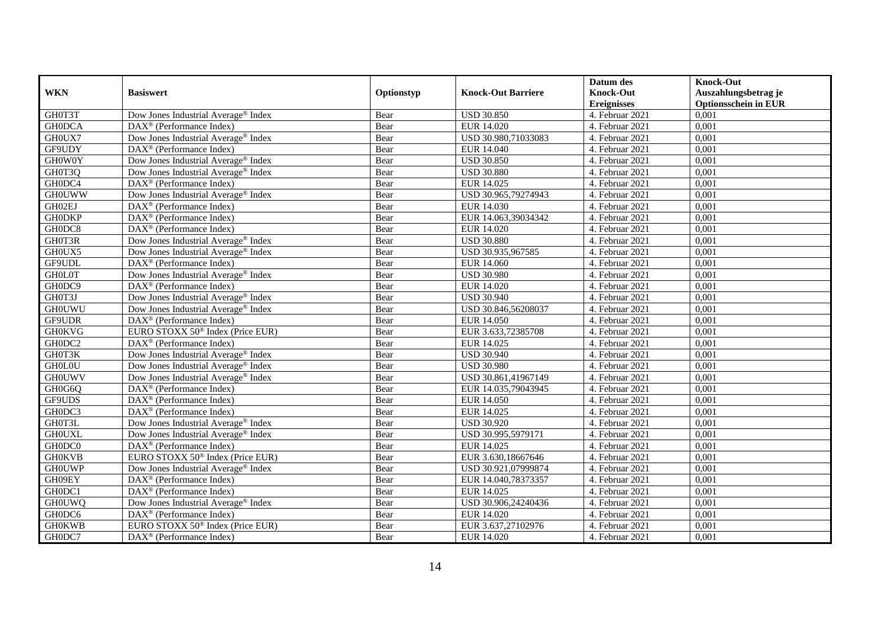|               |                                                         |            |                           | Datum des          | <b>Knock-Out</b>            |
|---------------|---------------------------------------------------------|------------|---------------------------|--------------------|-----------------------------|
| <b>WKN</b>    | <b>Basiswert</b>                                        | Optionstyp | <b>Knock-Out Barriere</b> | <b>Knock-Out</b>   | Auszahlungsbetrag je        |
|               |                                                         |            |                           | <b>Ereignisses</b> | <b>Optionsschein in EUR</b> |
| GH0T3T        | Dow Jones Industrial Average® Index                     | Bear       | <b>USD 30.850</b>         | 4. Februar 2021    | 0,001                       |
| <b>GH0DCA</b> | DAX <sup>®</sup> (Performance Index)                    | Bear       | EUR 14.020                | 4. Februar 2021    | 0,001                       |
| GH0UX7        | Dow Jones Industrial Average <sup>®</sup> Index         | Bear       | USD 30.980,71033083       | 4. Februar 2021    | 0,001                       |
| GF9UDY        | $\text{DAX}^{\otimes}$ (Performance Index)              | Bear       | EUR 14.040                | 4. Februar 2021    | 0,001                       |
| <b>GHOWOY</b> | Dow Jones Industrial Average <sup>®</sup> Index         | Bear       | <b>USD 30.850</b>         | 4. Februar 2021    | 0,001                       |
| GH0T3Q        | Dow Jones Industrial Average <sup>®</sup> Index         | Bear       | <b>USD 30.880</b>         | 4. Februar 2021    | 0,001                       |
| GH0DC4        | $DAX^{\otimes}$ (Performance Index)                     | Bear       | EUR 14.025                | 4. Februar 2021    | 0,001                       |
| <b>GH0UWW</b> | Dow Jones Industrial Average® Index                     | Bear       | USD 30.965,79274943       | 4. Februar 2021    | 0,001                       |
| GH02EJ        | $\text{DAX}^{\textcircled{n}}$ (Performance Index)      | Bear       | EUR 14.030                | 4. Februar 2021    | 0,001                       |
| <b>GH0DKP</b> | DAX <sup>®</sup> (Performance Index)                    | Bear       | EUR 14.063,39034342       | 4. Februar 2021    | 0,001                       |
| GH0DC8        | $\overline{\text{DAX}^{\otimes}}$ (Performance Index)   | Bear       | EUR 14.020                | 4. Februar 2021    | 0,001                       |
| GH0T3R        | Dow Jones Industrial Average <sup>®</sup> Index         | Bear       | <b>USD 30.880</b>         | 4. Februar 2021    | 0,001                       |
| GH0UX5        | Dow Jones Industrial Average® Index                     | Bear       | USD 30.935,967585         | 4. Februar 2021    | 0,001                       |
| GF9UDL        | $DAX^{\circledR}$ (Performance Index)                   | Bear       | EUR 14.060                | 4. Februar 2021    | 0,001                       |
| <b>GHOLOT</b> | Dow Jones Industrial Average® Index                     | Bear       | <b>USD 30.980</b>         | 4. Februar 2021    | 0,001                       |
| GH0DC9        | $\overline{\text{DAX}}^{\textcirc}$ (Performance Index) | Bear       | EUR 14.020                | 4. Februar 2021    | 0,001                       |
| GH0T3J        | Dow Jones Industrial Average® Index                     | Bear       | <b>USD 30.940</b>         | 4. Februar 2021    | 0,001                       |
| <b>GH0UWU</b> | Dow Jones Industrial Average® Index                     | Bear       | USD 30.846,56208037       | 4. Februar 2021    | 0,001                       |
| GF9UDR        | $\text{DAX}^{\textcircled{n}}$ (Performance Index)      | Bear       | EUR 14.050                | 4. Februar 2021    | 0,001                       |
| <b>GH0KVG</b> | EURO STOXX 50 <sup>®</sup> Index (Price EUR)            | Bear       | EUR 3.633,72385708        | 4. Februar 2021    | 0,001                       |
| GH0DC2        | $\overline{\text{DAX}^{\otimes}}$ (Performance Index)   | Bear       | EUR 14.025                | 4. Februar 2021    | 0,001                       |
| GH0T3K        | Dow Jones Industrial Average <sup>®</sup> Index         | Bear       | <b>USD 30.940</b>         | 4. Februar 2021    | 0,001                       |
| <b>GH0L0U</b> | Dow Jones Industrial Average® Index                     | Bear       | <b>USD 30.980</b>         | 4. Februar 2021    | 0,001                       |
| <b>GHOUWV</b> | Dow Jones Industrial Average® Index                     | Bear       | USD 30.861,41967149       | 4. Februar 2021    | 0,001                       |
| GH0G6Q        | $\overline{\text{DAX}^{\otimes}}$ (Performance Index)   | Bear       | EUR 14.035,79043945       | 4. Februar 2021    | 0,001                       |
| GF9UDS        | DAX <sup>®</sup> (Performance Index)                    | Bear       | EUR 14.050                | 4. Februar 2021    | 0,001                       |
| GH0DC3        | DAX <sup>®</sup> (Performance Index)                    | Bear       | EUR 14.025                | 4. Februar 2021    | 0,001                       |
| GH0T3L        | Dow Jones Industrial Average® Index                     | Bear       | <b>USD 30.920</b>         | 4. Februar 2021    | 0,001                       |
| <b>GHOUXL</b> | Dow Jones Industrial Average® Index                     | Bear       | USD 30.995,5979171        | 4. Februar 2021    | 0,001                       |
| GH0DC0        | $\text{DAX}^{\textcircled{n}}$ (Performance Index)      | Bear       | EUR 14.025                | 4. Februar 2021    | 0,001                       |
| <b>GH0KVB</b> | EURO STOXX 50 <sup>®</sup> Index (Price EUR)            | Bear       | EUR 3.630,18667646        | 4. Februar 2021    | 0,001                       |
| <b>GH0UWP</b> | Dow Jones Industrial Average <sup>®</sup> Index         | Bear       | USD 30.921,07999874       | 4. Februar 2021    | 0,001                       |
| GH09EY        | $\text{DAX}^{\textcircled{D}}$ (Performance Index)      | Bear       | EUR 14.040,78373357       | 4. Februar 2021    | 0,001                       |
| GH0DC1        | DAX <sup>®</sup> (Performance Index)                    | Bear       | EUR 14.025                | 4. Februar 2021    | 0,001                       |
| <b>GH0UWQ</b> | Dow Jones Industrial Average <sup>®</sup> Index         | Bear       | USD 30.906,24240436       | 4. Februar 2021    | 0,001                       |
| GH0DC6        | DAX <sup>®</sup> (Performance Index)                    | Bear       | EUR 14.020                | 4. Februar 2021    | 0,001                       |
| <b>GH0KWB</b> | EURO STOXX 50 <sup>®</sup> Index (Price EUR)            | Bear       | EUR 3.637,27102976        | 4. Februar 2021    | 0,001                       |
| GH0DC7        | $\text{DAX}^{\textcircled{n}}$ (Performance Index)      | Bear       | EUR 14.020                | 4. Februar 2021    | 0,001                       |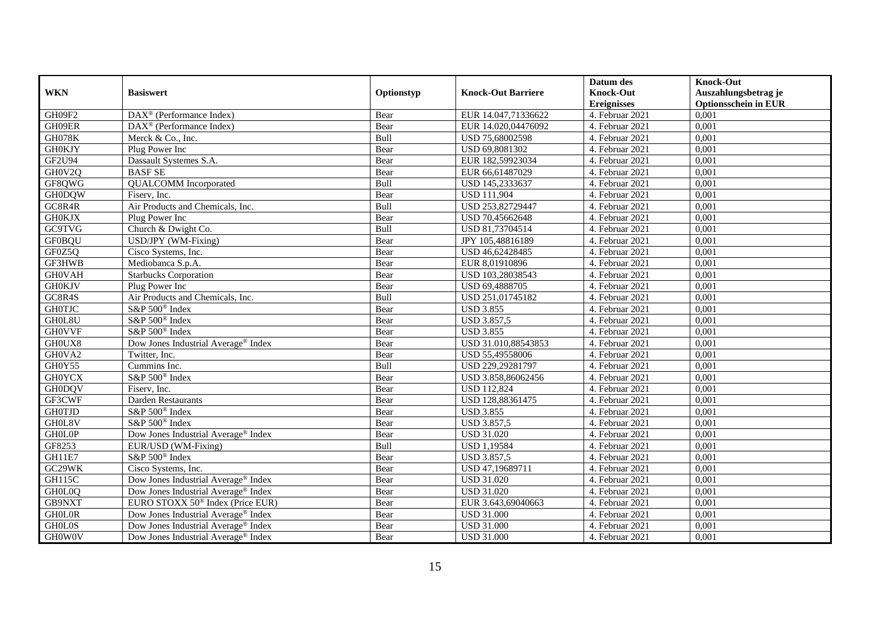|               |                                                    |            |                           | Datum des          | <b>Knock-Out</b>            |
|---------------|----------------------------------------------------|------------|---------------------------|--------------------|-----------------------------|
| <b>WKN</b>    | <b>Basiswert</b>                                   | Optionstyp | <b>Knock-Out Barriere</b> | <b>Knock-Out</b>   | Auszahlungsbetrag je        |
|               |                                                    |            |                           | <b>Ereignisses</b> | <b>Optionsschein in EUR</b> |
| GH09F2        | DAX <sup>®</sup> (Performance Index)               | Bear       | EUR 14.047,71336622       | 4. Februar 2021    | 0,001                       |
| GH09ER        | $\text{DAX}^{\textcircled{n}}$ (Performance Index) | Bear       | EUR 14.020,04476092       | 4. Februar 2021    | 0,001                       |
| <b>GH078K</b> | Merck & Co., Inc.                                  | Bull       | USD 75,68002598           | 4. Februar 2021    | 0,001                       |
| <b>GH0KJY</b> | Plug Power Inc                                     | Bear       | USD 69,8081302            | 4. Februar 2021    | 0,001                       |
| GF2U94        | Dassault Systemes S.A.                             | Bear       | EUR 182,59923034          | 4. Februar 2021    | 0,001                       |
| GH0V2Q        | <b>BASF SE</b>                                     | Bear       | EUR 66,61487029           | 4. Februar 2021    | 0,001                       |
| GF8QWG        | <b>QUALCOMM</b> Incorporated                       | Bull       | USD 145,2333637           | 4. Februar 2021    | 0,001                       |
| <b>GH0DQW</b> | Fisery, Inc.                                       | Bear       | <b>USD 111,904</b>        | 4. Februar 2021    | 0,001                       |
| GC8R4R        | Air Products and Chemicals, Inc.                   | Bull       | USD 253,82729447          | 4. Februar 2021    | 0,001                       |
| <b>GH0KJX</b> | Plug Power Inc                                     | Bear       | USD 70,45662648           | 4. Februar 2021    | 0,001                       |
| <b>GC9TVG</b> | Church & Dwight Co.                                | Bull       | USD 81,73704514           | 4. Februar 2021    | 0,001                       |
| <b>GF0BQU</b> | USD/JPY (WM-Fixing)                                | Bear       | JPY 105,48816189          | 4. Februar 2021    | 0,001                       |
| GF0Z5Q        | Cisco Systems, Inc.                                | Bear       | USD 46,62428485           | 4. Februar 2021    | 0,001                       |
| GF3HWB        | Mediobanca S.p.A.                                  | Bear       | EUR 8,01910896            | 4. Februar 2021    | 0,001                       |
| <b>GH0VAH</b> | <b>Starbucks Corporation</b>                       | Bear       | USD 103,28038543          | 4. Februar 2021    | 0,001                       |
| <b>GH0KJV</b> | Plug Power Inc                                     | Bear       | USD 69,4888705            | 4. Februar 2021    | 0,001                       |
| GC8R4S        | Air Products and Chemicals, Inc.                   | Bull       | USD 251,01745182          | 4. Februar 2021    | 0,001                       |
| <b>GH0TJC</b> | $S\&P 500^{\circ}$ Index                           | Bear       | <b>USD 3.855</b>          | 4. Februar 2021    | 0,001                       |
| GH0L8U        | S&P 500 <sup>®</sup> Index                         | Bear       | <b>USD 3.857,5</b>        | 4. Februar 2021    | 0,001                       |
| <b>GH0VVF</b> | S&P 500 <sup>®</sup> Index                         | Bear       | <b>USD 3.855</b>          | 4. Februar 2021    | 0,001                       |
| GH0UX8        | Dow Jones Industrial Average® Index                | Bear       | USD 31.010,88543853       | 4. Februar 2021    | 0,001                       |
| GH0VA2        | Twitter, Inc.                                      | Bear       | USD 55,49558006           | 4. Februar 2021    | 0,001                       |
| GH0Y55        | Cummins Inc.                                       | Bull       | USD 229,29281797          | 4. Februar 2021    | 0,001                       |
| <b>GH0YCX</b> | S&P 500 <sup>®</sup> Index                         | Bear       | USD 3.858,86062456        | 4. Februar 2021    | 0,001                       |
| <b>GH0DQV</b> | Fisery, Inc.                                       | Bear       | <b>USD 112,824</b>        | 4. Februar 2021    | 0.001                       |
| GF3CWF        | Darden Restaurants                                 | Bear       | USD 128,88361475          | 4. Februar 2021    | 0,001                       |
| <b>GH0TJD</b> | S&P 500 <sup>®</sup> Index                         | Bear       | <b>USD 3.855</b>          | 4. Februar 2021    | 0,001                       |
| GH0L8V        | S&P 500 <sup>®</sup> Index                         | Bear       | <b>USD 3.857,5</b>        | 4. Februar 2021    | 0,001                       |
| <b>GHOLOP</b> | Dow Jones Industrial Average® Index                | Bear       | <b>USD 31.020</b>         | 4. Februar 2021    | 0,001                       |
| GF8253        | EUR/USD (WM-Fixing)                                | Bull       | <b>USD 1,19584</b>        | 4. Februar 2021    | 0,001                       |
| GH11E7        | S&P 500 <sup>®</sup> Index                         | Bear       | <b>USD 3.857,5</b>        | 4. Februar 2021    | 0,001                       |
| GC29WK        | Cisco Systems, Inc.                                | Bear       | USD 47,19689711           | 4. Februar 2021    | 0,001                       |
| <b>GH115C</b> | Dow Jones Industrial Average® Index                | Bear       | <b>USD 31.020</b>         | 4. Februar 2021    | 0,001                       |
| GH0L0Q        | Dow Jones Industrial Average® Index                | Bear       | <b>USD 31.020</b>         | 4. Februar 2021    | 0,001                       |
| GB9NXT        | EURO STOXX 50 <sup>®</sup> Index (Price EUR)       | Bear       | EUR 3.643,69040663        | 4. Februar 2021    | 0,001                       |
| <b>GHOLOR</b> | Dow Jones Industrial Average <sup>®</sup> Index    | Bear       | <b>USD 31.000</b>         | 4. Februar 2021    | 0,001                       |
| <b>GHOLOS</b> | Dow Jones Industrial Average® Index                | Bear       | <b>USD 31.000</b>         | 4. Februar 2021    | 0,001                       |
| <b>GH0W0V</b> | Dow Jones Industrial Average® Index                | Bear       | <b>USD 31.000</b>         | 4. Februar 2021    | 0,001                       |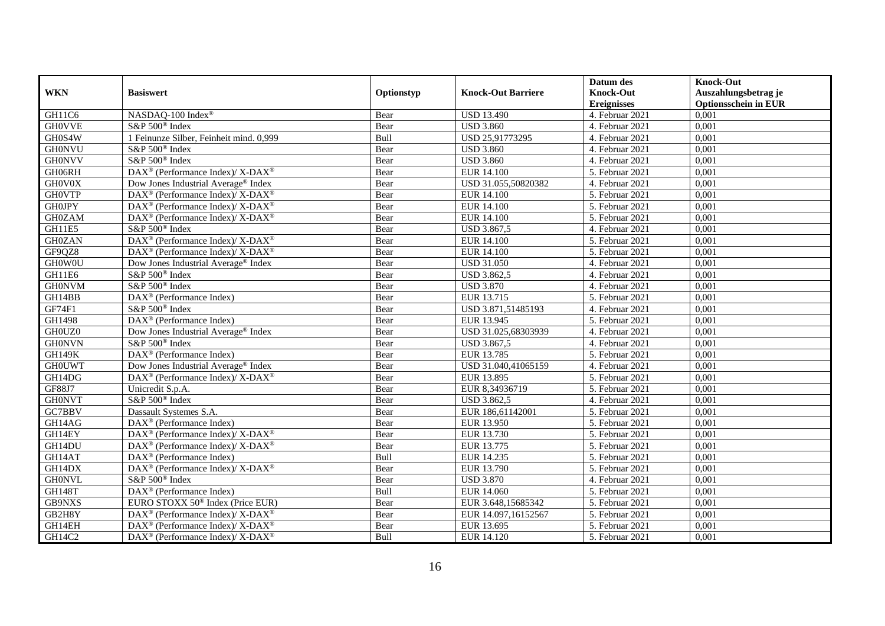|               |                                                                    |            |                           | Datum des                     | <b>Knock-Out</b>            |
|---------------|--------------------------------------------------------------------|------------|---------------------------|-------------------------------|-----------------------------|
| <b>WKN</b>    | <b>Basiswert</b>                                                   | Optionstyp | <b>Knock-Out Barriere</b> | <b>Knock-Out</b>              | Auszahlungsbetrag je        |
|               |                                                                    |            |                           | <b>Ereignisses</b>            | <b>Optionsschein in EUR</b> |
| GH11C6        | NASDAQ-100 Index®                                                  | Bear       | <b>USD 13.490</b>         | 4. Februar 2021               | 0,001                       |
| <b>GHOVVE</b> | S&P 500 <sup>®</sup> Index                                         | Bear       | <b>USD 3.860</b>          | 4. Februar 2021               | 0,001                       |
| GH0S4W        | 1 Feinunze Silber, Feinheit mind. 0,999                            | Bull       | USD 25,91773295           | 4. Februar 2021               | 0,001                       |
| <b>GH0NVU</b> | S&P 500 <sup>®</sup> Index                                         | Bear       | <b>USD 3.860</b>          | 4. Februar 2021               | 0,001                       |
| <b>GH0NVV</b> | S&P 500 <sup>®</sup> Index                                         | Bear       | <b>USD 3.860</b>          | 4. Februar 2021               | 0,001                       |
| GH06RH        | DAX <sup>®</sup> (Performance Index)/ X-DAX <sup>®</sup>           | Bear       | <b>EUR 14.100</b>         | 5. Februar 2021               | 0,001                       |
| GH0V0X        | Dow Jones Industrial Average® Index                                | Bear       | USD 31.055,50820382       | 4. Februar 2021               | 0,001                       |
| <b>GH0VTP</b> | $DAX^{\circledcirc}$ (Performance Index)/ X-DAX <sup>®</sup>       | Bear       | EUR 14.100                | 5. Februar 2021               | 0,001                       |
| <b>GH0JPY</b> | $DAX^{\circledcirc}$ (Performance Index)/ X-DAX <sup>®</sup>       | Bear       | <b>EUR 14.100</b>         | 5. Februar 2021               | 0,001                       |
| <b>GH0ZAM</b> | $DAX^{\circledast}$ (Performance Index)/X-DAX <sup>®</sup>         | Bear       | <b>EUR 14.100</b>         | 5. Februar 2021               | 0,001                       |
| GH11E5        | S&P 500 <sup>®</sup> Index                                         | Bear       | USD 3.867,5               | 4. Februar 2021               | 0,001                       |
| <b>GH0ZAN</b> | DAX <sup>®</sup> (Performance Index)/ X-DAX <sup>®</sup>           | Bear       | <b>EUR 14.100</b>         | 5. Februar 2021               | 0,001                       |
| GF9QZ8        | DAX <sup>®</sup> (Performance Index)/ X-DAX <sup>®</sup>           | Bear       | <b>EUR 14.100</b>         | 5. Februar 2021               | 0,001                       |
| <b>GH0W0U</b> | Dow Jones Industrial Average <sup>®</sup> Index                    | Bear       | <b>USD 31.050</b>         | 4. Februar 2021               | 0,001                       |
| GH11E6        | S&P 500 <sup>®</sup> Index                                         | Bear       | <b>USD 3.862,5</b>        | 4. Februar 2021               | 0,001                       |
| <b>GH0NVM</b> | S&P 500 <sup>®</sup> Index                                         | Bear       | <b>USD 3.870</b>          | 4. Februar 2021               | 0,001                       |
| GH14BB        | DAX <sup>®</sup> (Performance Index)                               | Bear       | EUR 13.715                | 5. Februar 2021               | 0,001                       |
| GF74F1        | S&P 500 <sup>®</sup> Index                                         | Bear       | USD 3.871,51485193        | 4. Februar 2021               | 0,001                       |
| GH1498        | $\overline{\text{DAX}^{\otimes}}$ (Performance Index)              | Bear       | EUR 13.945                | 5. Februar 2021               | 0,001                       |
| GH0UZ0        | Dow Jones Industrial Average® Index                                | Bear       | USD 31.025,68303939       | 4. Februar 2021               | 0,001                       |
| <b>GH0NVN</b> | S&P 500 <sup>®</sup> Index                                         | Bear       | <b>USD 3.867,5</b>        | 4. Februar 2021               | 0,001                       |
| <b>GH149K</b> | DAX <sup>®</sup> (Performance Index)                               | Bear       | EUR 13.785                | 5. Februar 2021               | 0,001                       |
| <b>GHOUWT</b> | Dow Jones Industrial Average® Index                                | Bear       | USD 31.040,41065159       | 4. Februar 2021               | 0,001                       |
| GH14DG        | DAX <sup>®</sup> (Performance Index)/ X-DAX <sup>®</sup>           | Bear       | EUR 13.895                | 5. Februar 2021               | 0,001                       |
| <b>GF88J7</b> | Unicredit S.p.A.                                                   | Bear       | EUR 8,34936719            | 5. Februar 2021               | 0,001                       |
| <b>GH0NVT</b> | S&P 500 <sup>®</sup> Index                                         | Bear       | <b>USD 3.862,5</b>        | 4. Februar 2021               | 0,001                       |
| GC7BBV        | Dassault Systemes S.A.                                             | Bear       | EUR 186,61142001          | 5. Februar 2021               | 0,001                       |
| GH14AG        | $\text{DAX}^{\textcircled{D}}$ (Performance Index)                 | Bear       | EUR 13.950                | $\overline{5}$ . Februar 2021 | 0,001                       |
| GH14EY        | $DAX^{\circledcirc}$ (Performance Index)/ X-DAX <sup>®</sup>       | Bear       | EUR 13.730                | 5. Februar 2021               | 0,001                       |
| GH14DU        | DAX <sup>®</sup> (Performance Index)/ X-DAX <sup>®</sup>           | Bear       | EUR 13.775                | 5. Februar 2021               | 0,001                       |
| GH14AT        | $\text{DAX}^{\textcircled{D}}$ (Performance Index)                 | Bull       | EUR 14.235                | 5. Februar 2021               | 0,001                       |
| GH14DX        | $\text{DAX}^{\circledR}$ (Performance Index)/ X-DAX <sup>®</sup>   | Bear       | EUR 13.790                | 5. Februar 2021               | 0,001                       |
| <b>GH0NVL</b> | S&P 500 <sup>®</sup> Index                                         | Bear       | <b>USD 3.870</b>          | 4. Februar 2021               | 0,001                       |
| <b>GH148T</b> | DAX <sup>®</sup> (Performance Index)                               | Bull       | EUR 14.060                | 5. Februar 2021               | 0,001                       |
| GB9NXS        | EURO STOXX 50 <sup>®</sup> Index (Price EUR)                       | Bear       | EUR 3.648,15685342        | 5. Februar 2021               | 0,001                       |
| GB2H8Y        | DAX <sup>®</sup> (Performance Index)/ X-DAX <sup>®</sup>           | Bear       | EUR 14.097,16152567       | 5. Februar 2021               | 0,001                       |
| GH14EH        | $\text{DAX}^{\circledast}$ (Performance Index)/ X-DAX <sup>®</sup> | Bear       | EUR 13.695                | 5. Februar 2021               | 0,001                       |
| GH14C2        | $\text{DAX}^{\circledast}$ (Performance Index)/ X-DAX <sup>®</sup> | Bull       | EUR 14.120                | 5. Februar 2021               | 0,001                       |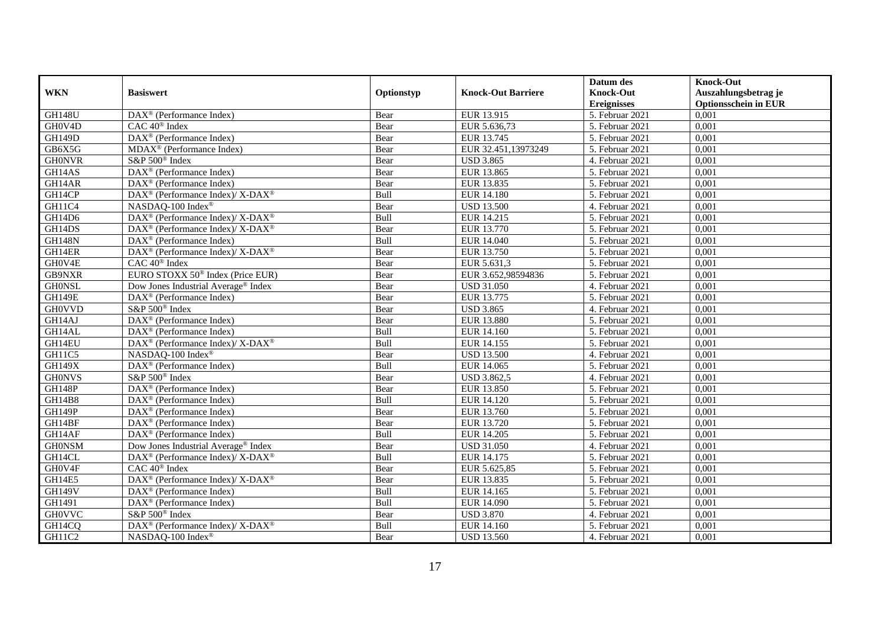|               |                                                               |            |                           | Datum des          | <b>Knock-Out</b>            |
|---------------|---------------------------------------------------------------|------------|---------------------------|--------------------|-----------------------------|
| <b>WKN</b>    | <b>Basiswert</b>                                              | Optionstyp | <b>Knock-Out Barriere</b> | <b>Knock-Out</b>   | Auszahlungsbetrag je        |
|               |                                                               |            |                           | <b>Ereignisses</b> | <b>Optionsschein in EUR</b> |
| <b>GH148U</b> | DAX <sup>®</sup> (Performance Index)                          | Bear       | EUR 13.915                | 5. Februar 2021    | 0,001                       |
| GH0V4D        | $CAC 40$ <sup>®</sup> Index                                   | Bear       | EUR 5.636,73              | 5. Februar 2021    | 0,001                       |
| <b>GH149D</b> | $\overline{\text{DAX}^{\otimes}}$ (Performance Index)         | Bear       | EUR 13.745                | 5. Februar 2021    | 0,001                       |
| GB6X5G        | MDAX <sup>®</sup> (Performance Index)                         | Bear       | EUR 32.451,13973249       | 5. Februar 2021    | 0,001                       |
| <b>GH0NVR</b> | S&P 500 <sup>®</sup> Index                                    | Bear       | <b>USD 3.865</b>          | 4. Februar 2021    | 0,001                       |
| GH14AS        | DAX <sup>®</sup> (Performance Index)                          | Bear       | EUR 13.865                | 5. Februar 2021    | 0,001                       |
| GH14AR        | $DAX^{\otimes}$ (Performance Index)                           | Bear       | EUR 13.835                | 5. Februar 2021    | 0,001                       |
| GH14CP        | DAX <sup>®</sup> (Performance Index)/ X-DAX <sup>®</sup>      | Bull       | EUR 14.180                | 5. Februar 2021    | 0,001                       |
| GH11C4        | NASDAQ-100 Index®                                             | Bear       | <b>USD 13.500</b>         | 4. Februar 2021    | 0,001                       |
| GH14D6        | DAX <sup>®</sup> (Performance Index)/ X-DAX <sup>®</sup>      | Bull       | EUR 14.215                | 5. Februar 2021    | 0,001                       |
| GH14DS        | $\text{DAX}^{\otimes}$ (Performance Index)/X-DAX <sup>®</sup> | Bear       | EUR 13.770                | 5. Februar 2021    | 0,001                       |
| <b>GH148N</b> | DAX <sup>®</sup> (Performance Index)                          | Bull       | EUR 14.040                | 5. Februar 2021    | 0,001                       |
| GH14ER        | DAX <sup>®</sup> (Performance Index)/ X-DAX <sup>®</sup>      | Bear       | EUR 13.750                | 5. Februar 2021    | 0,001                       |
| GH0V4E        | $CAC 40$ <sup>®</sup> Index                                   | Bear       | EUR 5.631,3               | 5. Februar 2021    | 0,001                       |
| GB9NXR        | EURO STOXX 50 <sup>®</sup> Index (Price EUR)                  | Bear       | EUR 3.652,98594836        | 5. Februar 2021    | 0,001                       |
| <b>GHONSL</b> | Dow Jones Industrial Average® Index                           | Bear       | <b>USD 31.050</b>         | 4. Februar 2021    | 0,001                       |
| <b>GH149E</b> | DAX <sup>®</sup> (Performance Index)                          | Bear       | EUR 13.775                | 5. Februar 2021    | 0,001                       |
| <b>GH0VVD</b> | S&P 500 <sup>®</sup> Index                                    | Bear       | <b>USD 3.865</b>          | 4. Februar 2021    | 0,001                       |
| GH14AJ        | $\overline{\text{DAX}^{\otimes}}$ (Performance Index)         | Bear       | <b>EUR 13.880</b>         | 5. Februar 2021    | 0,001                       |
| GH14AL        | $\overline{\text{DAX}^{\otimes}}$ (Performance Index)         | Bull       | EUR 14.160                | 5. Februar 2021    | 0,001                       |
| GH14EU        | DAX <sup>®</sup> (Performance Index)/ X-DAX <sup>®</sup>      | Bull       | EUR 14.155                | 5. Februar 2021    | 0,001                       |
| GH11C5        | NASDAQ-100 Index®                                             | Bear       | <b>USD 13.500</b>         | 4. Februar 2021    | 0,001                       |
| <b>GH149X</b> | $\overline{\text{DAX}^{\otimes}}$ (Performance Index)         | Bull       | EUR 14.065                | 5. Februar 2021    | 0,001                       |
| <b>GH0NVS</b> | S&P 500 <sup>®</sup> Index                                    | Bear       | <b>USD 3.862,5</b>        | 4. Februar 2021    | 0,001                       |
| <b>GH148P</b> | $DAX^{\circledR}$ (Performance Index)                         | Bear       | EUR 13.850                | 5. Februar 2021    | 0.001                       |
| GH14B8        | DAX <sup>®</sup> (Performance Index)                          | Bull       | EUR 14.120                | 5. Februar 2021    | 0,001                       |
| GH149P        | DAX <sup>®</sup> (Performance Index)                          | Bear       | EUR 13.760                | 5. Februar 2021    | 0,001                       |
| GH14BF        | $\text{DAX}^{\textcircled{D}}$ (Performance Index)            | Bear       | EUR 13.720                | 5. Februar 2021    | 0,001                       |
| GH14AF        | $\overline{\text{DAX}^{\otimes}}$ (Performance Index)         | Bull       | EUR 14.205                | 5. Februar 2021    | 0,001                       |
| <b>GH0NSM</b> | Dow Jones Industrial Average <sup>®</sup> Index               | Bear       | <b>USD 31.050</b>         | 4. Februar 2021    | 0,001                       |
| GH14CL        | DAX <sup>®</sup> (Performance Index)/ X-DAX <sup>®</sup>      | Bull       | EUR 14.175                | 5. Februar 2021    | 0,001                       |
| GH0V4F        | $CAC 40$ <sup>®</sup> Index                                   | Bear       | EUR 5.625,85              | 5. Februar 2021    | 0,001                       |
| GH14E5        | DAX <sup>®</sup> (Performance Index)/ X-DAX <sup>®</sup>      | Bear       | EUR 13.835                | 5. Februar 2021    | 0,001                       |
| <b>GH149V</b> | DAX <sup>®</sup> (Performance Index)                          | Bull       | EUR 14.165                | 5. Februar 2021    | 0,001                       |
| GH1491        | DAX <sup>®</sup> (Performance Index)                          | Bull       | EUR 14.090                | 5. Februar 2021    | 0,001                       |
| <b>GH0VVC</b> | S&P 500 <sup>®</sup> Index                                    | Bear       | <b>USD 3.870</b>          | 4. Februar 2021    | 0,001                       |
| GH14CQ        | $DAX^{\circledast}$ (Performance Index)/X-DAX <sup>®</sup>    | Bull       | EUR 14.160                | 5. Februar 2021    | 0,001                       |
| GH11C2        | NASDAQ-100 Index®                                             | Bear       | <b>USD 13.560</b>         | 4. Februar 2021    | 0,001                       |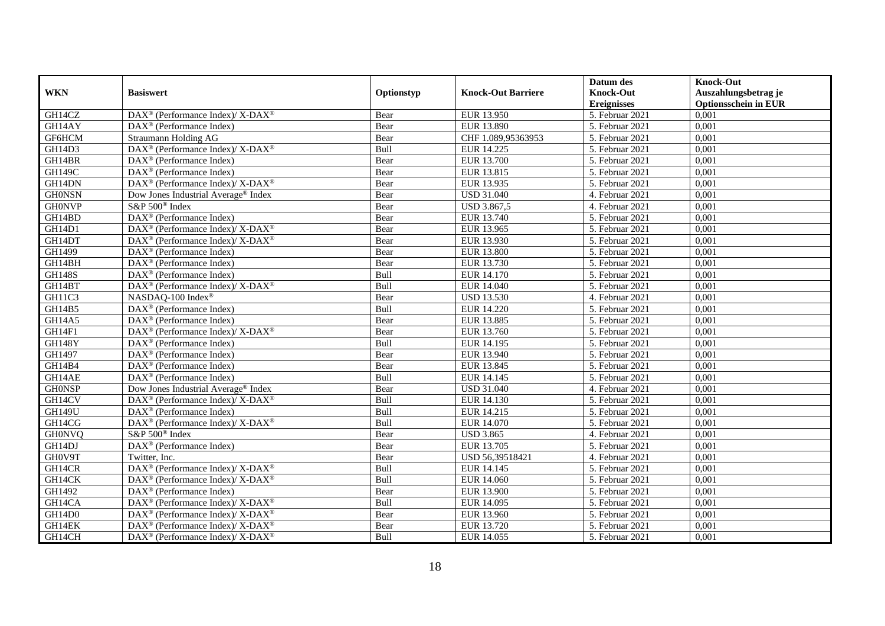|               |                                                                          |             |                           | Datum des          | <b>Knock-Out</b>            |
|---------------|--------------------------------------------------------------------------|-------------|---------------------------|--------------------|-----------------------------|
| <b>WKN</b>    | <b>Basiswert</b>                                                         | Optionstyp  | <b>Knock-Out Barriere</b> | <b>Knock-Out</b>   | Auszahlungsbetrag je        |
|               |                                                                          |             |                           | <b>Ereignisses</b> | <b>Optionsschein in EUR</b> |
| GH14CZ        | DAX <sup>®</sup> (Performance Index)/ X-DAX <sup>®</sup>                 | Bear        | EUR 13.950                | 5. Februar 2021    | 0,001                       |
| GH14AY        | $\text{DAX}^{\textcircled{n}}$ (Performance Index)                       | Bear        | <b>EUR 13.890</b>         | 5. Februar 2021    | 0,001                       |
| GF6HCM        | Straumann Holding AG                                                     | Bear        | CHF 1.089,95363953        | 5. Februar 2021    | 0,001                       |
| GH14D3        | $DAX^{\circledast}$ (Performance Index)/X-DAX <sup>®</sup>               | Bull        | EUR 14.225                | 5. Februar 2021    | 0,001                       |
| GH14BR        | $\overline{\text{DAX}^{\otimes}(\text{Performance Index})}$              | Bear        | <b>EUR 13.700</b>         | 5. Februar 2021    | 0,001                       |
| <b>GH149C</b> | $\text{DAX}^{\textcircled{D}}$ (Performance Index)                       | Bear        | EUR 13.815                | 5. Februar 2021    | 0,001                       |
| GH14DN        | DAX <sup>®</sup> (Performance Index)/ X-DAX <sup>®</sup>                 | Bear        | EUR 13.935                | 5. Februar 2021    | 0,001                       |
| <b>GH0NSN</b> | Dow Jones Industrial Average® Index                                      | Bear        | <b>USD 31.040</b>         | 4. Februar 2021    | 0,001                       |
| <b>GH0NVP</b> | S&P 500 <sup>®</sup> Index                                               | Bear        | USD 3.867,5               | 4. Februar 2021    | 0,001                       |
| GH14BD        | DAX <sup>®</sup> (Performance Index)                                     | Bear        | EUR 13.740                | 5. Februar 2021    | 0,001                       |
| GH14D1        | DAX <sup>®</sup> (Performance Index)/ X-DAX <sup>®</sup>                 | Bear        | EUR 13.965                | 5. Februar 2021    | 0,001                       |
| GH14DT        | DAX <sup>®</sup> (Performance Index)/ X-DAX <sup>®</sup>                 | Bear        | EUR 13.930                | 5. Februar 2021    | 0,001                       |
| GH1499        | DAX <sup>®</sup> (Performance Index)                                     | Bear        | <b>EUR 13.800</b>         | 5. Februar 2021    | 0,001                       |
| GH14BH        | $\text{DAX}^{\textcircled{D}}$ (Performance Index)                       | Bear        | EUR 13.730                | 5. Februar 2021    | 0,001                       |
| <b>GH148S</b> | $\text{DAX}^{\otimes}$ (Performance Index)                               | Bull        | EUR 14.170                | 5. Februar 2021    | 0,001                       |
| GH14BT        | DAX <sup>®</sup> (Performance Index)/ X-DAX <sup>®</sup>                 | Bull        | EUR 14.040                | 5. Februar 2021    | 0,001                       |
| GH11C3        | NASDAQ-100 Index®                                                        | Bear        | <b>USD 13.530</b>         | 4. Februar 2021    | 0,001                       |
| GH14B5        | $\text{DAX}^{\textcircled{D}}$ (Performance Index)                       | <b>Bull</b> | EUR 14.220                | 5. Februar 2021    | 0,001                       |
| <b>GH14A5</b> | DAX <sup>®</sup> (Performance Index)                                     | Bear        | <b>EUR 13.885</b>         | 5. Februar 2021    | 0,001                       |
| GH14F1        | $\text{DAX}^{\circledR}$ (Performance Index)/ X-DAX <sup>®</sup>         | Bear        | EUR 13.760                | 5. Februar 2021    | 0,001                       |
| <b>GH148Y</b> | DAX <sup>®</sup> (Performance Index)                                     | Bull        | EUR 14.195                | 5. Februar 2021    | 0,001                       |
| GH1497        | $\overline{\text{DAX}^{\otimes}}$ (Performance Index)                    | Bear        | EUR 13.940                | 5. Februar 2021    | 0,001                       |
| GH14B4        | DAX <sup>®</sup> (Performance Index)                                     | Bear        | EUR 13.845                | 5. Februar 2021    | 0,001                       |
| GH14AE        | DAX <sup>®</sup> (Performance Index)                                     | Bull        | EUR 14.145                | 5. Februar 2021    | 0,001                       |
| <b>GHONSP</b> | Dow Jones Industrial Average® Index                                      | Bear        | <b>USD 31.040</b>         | 4. Februar 2021    | 0.001                       |
| GH14CV        | $\text{DAX}^{\circledR}$ (Performance Index)/ X-DAX <sup>®</sup>         | Bull        | EUR 14.130                | 5. Februar 2021    | 0,001                       |
| <b>GH149U</b> | DAX <sup>®</sup> (Performance Index)                                     | Bull        | EUR 14.215                | 5. Februar 2021    | 0,001                       |
| GH14CG        | DAX <sup>®</sup> (Performance Index)/ X-DAX <sup>®</sup>                 | Bull        | EUR 14.070                | 5. Februar 2021    | 0,001                       |
| <b>GH0NVQ</b> | S&P 500 <sup>®</sup> Index                                               | Bear        | <b>USD 3.865</b>          | 4. Februar 2021    | 0,001                       |
| GH14DJ        | DAX <sup>®</sup> (Performance Index)                                     | Bear        | EUR 13.705                | 5. Februar 2021    | 0,001                       |
| GH0V9T        | Twitter, Inc.                                                            | Bear        | USD 56,39518421           | 4. Februar 2021    | 0,001                       |
| GH14CR        | $\overline{\text{DAX}^{\otimes}}$ (Performance Index)/X-DAX <sup>®</sup> | <b>Bull</b> | EUR 14.145                | 5. Februar 2021    | 0,001                       |
| GH14CK        | DAX <sup>®</sup> (Performance Index)/ X-DAX <sup>®</sup>                 | Bull        | EUR 14.060                | 5. Februar 2021    | 0,001                       |
| GH1492        | DAX <sup>®</sup> (Performance Index)                                     | Bear        | <b>EUR 13.900</b>         | 5. Februar 2021    | 0,001                       |
| GH14CA        | DAX <sup>®</sup> (Performance Index)/ X-DAX <sup>®</sup>                 | Bull        | EUR 14.095                | 5. Februar 2021    | 0,001                       |
| GH14D0        | $\text{DAX}^{\otimes}$ (Performance Index)/X-DAX <sup>®</sup>            | Bear        | EUR 13.960                | 5. Februar 2021    | 0,001                       |
| GH14EK        | DAX <sup>®</sup> (Performance Index)/X-DAX <sup>®</sup>                  | Bear        | EUR 13.720                | 5. Februar 2021    | 0,001                       |
| GH14CH        | $\text{DAX}^{\circledast}$ (Performance Index)/ X-DAX <sup>®</sup>       | Bull        | EUR 14.055                | 5. Februar 2021    | 0,001                       |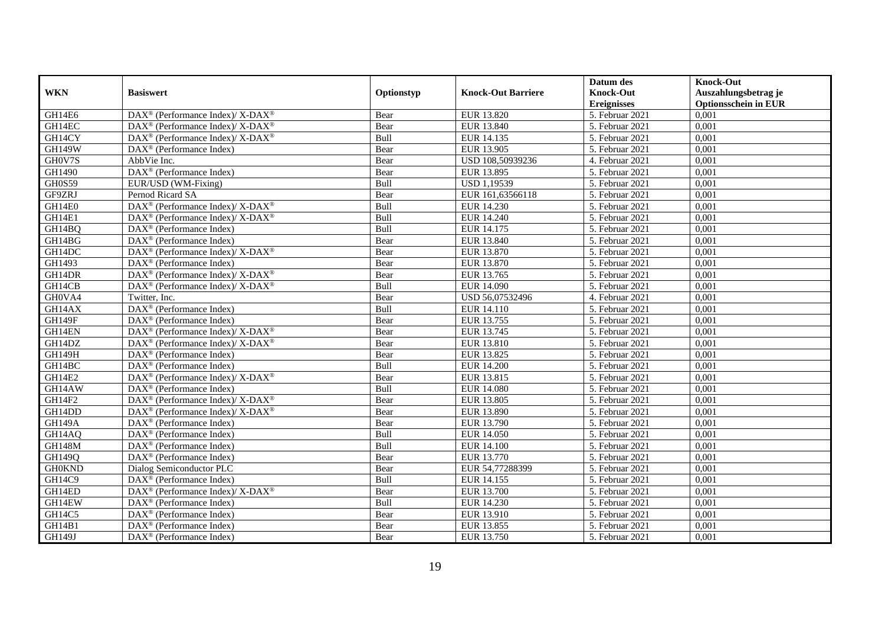|               |                                                                          |             |                           | Datum des          | <b>Knock-Out</b>            |
|---------------|--------------------------------------------------------------------------|-------------|---------------------------|--------------------|-----------------------------|
| <b>WKN</b>    | <b>Basiswert</b>                                                         | Optionstyp  | <b>Knock-Out Barriere</b> | <b>Knock-Out</b>   | Auszahlungsbetrag je        |
|               |                                                                          |             |                           | <b>Ereignisses</b> | <b>Optionsschein in EUR</b> |
| GH14E6        | $\text{DAX}^{\circledR}$ (Performance Index)/ X-DAX <sup>®</sup>         | Bear        | EUR 13.820                | 5. Februar 2021    | 0,001                       |
| GH14EC        | $DAX^{\circledast}$ (Performance Index)/X-DAX <sup>®</sup>               | Bear        | EUR 13.840                | 5. Februar 2021    | 0,001                       |
| GH14CY        | $\text{DAX}^{\circledast}$ (Performance Index)/ X-DAX <sup>®</sup>       | Bull        | EUR 14.135                | 5. Februar 2021    | 0,001                       |
| <b>GH149W</b> | $\text{DAX}^{\circledast}$ (Performance Index)                           | Bear        | EUR 13.905                | 5. Februar 2021    | 0,001                       |
| GH0V7S        | AbbVie Inc.                                                              | Bear        | USD 108,50939236          | 4. Februar 2021    | 0,001                       |
| GH1490        | DAX <sup>®</sup> (Performance Index)                                     | Bear        | EUR 13.895                | 5. Februar 2021    | 0,001                       |
| <b>GH0S59</b> | EUR/USD (WM-Fixing)                                                      | Bull        | <b>USD 1,19539</b>        | 5. Februar 2021    | 0,001                       |
| GF9ZRJ        | Pernod Ricard SA                                                         | Bear        | EUR 161,63566118          | 5. Februar 2021    | 0,001                       |
| GH14E0        | $\text{DAX}^{\circledR}$ (Performance Index)/ X-DAX <sup>®</sup>         | Bull        | EUR 14.230                | 5. Februar 2021    | 0,001                       |
| GH14E1        | $DAX^{\circledast}$ (Performance Index)/X-DAX <sup>®</sup>               | Bull        | EUR 14.240                | 5. Februar 2021    | 0,001                       |
| GH14BQ        | $\overline{\text{DAX}}^{\textcirc}$ (Performance Index)                  | Bull        | EUR 14.175                | 5. Februar 2021    | 0,001                       |
| GH14BG        | $\overline{\text{DAX}^{\otimes}}$ (Performance Index)                    | Bear        | EUR 13.840                | 5. Februar 2021    | 0,001                       |
| GH14DC        | DAX <sup>®</sup> (Performance Index)/ X-DAX <sup>®</sup>                 | Bear        | EUR 13.870                | 5. Februar 2021    | 0,001                       |
| GH1493        | $\text{DAX}^{\circledast}$ (Performance Index)                           | Bear        | EUR 13.870                | 5. Februar 2021    | 0,001                       |
| GH14DR        | DAX <sup>®</sup> (Performance Index)/ X-DAX <sup>®</sup>                 | Bear        | EUR 13.765                | 5. Februar 2021    | 0,001                       |
| GH14CB        | DAX <sup>®</sup> (Performance Index)/ X-DAX <sup>®</sup>                 | Bull        | EUR 14.090                | 5. Februar 2021    | 0,001                       |
| GH0VA4        | Twitter, Inc.                                                            | Bear        | USD 56,07532496           | 4. Februar 2021    | 0,001                       |
| GH14AX        | $\text{DAX}^{\textcircled{p}}$ (Performance Index)                       | <b>Bull</b> | EUR 14.110                | 5. Februar 2021    | 0,001                       |
| GH149F        | $\overline{\text{DAX}}^{\textcirc}$ (Performance Index)                  | Bear        | EUR 13.755                | 5. Februar 2021    | 0,001                       |
| GH14EN        | $\text{DAX}^{\circledR}$ (Performance Index)/ X-DAX <sup>®</sup>         | Bear        | EUR 13.745                | 5. Februar 2021    | 0,001                       |
| GH14DZ        | $DAX^{\circledast}$ (Performance Index)/X-DAX <sup>®</sup>               | Bear        | EUR 13.810                | 5. Februar 2021    | 0,001                       |
| <b>GH149H</b> | $\overline{\text{DAX}^{\otimes}}$ (Performance Index)                    | Bear        | EUR 13.825                | 5. Februar 2021    | 0,001                       |
| GH14BC        | $\overline{\text{DAX}^{\otimes}}$ (Performance Index)                    | Bull        | <b>EUR 14.200</b>         | 5. Februar 2021    | 0,001                       |
| GH14E2        | $\text{DAX}^{\circledR}$ (Performance Index)/ X-DAX <sup>®</sup>         | Bear        | EUR 13.815                | 5. Februar 2021    | 0,001                       |
| GH14AW        | $\text{DAX}^{\circledast}$ (Performance Index)                           | Bull        | <b>EUR 14.080</b>         | 5. Februar 2021    | 0,001                       |
| GH14F2        | DAX <sup>®</sup> (Performance Index)/X-DAX <sup>®</sup>                  | Bear        | EUR 13.805                | 5. Februar 2021    | 0,001                       |
| GH14DD        | $\text{DAX}^{\otimes}$ (Performance Index)/X-DAX <sup>®</sup>            | Bear        | EUR 13.890                | 5. Februar 2021    | 0,001                       |
| <b>GH149A</b> | $\text{DAX}^{\textcircled{D}}$ (Performance Index)                       | Bear        | EUR 13.790                | 5. Februar 2021    | 0,001                       |
| GH14AQ        | $\text{DAX}^{\textcircled{D}}$ (Performance Index)                       | Bull        | EUR 14.050                | 5. Februar 2021    | 0,001                       |
| <b>GH148M</b> | $\text{DAX}^{\textcircled{D}}$ (Performance Index)                       | Bull        | <b>EUR 14.100</b>         | 5. Februar 2021    | 0,001                       |
| <b>GH149Q</b> | $\text{DAX}^{\textcircled{D}}$ (Performance Index)                       | Bear        | EUR 13.770                | 5. Februar 2021    | 0,001                       |
| <b>GH0KND</b> | Dialog Semiconductor PLC                                                 | Bear        | EUR 54,77288399           | 5. Februar 2021    | 0,001                       |
| GH14C9        | $\text{DAX}^{\textcircled{D}}$ (Performance Index)                       | Bull        | EUR 14.155                | 5. Februar 2021    | 0,001                       |
| GH14ED        | $\overline{\text{DAX}^{\otimes}}$ (Performance Index)/X-DAX <sup>®</sup> | Bear        | EUR 13.700                | 5. Februar 2021    | 0,001                       |
| GH14EW        | $\text{DAX}^{\textcircled{n}}$ (Performance Index)                       | Bull        | EUR 14.230                | 5. Februar 2021    | 0,001                       |
| GH14C5        | DAX <sup>®</sup> (Performance Index)                                     | Bear        | EUR 13.910                | 5. Februar 2021    | 0,001                       |
| GH14B1        | $\text{DAX}^{\otimes}$ (Performance Index)                               | Bear        | EUR 13.855                | 5. Februar 2021    | 0,001                       |
| GH149J        | $\text{DAX}^{\textcircled{n}}$ (Performance Index)                       | Bear        | EUR 13.750                | 5. Februar 2021    | 0,001                       |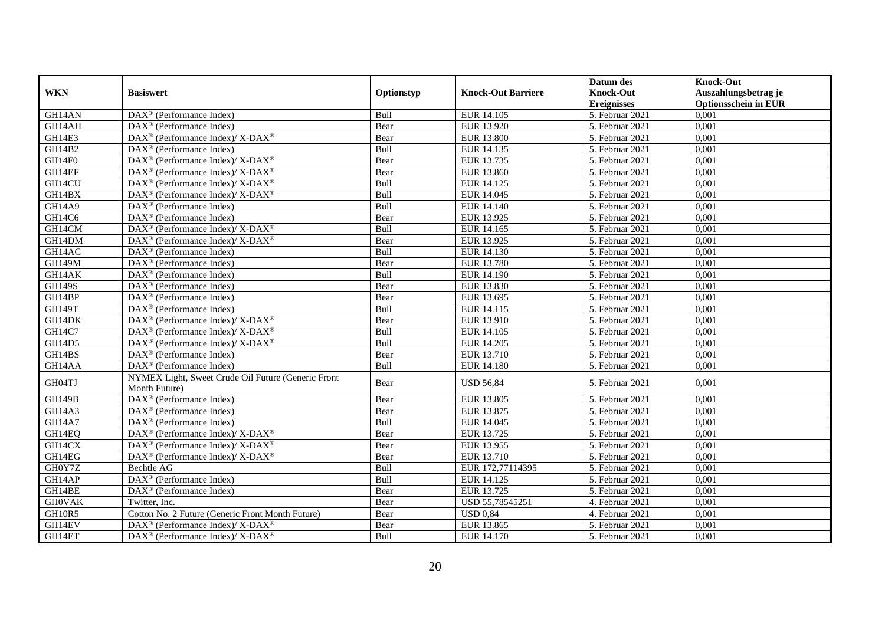|               |                                                                          |            |                           | Datum des                     | <b>Knock-Out</b>            |
|---------------|--------------------------------------------------------------------------|------------|---------------------------|-------------------------------|-----------------------------|
| <b>WKN</b>    | <b>Basiswert</b>                                                         | Optionstyp | <b>Knock-Out Barriere</b> | <b>Knock-Out</b>              | Auszahlungsbetrag je        |
|               |                                                                          |            |                           | <b>Ereignisses</b>            | <b>Optionsschein in EUR</b> |
| GH14AN        | DAX <sup>®</sup> (Performance Index)                                     | Bull       | EUR 14.105                | $\overline{5}$ . Februar 2021 | 0,001                       |
| GH14AH        | $\text{DAX}^{\circledast}$ (Performance Index)                           | Bear       | EUR 13.920                | 5. Februar 2021               | 0,001                       |
| GH14E3        | $DAX^{\circledcirc}$ (Performance Index)/ X-DAX <sup>®</sup>             | Bear       | <b>EUR 13.800</b>         | 5. Februar 2021               | 0,001                       |
| GH14B2        | DAX <sup>®</sup> (Performance Index)                                     | Bull       | EUR 14.135                | 5. Februar 2021               | 0,001                       |
| GH14F0        | $\text{DAX}^{\circledR}$ (Performance Index)/ X-DAX <sup>®</sup>         | Bear       | EUR 13.735                | 5. Februar 2021               | 0,001                       |
| GH14EF        | DAX <sup>®</sup> (Performance Index)/ X-DAX <sup>®</sup>                 | Bear       | EUR 13.860                | 5. Februar 2021               | 0,001                       |
| GH14CU        | $\text{DAX}^{\circledR}$ (Performance Index)/ X-DAX <sup>®</sup>         | Bull       | EUR 14.125                | $\overline{5}$ . Februar 2021 | 0,001                       |
| GH14BX        | DAX <sup>®</sup> (Performance Index)/ X-DAX <sup>®</sup>                 | Bull       | EUR 14.045                | 5. Februar 2021               | 0,001                       |
| <b>GH14A9</b> | $DAX^{\circledR}$ (Performance Index)                                    | Bull       | EUR 14.140                | 5. Februar 2021               | 0,001                       |
| GH14C6        | $DAX^{\otimes}$ (Performance Index)                                      | Bear       | EUR 13.925                | 5. Februar 2021               | 0,001                       |
| GH14CM        | DAX <sup>®</sup> (Performance Index)/ X-DAX <sup>®</sup>                 | Bull       | EUR 14.165                | 5. Februar 2021               | 0,001                       |
| GH14DM        | DAX <sup>®</sup> (Performance Index)/ X-DAX <sup>®</sup>                 | Bear       | EUR 13.925                | 5. Februar 2021               | 0,001                       |
| GH14AC        | $DAX^{\circledR}$ (Performance Index)                                    | Bull       | EUR 14.130                | 5. Februar 2021               | 0,001                       |
| <b>GH149M</b> | DAX <sup>®</sup> (Performance Index)                                     | Bear       | EUR 13.780                | 5. Februar 2021               | 0,001                       |
| GH14AK        | DAX <sup>®</sup> (Performance Index)                                     | Bull       | EUR 14.190                | 5. Februar 2021               | 0,001                       |
| <b>GH149S</b> | DAX <sup>®</sup> (Performance Index)                                     | Bear       | EUR 13.830                | 5. Februar 2021               | 0,001                       |
| GH14BP        | DAX <sup>®</sup> (Performance Index)                                     | Bear       | EUR 13.695                | 5. Februar 2021               | 0,001                       |
| GH149T        | $\text{DAX}^{\textcircled{n}}$ (Performance Index)                       | Bull       | EUR 14.115                | 5. Februar 2021               | 0,001                       |
| GH14DK        | $\text{DAX}^{\circledR}$ (Performance Index)/ X-DAX <sup>®</sup>         | Bear       | EUR 13.910                | 5. Februar 2021               | 0,001                       |
| <b>GH14C7</b> | $DAX^{\circledcirc}$ (Performance Index)/ X-DAX <sup>®</sup>             | Bull       | EUR 14.105                | 5. Februar 2021               | 0,001                       |
| GH14D5        | $\text{DAX}^{\circledR}$ (Performance Index)/ X-DAX <sup>®</sup>         | Bull       | EUR 14.205                | 5. Februar 2021               | 0,001                       |
| GH14BS        | $\overline{\text{DAX}}^{\textcircled{}}$ (Performance Index)             | Bear       | EUR 13.710                | 5. Februar 2021               | 0,001                       |
| GH14AA        | $\text{DAX}^{\textcircled{D}}$ (Performance Index)                       | Bull       | <b>EUR 14.180</b>         | 5. Februar 2021               | 0,001                       |
| GH04TJ        | NYMEX Light, Sweet Crude Oil Future (Generic Front<br>Month Future)      | Bear       | <b>USD 56,84</b>          | 5. Februar 2021               | 0,001                       |
| <b>GH149B</b> | DAX <sup>®</sup> (Performance Index)                                     | Bear       | EUR 13.805                | 5. Februar 2021               | 0,001                       |
| GH14A3        | DAX <sup>®</sup> (Performance Index)                                     | Bear       | EUR 13.875                | 5. Februar 2021               | 0,001                       |
| <b>GH14A7</b> | $\text{DAX}^{\textcircled{p}}$ (Performance Index)                       | Bull       | EUR 14.045                | $\overline{5}$ . Februar 2021 | 0,001                       |
| GH14EQ        | DAX <sup>®</sup> (Performance Index)/ X-DAX <sup>®</sup>                 | Bear       | EUR 13.725                | 5. Februar 2021               | 0,001                       |
| GH14CX        | $\text{DAX}^{\circledast}$ (Performance Index)/ X-DAX <sup>®</sup>       | Bear       | EUR 13.955                | 5. Februar 2021               | 0,001                       |
| GH14EG        | DAX <sup>®</sup> (Performance Index)/ X-DAX <sup>®</sup>                 | Bear       | EUR 13.710                | 5. Februar 2021               | 0,001                       |
| GH0Y7Z        | <b>Bechtle AG</b>                                                        | Bull       | EUR 172,77114395          | 5. Februar 2021               | 0,001                       |
| GH14AP        | DAX <sup>®</sup> (Performance Index)                                     | Bull       | EUR 14.125                | 5. Februar 2021               | 0,001                       |
| GH14BE        | $\overline{\text{DAX}^{\otimes}}$ (Performance Index)                    | Bear       | EUR 13.725                | 5. Februar 2021               | 0,001                       |
| <b>GHOVAK</b> | Twitter, Inc.                                                            | Bear       | USD 55,78545251           | 4. Februar 2021               | 0,001                       |
| GH10R5        | Cotton No. 2 Future (Generic Front Month Future)                         | Bear       | <b>USD 0,84</b>           | 4. Februar 2021               | 0,001                       |
| GH14EV        | $\overline{\text{DAX}^{\otimes}}$ (Performance Index)/X-DAX <sup>®</sup> | Bear       | EUR 13.865                | 5. Februar 2021               | 0,001                       |
| GH14ET        | $\text{DAX}^{\circledR}$ (Performance Index)/ X-DAX <sup>®</sup>         | Bull       | EUR 14.170                | 5. Februar 2021               | 0,001                       |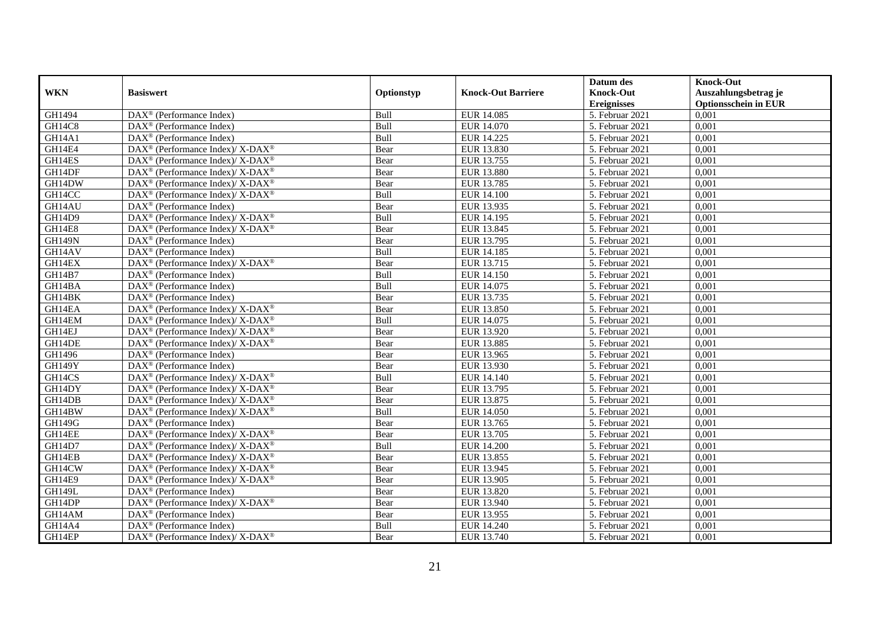|               |                                                                    |            |                           | Datum des          | <b>Knock-Out</b>            |
|---------------|--------------------------------------------------------------------|------------|---------------------------|--------------------|-----------------------------|
| <b>WKN</b>    | <b>Basiswert</b>                                                   | Optionstyp | <b>Knock-Out Barriere</b> | <b>Knock-Out</b>   | Auszahlungsbetrag je        |
|               |                                                                    |            |                           | <b>Ereignisses</b> | <b>Optionsschein in EUR</b> |
| GH1494        | DAX <sup>®</sup> (Performance Index)                               | Bull       | EUR 14.085                | 5. Februar 2021    | 0,001                       |
| GH14C8        | $\text{DAX}^{\textcircled{n}}$ (Performance Index)                 | Bull       | EUR 14.070                | 5. Februar 2021    | 0,001                       |
| GH14A1        | DAX <sup>®</sup> (Performance Index)                               | Bull       | EUR 14.225                | 5. Februar 2021    | 0,001                       |
| GH14E4        | DAX <sup>®</sup> (Performance Index)/X-DAX <sup>®</sup>            | Bear       | EUR 13.830                | 5. Februar 2021    | 0,001                       |
| GH14ES        | DAX <sup>®</sup> (Performance Index)/ X-DAX <sup>®</sup>           | Bear       | EUR 13.755                | 5. Februar 2021    | 0,001                       |
| GH14DF        | $\text{DAX}^{\circledR}$ (Performance Index)/ X-DAX <sup>®</sup>   | Bear       | <b>EUR 13.880</b>         | 5. Februar 2021    | 0,001                       |
| GH14DW        | $DAX^{\circledcirc}$ (Performance Index)/ X-DAX <sup>®</sup>       | Bear       | EUR 13.785                | 5. Februar 2021    | 0,001                       |
| GH14CC        | $\text{DAX}^{\otimes}$ (Performance Index)/X-DAX <sup>®</sup>      | Bull       | <b>EUR 14.100</b>         | 5. Februar 2021    | 0,001                       |
| GH14AU        | $\text{DAX}^{\textcircled{n}}$ (Performance Index)                 | Bear       | EUR 13.935                | 5. Februar 2021    | 0,001                       |
| GH14D9        | DAX <sup>®</sup> (Performance Index)/ X-DAX <sup>®</sup>           | Bull       | EUR 14.195                | 5. Februar 2021    | 0,001                       |
| GH14E8        | $\text{DAX}^{\otimes}$ (Performance Index)/X-DAX <sup>®</sup>      | Bear       | EUR 13.845                | 5. Februar 2021    | 0,001                       |
| <b>GH149N</b> | DAX <sup>®</sup> (Performance Index)                               | Bear       | EUR 13.795                | 5. Februar 2021    | 0,001                       |
| GH14AV        | $\overline{\text{DAX}^{\otimes}}$ (Performance Index)              | Bull       | EUR 14.185                | 5. Februar 2021    | 0,001                       |
| GH14EX        | DAX <sup>®</sup> (Performance Index)/ X-DAX <sup>®</sup>           | Bear       | EUR 13.715                | 5. Februar 2021    | 0,001                       |
| GH14B7        | $\text{DAX}^{\otimes}$ (Performance Index)                         | Bull       | EUR 14.150                | 5. Februar 2021    | 0,001                       |
| GH14BA        | $\overline{\text{DAX}^{\otimes}}$ (Performance Index)              | Bull       | EUR 14.075                | 5. Februar 2021    | 0,001                       |
| GH14BK        | DAX <sup>®</sup> (Performance Index)                               | Bear       | EUR 13.735                | 5. Februar 2021    | 0,001                       |
| GH14EA        | $\text{DAX}^{\circledast}$ (Performance Index)/ X-DAX <sup>®</sup> | Bear       | EUR 13.850                | 5. Februar 2021    | 0,001                       |
| GH14EM        | $\text{DAX}^{\circledast}$ (Performance Index)/ X-DAX <sup>®</sup> | Bull       | EUR 14.075                | 5. Februar 2021    | 0,001                       |
| GH14EJ        | $\text{DAX}^{\circledast}$ (Performance Index)/ X-DAX <sup>®</sup> | Bear       | EUR 13.920                | 5. Februar 2021    | 0,001                       |
| GH14DE        | DAX <sup>®</sup> (Performance Index)/ X-DAX <sup>®</sup>           | Bear       | EUR 13.885                | 5. Februar 2021    | 0,001                       |
| GH1496        | $\overline{\text{DAX}^{\otimes}}$ (Performance Index)              | Bear       | EUR 13.965                | 5. Februar 2021    | 0,001                       |
| GH149Y        | DAX <sup>®</sup> (Performance Index)                               | Bear       | EUR 13.930                | 5. Februar 2021    | 0,001                       |
| GH14CS        | $\text{DAX}^{\circledR}$ (Performance Index)/ X-DAX <sup>®</sup>   | Bull       | EUR 14.140                | 5. Februar 2021    | 0,001                       |
| GH14DY        | $DAX^{\circledcirc}$ (Performance Index)/X-DAX <sup>®</sup>        | Bear       | EUR 13.795                | 5. Februar 2021    | 0.001                       |
| GH14DB        | $\text{DAX}^{\circledast}$ (Performance Index)/ X-DAX <sup>®</sup> | Bear       | EUR 13.875                | 5. Februar 2021    | 0,001                       |
| GH14BW        | $\text{DAX}^{\circledR}$ (Performance Index)/ X-DAX <sup>®</sup>   | Bull       | <b>EUR 14.050</b>         | 5. Februar 2021    | 0,001                       |
| <b>GH149G</b> | $\text{DAX}^{\textcircled{p}}$ (Performance Index)                 | Bear       | EUR 13.765                | 5. Februar 2021    | 0,001                       |
| GH14EE        | $\text{DAX}^{\circledR}$ (Performance Index)/ X-DAX <sup>®</sup>   | Bear       | EUR 13.705                | 5. Februar 2021    | 0,001                       |
| GH14D7        | $\text{DAX}^{\otimes}$ (Performance Index)/X-DAX <sup>®</sup>      | Bull       | <b>EUR 14.200</b>         | 5. Februar 2021    | 0,001                       |
| GH14EB        | $\text{DAX}^{\circledast}$ (Performance Index)/ X-DAX <sup>®</sup> | Bear       | EUR 13.855                | 5. Februar 2021    | 0,001                       |
| GH14CW        | $\text{DAX}^{\circledast}$ (Performance Index)/ X-DAX <sup>®</sup> | Bear       | EUR 13.945                | 5. Februar 2021    | 0,001                       |
| GH14E9        | DAX <sup>®</sup> (Performance Index)/ X-DAX <sup>®</sup>           | Bear       | EUR 13.905                | 5. Februar 2021    | 0,001                       |
| <b>GH149L</b> | DAX <sup>®</sup> (Performance Index)                               | Bear       | EUR 13.820                | 5. Februar 2021    | 0,001                       |
| GH14DP        | $\text{DAX}^{\circledR}$ (Performance Index)/ X-DAX <sup>®</sup>   | Bear       | EUR 13.940                | 5. Februar 2021    | 0,001                       |
| GH14AM        | $\text{DAX}^{\textcircled{n}}$ (Performance Index)                 | Bear       | EUR 13.955                | 5. Februar 2021    | 0,001                       |
| GH14A4        | $\text{DAX}^{\otimes}$ (Performance Index)                         | Bull       | EUR 14.240                | 5. Februar 2021    | 0,001                       |
| GH14EP        | DAX <sup>®</sup> (Performance Index)/X-DAX <sup>®</sup>            | Bear       | EUR 13.740                | 5. Februar 2021    | 0,001                       |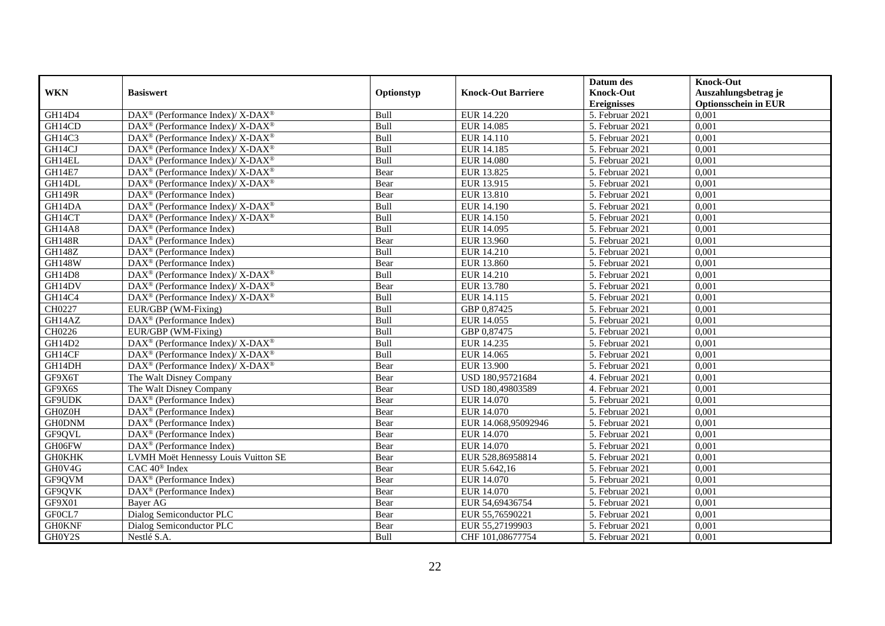|               |                                                                          |             |                           | Datum des          | <b>Knock-Out</b>            |
|---------------|--------------------------------------------------------------------------|-------------|---------------------------|--------------------|-----------------------------|
| <b>WKN</b>    | <b>Basiswert</b>                                                         | Optionstyp  | <b>Knock-Out Barriere</b> | <b>Knock-Out</b>   | Auszahlungsbetrag je        |
|               |                                                                          |             |                           | <b>Ereignisses</b> | <b>Optionsschein in EUR</b> |
| GH14D4        | DAX <sup>®</sup> (Performance Index)/ X-DAX <sup>®</sup>                 | Bull        | EUR 14.220                | 5. Februar 2021    | 0,001                       |
| GH14CD        | $\text{DAX}^{\circledast}$ (Performance Index)/ X-DAX <sup>®</sup>       | Bull        | EUR 14.085                | 5. Februar 2021    | 0,001                       |
| GH14C3        | $\text{DAX}^{\circledast}$ (Performance Index)/ X-DAX <sup>®</sup>       | Bull        | EUR 14.110                | 5. Februar 2021    | 0,001                       |
| GH14CJ        | $\overline{\text{DAX}^{\otimes}}$ (Performance Index)/X-DAX <sup>®</sup> | Bull        | EUR 14.185                | 5. Februar 2021    | 0,001                       |
| GH14EL        | DAX <sup>®</sup> (Performance Index)/ X-DAX <sup>®</sup>                 | Bull        | <b>EUR 14.080</b>         | 5. Februar 2021    | 0,001                       |
| <b>GH14E7</b> | $\text{DAX}^{\circledR}$ (Performance Index)/ X-DAX <sup>®</sup>         | Bear        | EUR 13.825                | 5. Februar 2021    | 0,001                       |
| GH14DL        | $DAX^{\circledcirc}$ (Performance Index)/ X-DAX <sup>®</sup>             | Bear        | EUR 13.915                | 5. Februar 2021    | 0,001                       |
| <b>GH149R</b> | $\text{DAX}^{\textcircled{n}}$ (Performance Index)                       | Bear        | EUR 13.810                | 5. Februar 2021    | 0,001                       |
| GH14DA        | DAX <sup>®</sup> (Performance Index)/ X-DAX <sup>®</sup>                 | Bull        | EUR 14.190                | 5. Februar 2021    | 0,001                       |
| GH14CT        | $DAX^{\circledast}$ (Performance Index)/X-DAX <sup>®</sup>               | Bull        | EUR 14.150                | 5. Februar 2021    | 0,001                       |
| <b>GH14A8</b> | $\text{DAX}^{\textcircled{n}}$ (Performance Index)                       | Bull        | EUR 14.095                | 5. Februar 2021    | 0,001                       |
| <b>GH148R</b> | DAX <sup>®</sup> (Performance Index)                                     | Bear        | <b>EUR 13.960</b>         | 5. Februar 2021    | 0,001                       |
| <b>GH148Z</b> | DAX <sup>®</sup> (Performance Index)                                     | Bull        | EUR 14.210                | 5. Februar 2021    | 0,001                       |
| <b>GH148W</b> | $\text{DAX}^{\textcircled{p}}$ (Performance Index)                       | Bear        | EUR 13.860                | 5. Februar 2021    | 0,001                       |
| <b>GH14D8</b> | DAX <sup>®</sup> (Performance Index)/X-DAX <sup>®</sup>                  | Bull        | EUR 14.210                | 5. Februar 2021    | 0,001                       |
| GH14DV        | DAX <sup>®</sup> (Performance Index)/ X-DAX <sup>®</sup>                 | Bear        | <b>EUR 13.780</b>         | 5. Februar 2021    | 0,001                       |
| <b>GH14C4</b> | DAX <sup>®</sup> (Performance Index)/ X-DAX <sup>®</sup>                 | Bull        | EUR 14.115                | 5. Februar 2021    | 0,001                       |
| CH0227        | EUR/GBP (WM-Fixing)                                                      | <b>Bull</b> | GBP 0.87425               | 5. Februar 2021    | 0,001                       |
| GH14AZ        | DAX <sup>®</sup> (Performance Index)                                     | Bull        | EUR 14.055                | 5. Februar 2021    | 0,001                       |
| CH0226        | EUR/GBP (WM-Fixing)                                                      | Bull        | GBP 0,87475               | 5. Februar 2021    | 0,001                       |
| GH14D2        | $\text{DAX}^{\circledR}$ (Performance Index)/ X-DAX <sup>®</sup>         | Bull        | EUR 14.235                | 5. Februar 2021    | 0,001                       |
| GH14CF        | DAX <sup>®</sup> (Performance Index)/ X-DAX <sup>®</sup>                 | Bull        | EUR 14.065                | 5. Februar 2021    | 0,001                       |
| GH14DH        | DAX <sup>®</sup> (Performance Index)/X-DAX <sup>®</sup>                  | Bear        | EUR 13.900                | 5. Februar 2021    | 0,001                       |
| GF9X6T        | The Walt Disney Company                                                  | Bear        | USD 180,95721684          | 4. Februar 2021    | 0,001                       |
| GF9X6S        | The Walt Disney Company                                                  | Bear        | USD 180,49803589          | 4. Februar 2021    | 0.001                       |
| GF9UDK        | DAX <sup>®</sup> (Performance Index)                                     | Bear        | EUR 14.070                | 5. Februar 2021    | 0,001                       |
| GH0Z0H        | DAX <sup>®</sup> (Performance Index)                                     | Bear        | <b>EUR 14.070</b>         | 5. Februar 2021    | 0,001                       |
| <b>GH0DNM</b> | $\text{DAX}^{\textcircled{p}}$ (Performance Index)                       | Bear        | EUR 14.068,95092946       | 5. Februar 2021    | 0,001                       |
| GF9QVL        | $\overline{\text{DAX}^{\otimes}}$ (Performance Index)                    | Bear        | EUR 14.070                | 5. Februar 2021    | 0,001                       |
| GH06FW        | DAX <sup>®</sup> (Performance Index)                                     | Bear        | EUR 14.070                | 5. Februar 2021    | 0,001                       |
| <b>GH0KHK</b> | LVMH Moët Hennessy Louis Vuitton SE                                      | Bear        | EUR 528,86958814          | 5. Februar 2021    | 0,001                       |
| GH0V4G        | $CAC 40$ <sup>®</sup> Index                                              | Bear        | EUR 5.642,16              | 5. Februar 2021    | 0,001                       |
| GF9QVM        | DAX <sup>®</sup> (Performance Index)                                     | Bear        | EUR 14.070                | 5. Februar 2021    | 0,001                       |
| GF9QVK        | DAX <sup>®</sup> (Performance Index)                                     | Bear        | EUR 14.070                | 5. Februar 2021    | 0,001                       |
| GF9X01        | Baver AG                                                                 | Bear        | EUR 54,69436754           | 5. Februar 2021    | 0,001                       |
| GF0CL7        | Dialog Semiconductor PLC                                                 | Bear        | EUR 55,76590221           | 5. Februar 2021    | 0,001                       |
| <b>GH0KNF</b> | Dialog Semiconductor PLC                                                 | Bear        | EUR 55,27199903           | 5. Februar 2021    | 0,001                       |
| GH0Y2S        | Nestlé S.A.                                                              | Bull        | CHF 101,08677754          | 5. Februar 2021    | 0,001                       |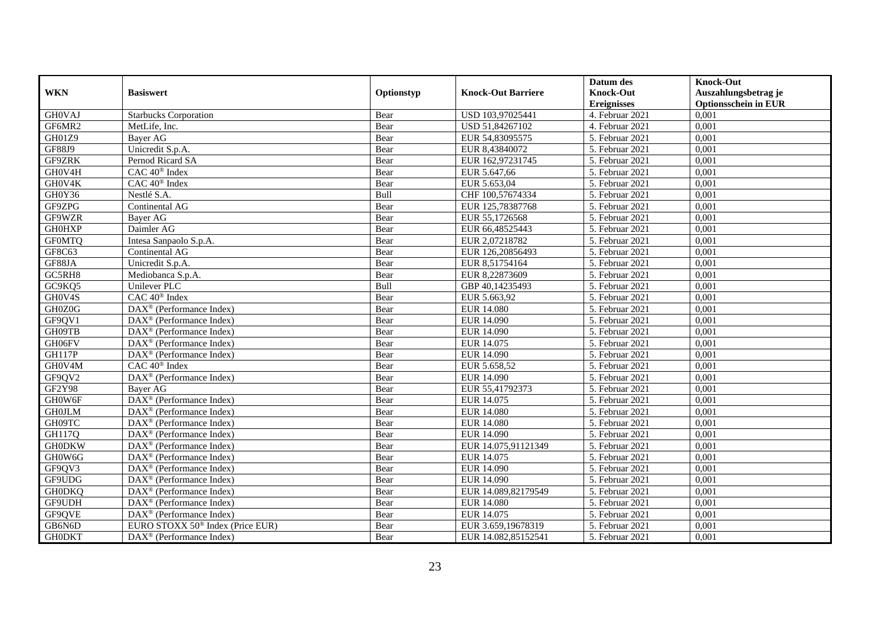|                  |                                                         |              |                                   | Datum des                              | <b>Knock-Out</b>                                    |
|------------------|---------------------------------------------------------|--------------|-----------------------------------|----------------------------------------|-----------------------------------------------------|
| <b>WKN</b>       | <b>Basiswert</b>                                        | Optionstyp   | <b>Knock-Out Barriere</b>         | <b>Knock-Out</b><br><b>Ereignisses</b> | Auszahlungsbetrag je<br><b>Optionsschein in EUR</b> |
| <b>GH0VAJ</b>    | <b>Starbucks Corporation</b>                            | Bear         | USD 103,97025441                  | 4. Februar 2021                        | 0,001                                               |
| GF6MR2           | MetLife, Inc.                                           | Bear         | USD 51,84267102                   | 4. Februar 2021                        | 0,001                                               |
| GH01Z9           | Bayer AG                                                | Bear         | EUR 54,83095575                   | 5. Februar 2021                        | 0,001                                               |
| <b>GF88J9</b>    | Unicredit S.p.A.                                        | Bear         | EUR 8,43840072                    | 5. Februar 2021                        | 0,001                                               |
| GF9ZRK           | Pernod Ricard SA                                        | Bear         | EUR 162,97231745                  | 5. Februar 2021                        | 0,001                                               |
| GH0V4H           | CAC 40 <sup>®</sup> Index                               | Bear         | EUR 5.647,66                      | 5. Februar 2021                        | 0,001                                               |
| GH0V4K           | $CAC 40$ <sup>®</sup> Index                             | Bear         | EUR 5.653,04                      | 5. Februar 2021                        | 0,001                                               |
| GH0Y36           | Nestlé S.A.                                             | Bull         | CHF 100,57674334                  | 5. Februar 2021                        | 0,001                                               |
| GF9ZPG           | Continental AG                                          | Bear         | EUR 125,78387768                  | 5. Februar 2021                        | 0,001                                               |
| GF9WZR           | Bayer AG                                                | Bear         | EUR 55,1726568                    | 5. Februar 2021                        | 0,001                                               |
| <b>GH0HXP</b>    | Daimler AG                                              | Bear         | EUR 66,48525443                   | 5. Februar 2021                        | 0,001                                               |
| <b>GFOMTQ</b>    |                                                         |              | EUR 2,07218782                    | 5. Februar 2021                        | 0,001                                               |
| GF8C63           | Intesa Sanpaolo S.p.A.<br>Continental AG                | Bear         |                                   |                                        | 0,001                                               |
| GF88JA           |                                                         | Bear         | EUR 126,20856493                  | 5. Februar 2021<br>5. Februar 2021     | 0,001                                               |
| GC5RH8           | Unicredit S.p.A.                                        | Bear         | EUR 8,51754164                    | 5. Februar 2021                        |                                                     |
| GC9KQ5           | Mediobanca S.p.A.<br>Unilever PLC                       | Bear<br>Bull | EUR 8,22873609<br>GBP 40,14235493 | 5. Februar 2021                        | 0,001<br>0,001                                      |
|                  | CAC 40 <sup>®</sup> Index                               |              |                                   |                                        |                                                     |
| GH0V4S<br>GH0Z0G |                                                         | Bear         | EUR 5.663,92                      | 5. Februar 2021                        | 0,001                                               |
|                  | DAX <sup>®</sup> (Performance Index)                    | Bear         | <b>EUR 14.080</b>                 | 5. Februar 2021                        | 0,001                                               |
| GF9QV1           | $DAX^{\circledast}$ (Performance Index)                 | Bear         | EUR 14.090                        | 5. Februar 2021                        | 0,001                                               |
| GH09TB           | $DAX^{\circledast}$ (Performance Index)                 | Bear         | EUR 14.090                        | 5. Februar 2021                        | 0,001                                               |
| GH06FV           | DAX <sup>®</sup> (Performance Index)                    | Bear         | EUR 14.075                        | 5. Februar 2021                        | 0,001                                               |
| <b>GH117P</b>    | $\overline{\text{DAX}}^{\textcirc}$ (Performance Index) | Bear         | EUR 14.090                        | 5. Februar 2021                        | 0,001                                               |
| GH0V4M           | $CAC 40$ <sup>®</sup> Index                             | Bear         | EUR 5.658,52                      | 5. Februar 2021                        | 0,001                                               |
| GF9QV2           | DAX <sup>®</sup> (Performance Index)                    | Bear         | EUR 14.090                        | 5. Februar 2021                        | 0,001                                               |
| <b>GF2Y98</b>    | <b>Baver AG</b>                                         | Bear         | EUR 55,41792373                   | 5. Februar 2021                        | 0,001                                               |
| GH0W6F           | DAX <sup>®</sup> (Performance Index)                    | Bear         | EUR 14.075                        | 5. Februar 2021                        | 0,001                                               |
| <b>GH0JLM</b>    | DAX <sup>®</sup> (Performance Index)                    | Bear         | <b>EUR 14.080</b>                 | 5. Februar 2021                        | 0,001                                               |
| GH09TC           | $DAX^{\circledR}$ (Performance Index)                   | Bear         | <b>EUR 14.080</b>                 | 5. Februar 2021                        | 0,001                                               |
| GH117Q           | DAX <sup>®</sup> (Performance Index)                    | Bear         | EUR 14.090                        | 5. Februar 2021                        | 0,001                                               |
| <b>GH0DKW</b>    | $DAX^{\circledcirc}$ (Performance Index)                | Bear         | EUR 14.075.91121349               | 5. Februar 2021                        | 0.001                                               |
| GH0W6G           | $DAX^{\circledR}$ (Performance Index)                   | Bear         | EUR 14.075                        | 5. Februar 2021                        | 0,001                                               |
| GF9QV3           | DAX <sup>®</sup> (Performance Index)                    | Bear         | EUR 14.090                        | 5. Februar 2021                        | 0,001                                               |
| GF9UDG           | $DAX^{\circledR}$ (Performance Index)                   | Bear         | EUR 14.090                        | 5. Februar 2021                        | 0,001                                               |
| <b>GH0DKQ</b>    | $\overline{\text{DAX}^{\otimes}}$ (Performance Index)   | Bear         | EUR 14.089,82179549               | 5. Februar 2021                        | 0,001                                               |
| GF9UDH           | DAX <sup>®</sup> (Performance Index)                    | Bear         | <b>EUR 14.080</b>                 | 5. Februar 2021                        | 0,001                                               |
| GF9QVE           | $DAX^{\circledast}$ (Performance Index)                 | Bear         | EUR 14.075                        | 5. Februar 2021                        | 0,001                                               |
| GB6N6D           | EURO STOXX 50 <sup>®</sup> Index (Price EUR)            | Bear         | EUR 3.659,19678319                | 5. Februar 2021                        | 0,001                                               |
| <b>GH0DKT</b>    | $DAX^{\circledast}$ (Performance Index)                 | Bear         | EUR 14.082,85152541               | 5. Februar 2021                        | 0,001                                               |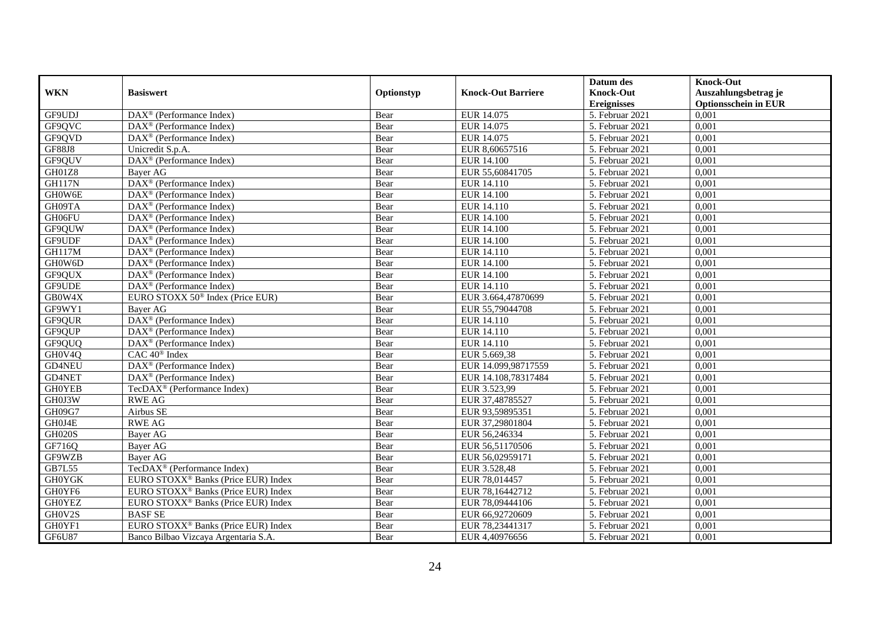|               |                                                              |            |                           | Datum des          | <b>Knock-Out</b>            |
|---------------|--------------------------------------------------------------|------------|---------------------------|--------------------|-----------------------------|
| <b>WKN</b>    | <b>Basiswert</b>                                             | Optionstyp | <b>Knock-Out Barriere</b> | <b>Knock-Out</b>   | Auszahlungsbetrag je        |
|               |                                                              |            |                           | <b>Ereignisses</b> | <b>Optionsschein in EUR</b> |
| GF9UDJ        | $\overline{\text{DAX}^{\otimes}}$ (Performance Index)        | Bear       | EUR 14.075                | 5. Februar 2021    | 0,001                       |
| GF9OVC        | $\text{DAX}^{\textcircled{p}}$ (Performance Index)           | Bear       | EUR 14.075                | 5. Februar 2021    | 0,001                       |
| GF9QVD        | DAX <sup>®</sup> (Performance Index)                         | Bear       | EUR 14.075                | 5. Februar 2021    | 0,001                       |
| <b>GF88J8</b> | Unicredit S.p.A.                                             | Bear       | EUR 8,60657516            | 5. Februar 2021    | 0,001                       |
| GF9QUV        | DAX <sup>®</sup> (Performance Index)                         | Bear       | <b>EUR 14.100</b>         | 5. Februar 2021    | 0,001                       |
| GH01Z8        | Bayer AG                                                     | Bear       | EUR 55,60841705           | 5. Februar 2021    | 0,001                       |
| <b>GH117N</b> | DAX <sup>®</sup> (Performance Index)                         | Bear       | EUR 14.110                | 5. Februar 2021    | 0,001                       |
| GH0W6E        | $DAX^{\otimes}$ (Performance Index)                          | Bear       | <b>EUR 14.100</b>         | 5. Februar 2021    | 0,001                       |
| GH09TA        | $\text{DAX}^{\textcircled{p}}$ (Performance Index)           | Bear       | EUR 14.110                | 5. Februar 2021    | 0,001                       |
| GH06FU        | $DAX^{\otimes}$ (Performance Index)                          | Bear       | <b>EUR 14.100</b>         | 5. Februar 2021    | 0,001                       |
| GF9QUW        | $\overline{\text{DAX}}^{\textcircled{}}$ (Performance Index) | Bear       | <b>EUR 14.100</b>         | 5. Februar 2021    | 0,001                       |
| GF9UDF        | $\overline{\text{DAX}^{\otimes}}$ (Performance Index)        | Bear       | <b>EUR 14.100</b>         | 5. Februar 2021    | 0,001                       |
| <b>GH117M</b> | $\text{DAX}^{\textcircled{n}}$ (Performance Index)           | Bear       | EUR 14.110                | 5. Februar 2021    | 0,001                       |
| GH0W6D        | DAX <sup>®</sup> (Performance Index)                         | Bear       | <b>EUR 14.100</b>         | 5. Februar 2021    | 0,001                       |
| GF9QUX        | $\text{DAX}^{\otimes}$ (Performance Index)                   | Bear       | <b>EUR 14.100</b>         | 5. Februar 2021    | 0,001                       |
| GF9UDE        | DAX <sup>®</sup> (Performance Index)                         | Bear       | EUR 14.110                | 5. Februar 2021    | 0,001                       |
| GB0W4X        | EURO STOXX 50 <sup>®</sup> Index (Price EUR)                 | Bear       | EUR 3.664,47870699        | 5. Februar 2021    | 0,001                       |
| GF9WY1        | Baver AG                                                     | Bear       | EUR 55,79044708           | 5. Februar 2021    | 0,001                       |
| GF9QUR        | DAX <sup>®</sup> (Performance Index)                         | Bear       | EUR 14.110                | 5. Februar 2021    | 0,001                       |
| GF9QUP        | $DAX^{\otimes}$ (Performance Index)                          | Bear       | EUR 14.110                | 5. Februar 2021    | 0,001                       |
| GF9QUQ        | DAX <sup>®</sup> (Performance Index)                         | Bear       | EUR 14.110                | 5. Februar 2021    | 0,001                       |
| GH0V4Q        | CAC 40 <sup>®</sup> Index                                    | Bear       | EUR 5.669,38              | 5. Februar 2021    | 0,001                       |
| GD4NEU        | DAX <sup>®</sup> (Performance Index)                         | Bear       | EUR 14.099,98717559       | 5. Februar 2021    | 0,001                       |
| GD4NET        | DAX <sup>®</sup> (Performance Index)                         | Bear       | EUR 14.108,78317484       | 5. Februar 2021    | 0,001                       |
| <b>GH0YEB</b> | TecDAX <sup>®</sup> (Performance Index)                      | Bear       | EUR 3.523,99              | 5. Februar 2021    | 0,001                       |
| GH0J3W        | <b>RWE AG</b>                                                | Bear       | EUR 37,48785527           | 5. Februar 2021    | 0,001                       |
| GH09G7        | Airbus SE                                                    | Bear       | EUR 93,59895351           | 5. Februar 2021    | 0,001                       |
| GH0J4E        | <b>RWE AG</b>                                                | Bear       | EUR 37,29801804           | 5. Februar 2021    | 0,001                       |
| <b>GH020S</b> | <b>Bayer AG</b>                                              | Bear       | EUR 56,246334             | 5. Februar 2021    | 0,001                       |
| GF716Q        | <b>Bayer AG</b>                                              | Bear       | EUR 56,51170506           | 5. Februar 2021    | 0,001                       |
| GF9WZB        | <b>Bayer AG</b>                                              | Bear       | EUR 56,02959171           | 5. Februar 2021    | 0,001                       |
| GB7L55        | TecDAX <sup>®</sup> (Performance Index)                      | Bear       | EUR 3.528,48              | 5. Februar 2021    | 0,001                       |
| <b>GHOYGK</b> | EURO STOXX <sup>®</sup> Banks (Price EUR) Index              | Bear       | EUR 78,014457             | 5. Februar 2021    | 0,001                       |
| GH0YF6        | EURO STOXX <sup>®</sup> Banks (Price EUR) Index              | Bear       | EUR 78,16442712           | 5. Februar 2021    | 0,001                       |
| <b>GH0YEZ</b> | EURO STOXX <sup>®</sup> Banks (Price EUR) Index              | Bear       | EUR 78,09444106           | 5. Februar 2021    | 0,001                       |
| GH0V2S        | <b>BASF SE</b>                                               | Bear       | EUR 66,92720609           | 5. Februar 2021    | 0,001                       |
| GH0YF1        | EURO STOXX <sup>®</sup> Banks (Price EUR) Index              | Bear       | EUR 78,23441317           | 5. Februar 2021    | 0,001                       |
| <b>GF6U87</b> | Banco Bilbao Vizcaya Argentaria S.A.                         | Bear       | EUR 4,40976656            | 5. Februar 2021    | 0,001                       |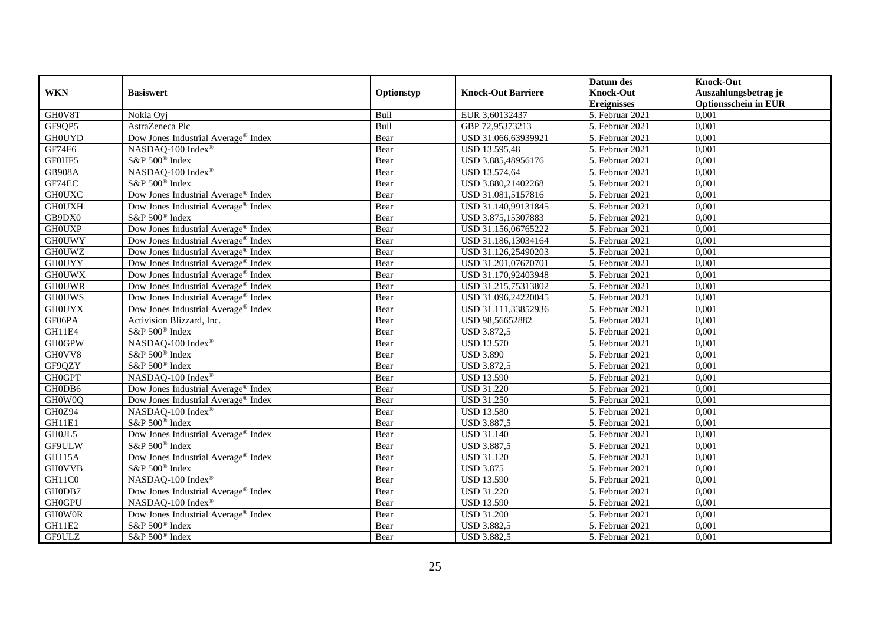|               |                                                 |            |                           | Datum des                     | <b>Knock-Out</b>            |
|---------------|-------------------------------------------------|------------|---------------------------|-------------------------------|-----------------------------|
| <b>WKN</b>    | <b>Basiswert</b>                                | Optionstyp | <b>Knock-Out Barriere</b> | <b>Knock-Out</b>              | Auszahlungsbetrag je        |
|               |                                                 |            |                           | <b>Ereignisses</b>            | <b>Optionsschein in EUR</b> |
| GH0V8T        | Nokia Ovi                                       | Bull       | EUR 3,60132437            | 5. Februar 2021               | 0,001                       |
| GF9QP5        | AstraZeneca Plc                                 | Bull       | GBP 72,95373213           | 5. Februar 2021               | 0,001                       |
| <b>GH0UYD</b> | Dow Jones Industrial Average® Index             | Bear       | USD 31.066,63939921       | 5. Februar 2021               | 0,001                       |
| GF74F6        | NASDAQ-100 Index®                               | Bear       | USD 13.595,48             | 5. Februar 2021               | 0,001                       |
| GF0HF5        | S&P 500 <sup>®</sup> Index                      | Bear       | USD 3.885,48956176        | 5. Februar 2021               | 0,001                       |
| <b>GB908A</b> | NASDAQ-100 Index®                               | Bear       | USD 13.574,64             | 5. Februar 2021               | 0,001                       |
| GF74EC        | S&P 500 <sup>®</sup> Index                      | Bear       | USD 3.880,21402268        | 5. Februar 2021               | 0,001                       |
| <b>GHOUXC</b> | Dow Jones Industrial Average® Index             | Bear       | USD 31.081,5157816        | 5. Februar 2021               | 0,001                       |
| <b>GHOUXH</b> | Dow Jones Industrial Average® Index             | Bear       | USD 31.140,99131845       | 5. Februar 2021               | 0,001                       |
| GB9DX0        | S&P 500 <sup>®</sup> Index                      | Bear       | USD 3.875,15307883        | 5. Februar 2021               | 0,001                       |
| <b>GHOUXP</b> | Dow Jones Industrial Average® Index             | Bear       | USD 31.156,06765222       | 5. Februar 2021               | 0,001                       |
| <b>GHOUWY</b> | Dow Jones Industrial Average® Index             | Bear       | USD 31.186,13034164       | 5. Februar 2021               | 0,001                       |
| <b>GH0UWZ</b> | Dow Jones Industrial Average <sup>®</sup> Index | Bear       | USD 31.126,25490203       | 5. Februar 2021               | 0,001                       |
| <b>GH0UYY</b> | Dow Jones Industrial Average <sup>®</sup> Index | Bear       | USD 31.201,07670701       | 5. Februar 2021               | 0,001                       |
| <b>GHOUWX</b> | Dow Jones Industrial Average <sup>®</sup> Index | Bear       | USD 31.170,92403948       | 5. Februar 2021               | 0,001                       |
| <b>GHOUWR</b> | Dow Jones Industrial Average® Index             | Bear       | USD 31.215,75313802       | 5. Februar 2021               | 0,001                       |
| <b>GHOUWS</b> | Dow Jones Industrial Average® Index             | Bear       | USD 31.096,24220045       | 5. Februar 2021               | 0,001                       |
| <b>GHOUYX</b> | Dow Jones Industrial Average® Index             | Bear       | USD 31.111,33852936       | 5. Februar 2021               | 0,001                       |
| GF06PA        | Activision Blizzard, Inc.                       | Bear       | USD 98,56652882           | 5. Februar 2021               | 0,001                       |
| GH11E4        | S&P 500 <sup>®</sup> Index                      | Bear       | USD 3.872,5               | 5. Februar 2021               | 0,001                       |
| <b>GH0GPW</b> | NASDAQ-100 Index®                               | Bear       | <b>USD 13.570</b>         | 5. Februar 2021               | 0,001                       |
| GH0VV8        | S&P 500 <sup>®</sup> Index                      | Bear       | <b>USD 3.890</b>          | 5. Februar 2021               | 0,001                       |
| GF9QZY        | $S\&P 500^{\circ}$ Index                        | Bear       | <b>USD 3.872,5</b>        | 5. Februar 2021               | 0,001                       |
| <b>GH0GPT</b> | NASDAQ-100 Index®                               | Bear       | <b>USD 13.590</b>         | 5. Februar 2021               | 0,001                       |
| GH0DB6        | Dow Jones Industrial Average® Index             | Bear       | <b>USD 31.220</b>         | 5. Februar 2021               | 0,001                       |
| GH0W0Q        | Dow Jones Industrial Average® Index             | Bear       | <b>USD 31.250</b>         | 5. Februar 2021               | 0,001                       |
| GH0Z94        | NASDAQ-100 Index®                               | Bear       | <b>USD 13.580</b>         | 5. Februar 2021               | 0,001                       |
| GH11E1        | S&P 500 <sup>®</sup> Index                      | Bear       | <b>USD 3.887,5</b>        | $\overline{5}$ . Februar 2021 | 0,001                       |
| GH0JL5        | Dow Jones Industrial Average® Index             | Bear       | <b>USD 31.140</b>         | 5. Februar 2021               | 0,001                       |
| GF9ULW        | $S\&P 500^{\circ}$ Index                        | Bear       | <b>USD 3.887,5</b>        | 5. Februar 2021               | 0,001                       |
| <b>GH115A</b> | Dow Jones Industrial Average® Index             | Bear       | <b>USD 31.120</b>         | 5. Februar 2021               | 0,001                       |
| <b>GH0VVB</b> | S&P 500 <sup>®</sup> Index                      | Bear       | <b>USD 3.875</b>          | 5. Februar 2021               | 0,001                       |
| GH11C0        | NASDAQ-100 Index®                               | Bear       | <b>USD 13.590</b>         | 5. Februar 2021               | 0,001                       |
| GH0DB7        | Dow Jones Industrial Average® Index             | Bear       | <b>USD 31.220</b>         | 5. Februar 2021               | 0,001                       |
| <b>GH0GPU</b> | NASDAQ-100 Index <sup>®</sup>                   | Bear       | <b>USD 13.590</b>         | 5. Februar 2021               | 0,001                       |
| <b>GHOWOR</b> | Dow Jones Industrial Average <sup>®</sup> Index | Bear       | <b>USD 31.200</b>         | 5. Februar 2021               | 0,001                       |
| GH11E2        | S&P 500 <sup>®</sup> Index                      | Bear       | <b>USD 3.882,5</b>        | 5. Februar 2021               | 0,001                       |
| GF9ULZ        | S&P 500 <sup>®</sup> Index                      | Bear       | <b>USD 3.882,5</b>        | 5. Februar 2021               | 0,001                       |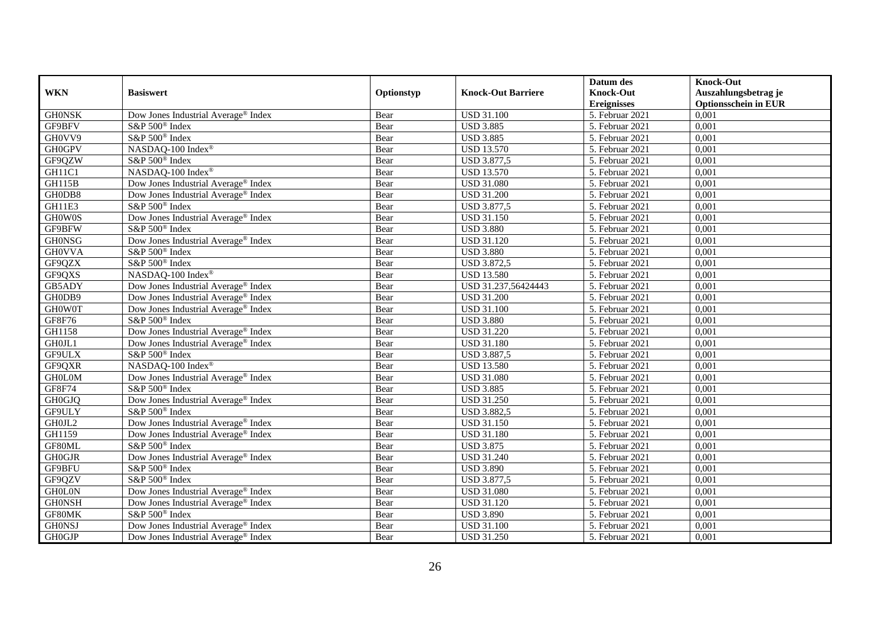|               |                                                 |            |                           | Datum des                     | <b>Knock-Out</b>            |
|---------------|-------------------------------------------------|------------|---------------------------|-------------------------------|-----------------------------|
| <b>WKN</b>    | <b>Basiswert</b>                                | Optionstyp | <b>Knock-Out Barriere</b> | <b>Knock-Out</b>              | Auszahlungsbetrag je        |
|               |                                                 |            |                           | <b>Ereignisses</b>            | <b>Optionsschein in EUR</b> |
| <b>GHONSK</b> | Dow Jones Industrial Average <sup>®</sup> Index | Bear       | <b>USD 31.100</b>         | 5. Februar 2021               | 0,001                       |
| GF9BFV        | S&P 500 <sup>®</sup> Index                      | Bear       | <b>USD 3.885</b>          | 5. Februar 2021               | 0,001                       |
| GH0VV9        | S&P 500 <sup>®</sup> Index                      | Bear       | <b>USD 3.885</b>          | 5. Februar 2021               | 0,001                       |
| <b>GH0GPV</b> | NASDAQ-100 Index®                               | Bear       | <b>USD 13.570</b>         | 5. Februar 2021               | 0,001                       |
| GF9QZW        | S&P 500 <sup>®</sup> Index                      | Bear       | <b>USD 3.877,5</b>        | 5. Februar 2021               | 0,001                       |
| GH11C1        | NASDAQ-100 Index®                               | Bear       | <b>USD 13.570</b>         | 5. Februar 2021               | 0,001                       |
| <b>GH115B</b> | Dow Jones Industrial Average <sup>®</sup> Index | Bear       | <b>USD 31.080</b>         | 5. Februar 2021               | 0,001                       |
| GH0DB8        | Dow Jones Industrial Average® Index             | Bear       | <b>USD 31.200</b>         | 5. Februar 2021               | 0,001                       |
| GH11E3        | S&P 500 <sup>®</sup> Index                      | Bear       | <b>USD 3.877,5</b>        | 5. Februar 2021               | 0,001                       |
| GH0W0S        | Dow Jones Industrial Average® Index             | Bear       | <b>USD 31.150</b>         | 5. Februar 2021               | 0,001                       |
| GF9BFW        | S&P 500 <sup>®</sup> Index                      | Bear       | <b>USD 3.880</b>          | 5. Februar 2021               | 0,001                       |
| <b>GHONSG</b> | Dow Jones Industrial Average <sup>®</sup> Index | Bear       | <b>USD 31.120</b>         | 5. Februar 2021               | 0,001                       |
| <b>GH0VVA</b> | S&P 500 <sup>®</sup> Index                      | Bear       | <b>USD 3.880</b>          | 5. Februar 2021               | 0,001                       |
| GF9QZX        | S&P 500 <sup>®</sup> Index                      | Bear       | <b>USD 3.872,5</b>        | 5. Februar 2021               | 0,001                       |
| GF9QXS        | NASDAQ-100 Index®                               | Bear       | <b>USD 13.580</b>         | 5. Februar 2021               | 0,001                       |
| GB5ADY        | Dow Jones Industrial Average <sup>®</sup> Index | Bear       | USD 31.237,56424443       | 5. Februar 2021               | 0,001                       |
| GH0DB9        | Dow Jones Industrial Average® Index             | Bear       | <b>USD 31.200</b>         | 5. Februar 2021               | 0,001                       |
| <b>GHOWOT</b> | Dow Jones Industrial Average <sup>®</sup> Index | Bear       | <b>USD 31.100</b>         | 5. Februar 2021               | 0,001                       |
| GF8F76        | S&P 500 <sup>®</sup> Index                      | Bear       | <b>USD 3.880</b>          | 5. Februar 2021               | 0,001                       |
| GH1158        | Dow Jones Industrial Average® Index             | Bear       | <b>USD 31.220</b>         | 5. Februar 2021               | 0,001                       |
| GH0JL1        | Dow Jones Industrial Average® Index             | Bear       | <b>USD 31.180</b>         | 5. Februar 2021               | 0,001                       |
| GF9ULX        | S&P 500 <sup>®</sup> Index                      | Bear       | <b>USD 3.887,5</b>        | 5. Februar 2021               | 0,001                       |
| GF9QXR        | NASDAQ-100 Index®                               | Bear       | <b>USD 13.580</b>         | 5. Februar 2021               | 0,001                       |
| <b>GH0L0M</b> | Dow Jones Industrial Average <sup>®</sup> Index | Bear       | <b>USD 31.080</b>         | 5. Februar 2021               | 0,001                       |
| GF8F74        | S&P 500 <sup>®</sup> Index                      | Bear       | <b>USD 3.885</b>          | 5. Februar 2021               | 0,001                       |
| <b>GH0GJQ</b> | Dow Jones Industrial Average® Index             | Bear       | <b>USD 31.250</b>         | 5. Februar 2021               | 0,001                       |
| GF9ULY        | S&P 500 <sup>®</sup> Index                      | Bear       | <b>USD 3.882,5</b>        | 5. Februar 2021               | 0,001                       |
| GH0JL2        | Dow Jones Industrial Average® Index             | Bear       | <b>USD 31.150</b>         | 5. Februar 2021               | 0,001                       |
| GH1159        | Dow Jones Industrial Average® Index             | Bear       | <b>USD 31.180</b>         | 5. Februar 2021               | 0,001                       |
| GF80ML        | S&P 500 <sup>®</sup> Index                      | Bear       | <b>USD 3.875</b>          | 5. Februar 2021               | 0,001                       |
| <b>GH0GJR</b> | Dow Jones Industrial Average® Index             | Bear       | <b>USD 31.240</b>         | 5. Februar 2021               | 0,001                       |
| GF9BFU        | S&P 500 <sup>®</sup> Index                      | Bear       | <b>USD 3.890</b>          | 5. Februar 2021               | 0,001                       |
| GF9QZV        | S&P 500 <sup>®</sup> Index                      | Bear       | <b>USD 3.877,5</b>        | $\overline{5}$ . Februar 2021 | 0,001                       |
| <b>GHOLON</b> | Dow Jones Industrial Average® Index             | Bear       | <b>USD 31.080</b>         | 5. Februar 2021               | 0,001                       |
| <b>GHONSH</b> | Dow Jones Industrial Average® Index             | Bear       | <b>USD 31.120</b>         | 5. Februar 2021               | 0,001                       |
| GF80MK        | S&P 500 <sup>®</sup> Index                      | Bear       | <b>USD 3.890</b>          | 5. Februar 2021               | 0,001                       |
| <b>GHONSJ</b> | Dow Jones Industrial Average <sup>®</sup> Index | Bear       | <b>USD 31.100</b>         | 5. Februar 2021               | 0,001                       |
| <b>GH0GJP</b> | Dow Jones Industrial Average® Index             | Bear       | <b>USD 31.250</b>         | 5. Februar 2021               | 0,001                       |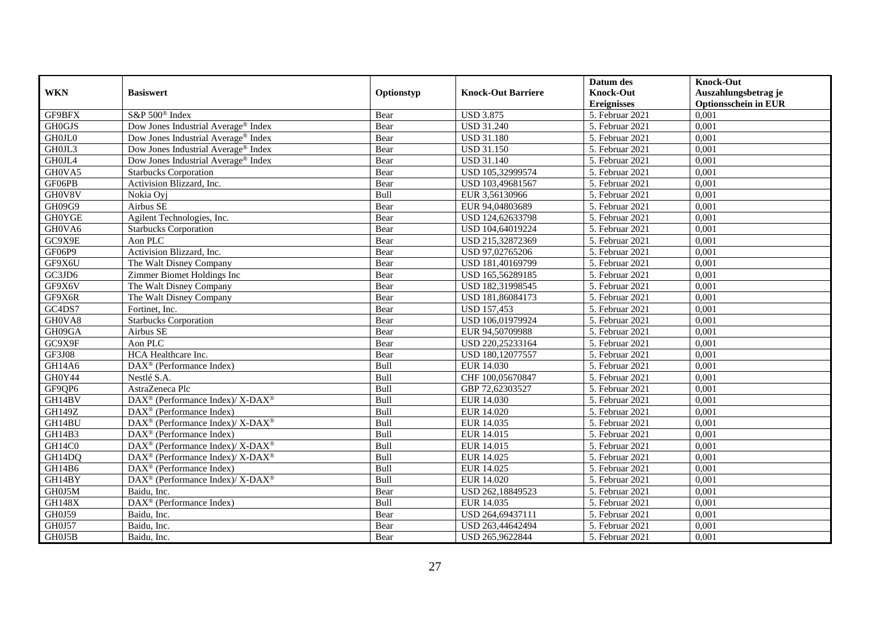|               |                                                                  |            |                           | Datum des          | <b>Knock-Out</b>            |
|---------------|------------------------------------------------------------------|------------|---------------------------|--------------------|-----------------------------|
| <b>WKN</b>    | <b>Basiswert</b>                                                 | Optionstyp | <b>Knock-Out Barriere</b> | <b>Knock-Out</b>   | Auszahlungsbetrag je        |
|               |                                                                  |            |                           | <b>Ereignisses</b> | <b>Optionsschein in EUR</b> |
| GF9BFX        | S&P 500 <sup>®</sup> Index                                       | Bear       | <b>USD 3.875</b>          | 5. Februar 2021    | 0,001                       |
| <b>GH0GJS</b> | Dow Jones Industrial Average® Index                              | Bear       | <b>USD 31.240</b>         | 5. Februar 2021    | 0,001                       |
| GH0JL0        | Dow Jones Industrial Average <sup>®</sup> Index                  | Bear       | <b>USD 31.180</b>         | 5. Februar 2021    | 0,001                       |
| GH0JL3        | Dow Jones Industrial Average <sup>®</sup> Index                  | Bear       | <b>USD 31.150</b>         | 5. Februar 2021    | 0,001                       |
| GH0JL4        | Dow Jones Industrial Average® Index                              | Bear       | <b>USD 31.140</b>         | 5. Februar 2021    | 0,001                       |
| GH0VA5        | <b>Starbucks Corporation</b>                                     | Bear       | USD 105,32999574          | 5. Februar 2021    | 0,001                       |
| GF06PB        | Activision Blizzard, Inc.                                        | Bear       | USD 103,49681567          | 5. Februar 2021    | 0,001                       |
| GH0V8V        | Nokia Oyj                                                        | Bull       | EUR 3,56130966            | 5. Februar 2021    | 0,001                       |
| GH09G9        | Airbus SE                                                        | Bear       | EUR 94,04803689           | 5. Februar 2021    | 0,001                       |
| <b>GH0YGE</b> | Agilent Technologies, Inc.                                       | Bear       | USD 124,62633798          | 5. Februar 2021    | 0,001                       |
| GH0VA6        | <b>Starbucks Corporation</b>                                     | Bear       | USD 104,64019224          | 5. Februar 2021    | 0,001                       |
| GC9X9E        | Aon PLC                                                          | Bear       | USD 215,32872369          | 5. Februar 2021    | 0,001                       |
| GF06P9        | Activision Blizzard, Inc.                                        | Bear       | USD 97,02765206           | 5. Februar 2021    | 0,001                       |
| GF9X6U        | The Walt Disney Company                                          | Bear       | USD 181,40169799          | 5. Februar 2021    | 0,001                       |
| GC3JD6        | Zimmer Biomet Holdings Inc                                       | Bear       | USD 165,56289185          | 5. Februar 2021    | 0,001                       |
| GF9X6V        | The Walt Disney Company                                          | Bear       | USD 182,31998545          | 5. Februar 2021    | 0,001                       |
| GF9X6R        | The Walt Disney Company                                          | Bear       | USD 181,86084173          | 5. Februar 2021    | 0,001                       |
| GC4DS7        | Fortinet, Inc.                                                   | Bear       | <b>USD 157.453</b>        | 5. Februar 2021    | 0,001                       |
| GH0VA8        | <b>Starbucks Corporation</b>                                     | Bear       | USD 106,01979924          | 5. Februar 2021    | 0,001                       |
| GH09GA        | Airbus SE                                                        | Bear       | EUR 94,50709988           | 5. Februar 2021    | 0,001                       |
| GC9X9F        | Aon PLC                                                          | Bear       | USD 220,25233164          | 5. Februar 2021    | 0,001                       |
| GF3J08        | HCA Healthcare Inc.                                              | Bear       | USD 180,12077557          | 5. Februar 2021    | 0,001                       |
| GH14A6        | $\text{DAX}^{\circledast}$ (Performance Index)                   | Bull       | EUR 14.030                | 5. Februar 2021    | 0,001                       |
| GH0Y44        | Nestlé S.A.                                                      | Bull       | CHF 100,05670847          | 5. Februar 2021    | 0,001                       |
| GF9QP6        | AstraZeneca Plc                                                  | Bull       | GBP 72,62303527           | 5. Februar 2021    | 0,001                       |
| GH14BV        | DAX <sup>®</sup> (Performance Index)/ X-DAX <sup>®</sup>         | Bull       | EUR 14.030                | 5. Februar 2021    | 0,001                       |
| GH149Z        | DAX <sup>®</sup> (Performance Index)                             | Bull       | <b>EUR 14.020</b>         | 5. Februar 2021    | 0,001                       |
| GH14BU        | $DAX^{\circledcirc}$ (Performance Index)/ X-DAX <sup>®</sup>     | Bull       | EUR 14.035                | 5. Februar 2021    | 0,001                       |
| GH14B3        | $\text{DAX}^{\textcircled{p}}$ (Performance Index)               | Bull       | EUR 14.015                | 5. Februar 2021    | 0,001                       |
| GH14C0        | $DAX^{\circledcirc}$ (Performance Index)/ X-DAX <sup>®</sup>     | Bull       | EUR 14.015                | 5. Februar 2021    | 0,001                       |
| GH14DQ        | $\text{DAX}^{\circledR}$ (Performance Index)/ X-DAX <sup>®</sup> | Bull       | EUR 14.025                | 5. Februar 2021    | 0,001                       |
| GH14B6        | DAX <sup>®</sup> (Performance Index)                             | Bull       | EUR 14.025                | 5. Februar 2021    | 0,001                       |
| GH14BY        | DAX <sup>®</sup> (Performance Index)/ X-DAX <sup>®</sup>         | Bull       | EUR 14.020                | 5. Februar 2021    | 0,001                       |
| GH0J5M        | Baidu. Inc.                                                      | Bear       | USD 262,18849523          | 5. Februar 2021    | 0,001                       |
| <b>GH148X</b> | DAX <sup>®</sup> (Performance Index)                             | Bull       | EUR 14.035                | 5. Februar 2021    | 0,001                       |
| GH0J59        | Baidu, Inc.                                                      | Bear       | USD 264,69437111          | 5. Februar 2021    | 0,001                       |
| <b>GH0J57</b> | Baidu, Inc.                                                      | Bear       | USD 263,44642494          | 5. Februar 2021    | 0,001                       |
| GH0J5B        | Baidu, Inc.                                                      | Bear       | USD 265,9622844           | 5. Februar 2021    | 0,001                       |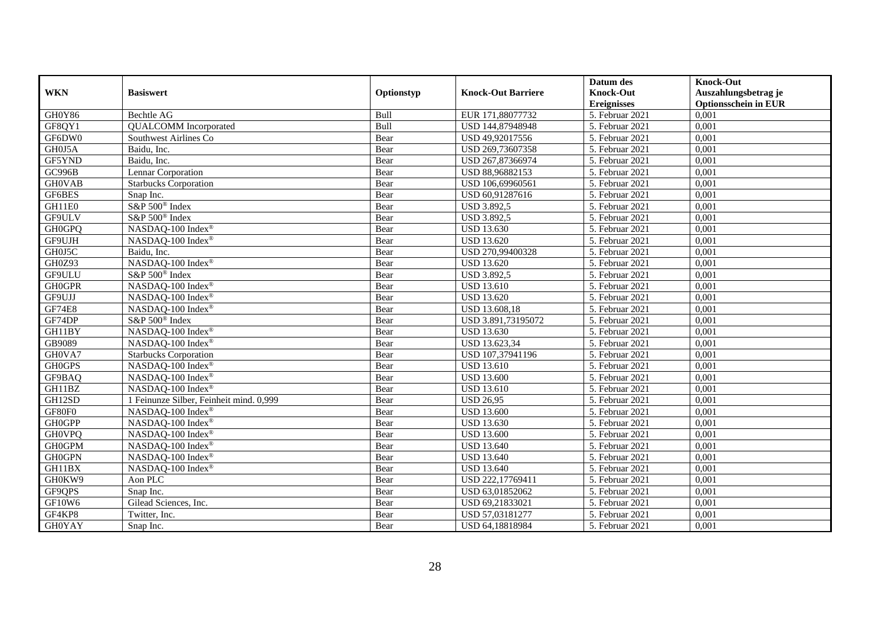|               |                                         |            |                           | Datum des          | <b>Knock-Out</b>            |
|---------------|-----------------------------------------|------------|---------------------------|--------------------|-----------------------------|
| <b>WKN</b>    | <b>Basiswert</b>                        | Optionstyp | <b>Knock-Out Barriere</b> | <b>Knock-Out</b>   | Auszahlungsbetrag je        |
|               |                                         |            |                           | <b>Ereignisses</b> | <b>Optionsschein in EUR</b> |
| GH0Y86        | Bechtle AG                              | Bull       | EUR 171,88077732          | 5. Februar 2021    | 0,001                       |
| GF8QY1        | <b>QUALCOMM</b> Incorporated            | Bull       | USD 144,87948948          | 5. Februar 2021    | 0,001                       |
| GF6DW0        | Southwest Airlines Co                   | Bear       | USD 49,92017556           | 5. Februar 2021    | 0,001                       |
| GH0J5A        | Baidu, Inc.                             | Bear       | USD 269,73607358          | 5. Februar 2021    | 0,001                       |
| GF5YND        | Baidu, Inc.                             | Bear       | USD 267,87366974          | 5. Februar 2021    | 0,001                       |
| GC996B        | Lennar Corporation                      | Bear       | USD 88,96882153           | 5. Februar 2021    | 0,001                       |
| <b>GH0VAB</b> | <b>Starbucks Corporation</b>            | Bear       | USD 106,69960561          | 5. Februar 2021    | 0.001                       |
| GF6BES        | Snap Inc.                               | Bear       | USD 60,91287616           | 5. Februar 2021    | 0,001                       |
| GH11E0        | S&P 500 <sup>®</sup> Index              | Bear       | <b>USD 3.892,5</b>        | 5. Februar 2021    | 0,001                       |
| GF9ULV        | S&P 500 <sup>®</sup> Index              | Bear       | <b>USD 3.892,5</b>        | 5. Februar 2021    | 0,001                       |
| <b>GH0GPQ</b> | NASDAQ-100 Index®                       | Bear       | <b>USD 13.630</b>         | 5. Februar 2021    | 0,001                       |
| GF9UJH        | NASDAQ-100 Index®                       | Bear       | <b>USD 13.620</b>         | 5. Februar 2021    | 0,001                       |
| GH0J5C        | Baidu. Inc.                             | Bear       | USD 270,99400328          | 5. Februar 2021    | 0,001                       |
| GH0Z93        | NASDAQ-100 Index®                       | Bear       | <b>USD 13.620</b>         | 5. Februar 2021    | 0,001                       |
| GF9ULU        | S&P 500 <sup>®</sup> Index              | Bear       | <b>USD 3.892,5</b>        | 5. Februar 2021    | 0,001                       |
| <b>GH0GPR</b> | NASDAQ-100 Index®                       | Bear       | <b>USD 13.610</b>         | 5. Februar 2021    | 0,001                       |
| GF9UJJ        | NASDAQ-100 Index®                       | Bear       | <b>USD 13.620</b>         | 5. Februar 2021    | 0,001                       |
| <b>GF74E8</b> | NASDAO-100 Index®                       | Bear       | USD 13.608,18             | 5. Februar 2021    | 0,001                       |
| GF74DP        | S&P 500 <sup>®</sup> Index              | Bear       | USD 3.891,73195072        | 5. Februar 2021    | 0,001                       |
| GH11BY        | NASDAQ-100 Index®                       | Bear       | <b>USD 13.630</b>         | 5. Februar 2021    | 0,001                       |
| GB9089        | NASDAQ-100 Index®                       | Bear       | USD 13.623,34             | 5. Februar 2021    | 0,001                       |
| GH0VA7        | <b>Starbucks Corporation</b>            | Bear       | USD 107,37941196          | 5. Februar 2021    | 0,001                       |
| <b>GH0GPS</b> | NASDAQ-100 Index®                       | Bear       | <b>USD 13.610</b>         | 5. Februar 2021    | 0,001                       |
| GF9BAQ        | NASDAQ-100 Index®                       | Bear       | <b>USD 13.600</b>         | 5. Februar 2021    | 0,001                       |
| GH11BZ        | NASDAQ-100 Index®                       | Bear       | <b>USD 13.610</b>         | 5. Februar 2021    | 0,001                       |
| GH12SD        | 1 Feinunze Silber, Feinheit mind. 0,999 | Bear       | <b>USD 26,95</b>          | 5. Februar 2021    | 0,001                       |
| GF80F0        | NASDAQ-100 Index®                       | Bear       | <b>USD 13.600</b>         | 5. Februar 2021    | 0,001                       |
| <b>GH0GPP</b> | $NASDAQ-100$ Index <sup>®</sup>         | Bear       | <b>USD 13.630</b>         | 5. Februar 2021    | 0,001                       |
| <b>GHOVPQ</b> | NASDAQ-100 Index®                       | Bear       | <b>USD 13.600</b>         | 5. Februar 2021    | 0,001                       |
| <b>GH0GPM</b> | NASDAQ-100 Index®                       | Bear       | <b>USD 13.640</b>         | 5. Februar 2021    | 0,001                       |
| <b>GH0GPN</b> | NASDAQ-100 Index®                       | Bear       | <b>USD 13.640</b>         | 5. Februar 2021    | 0,001                       |
| GH11BX        | NASDAQ-100 Index®                       | Bear       | <b>USD 13.640</b>         | 5. Februar 2021    | 0,001                       |
| GH0KW9        | Aon PLC                                 | Bear       | USD 222,17769411          | 5. Februar 2021    | 0,001                       |
| GF9QPS        | Snap Inc.                               | Bear       | USD 63,01852062           | 5. Februar 2021    | 0,001                       |
| GF10W6        | Gilead Sciences, Inc.                   | Bear       | USD 69,21833021           | 5. Februar 2021    | 0,001                       |
| GF4KP8        | Twitter, Inc.                           | Bear       | USD 57,03181277           | 5. Februar 2021    | 0,001                       |
| <b>GH0YAY</b> | Snap Inc.                               | Bear       | USD 64,18818984           | 5. Februar 2021    | 0,001                       |